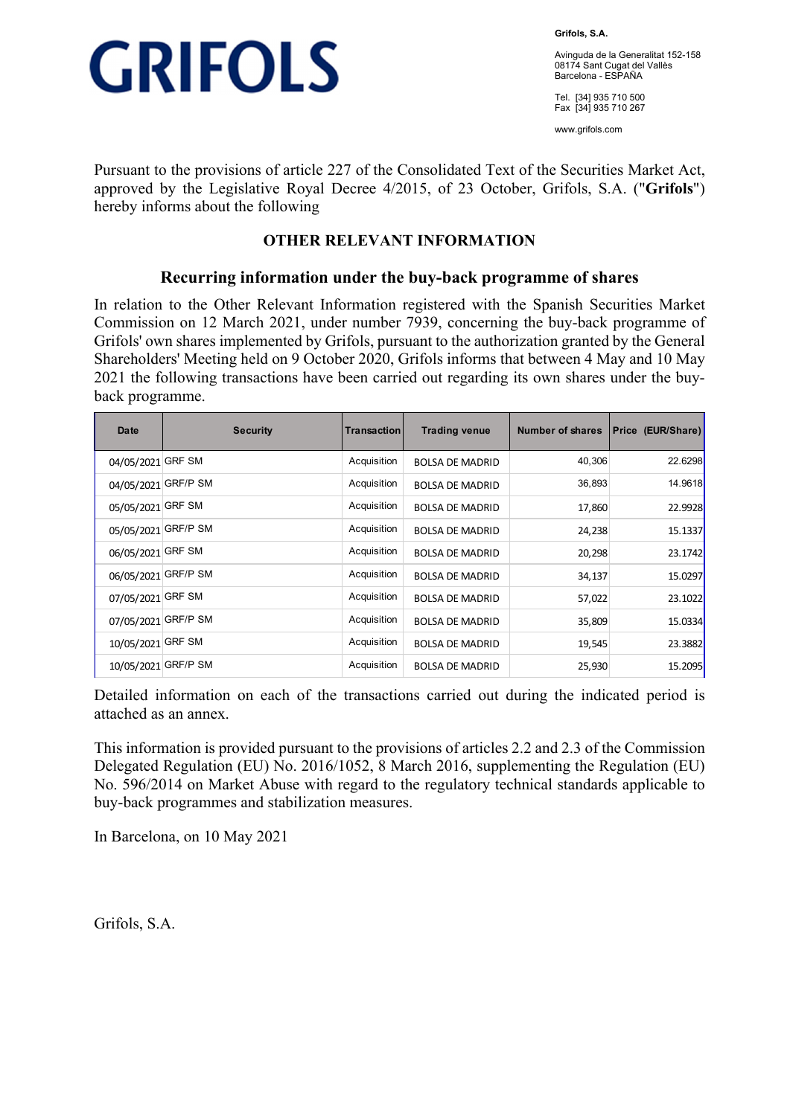

**Grifols, S.A.** 

Avinguda de la Generalitat 152-158 08174 Sant Cugat del Vallès Barcelona - ESPAÑA

Tel. [34] 935 710 500 Fax [34] 935 710 267

www.grifols.com

Pursuant to the provisions of article 227 of the Consolidated Text of the Securities Market Act, approved by the Legislative Royal Decree 4/2015, of 23 October, Grifols, S.A. ("**Grifols**") hereby informs about the following

## **OTHER RELEVANT INFORMATION**

### **Recurring information under the buy-back programme of shares**

In relation to the Other Relevant Information registered with the Spanish Securities Market Commission on 12 March 2021, under number 7939, concerning the buy-back programme of Grifols' own shares implemented by Grifols, pursuant to the authorization granted by the General Shareholders' Meeting held on 9 October 2020, Grifols informs that between 4 May and 10 May 2021 the following transactions have been carried out regarding its own shares under the buyback programme.

| Date                | <b>Security</b> | Transaction | <b>Trading venue</b>   | Number of shares | Price (EUR/Share) |
|---------------------|-----------------|-------------|------------------------|------------------|-------------------|
| 04/05/2021          | <b>GRF SM</b>   | Acquisition | <b>BOLSA DE MADRID</b> | 40,306           | 22.6298           |
| 04/05/2021          | <b>GRF/P SM</b> | Acquisition | <b>BOLSA DE MADRID</b> | 36,893           | 14.9618           |
| 05/05/2021          | <b>GRF SM</b>   | Acquisition | <b>BOLSA DE MADRID</b> | 17,860           | 22.9928           |
| 05/05/2021 GRF/P SM |                 | Acquisition | <b>BOLSA DE MADRID</b> | 24,238           | 15.1337           |
| 06/05/2021          | <b>GRF SM</b>   | Acquisition | <b>BOLSA DE MADRID</b> | 20,298           | 23.1742           |
| 06/05/2021          | <b>GRF/P SM</b> | Acquisition | <b>BOLSA DE MADRID</b> | 34,137           | 15.0297           |
| 07/05/2021 GRF SM   |                 | Acquisition | <b>BOLSA DE MADRID</b> | 57,022           | 23.1022           |
| 07/05/2021          | <b>GRF/P SM</b> | Acquisition | <b>BOLSA DE MADRID</b> | 35,809           | 15.0334           |
| 10/05/2021          | <b>GRF SM</b>   | Acquisition | <b>BOLSA DE MADRID</b> | 19,545           | 23.3882           |
| 10/05/2021          | <b>GRF/P SM</b> | Acquisition | <b>BOLSA DE MADRID</b> | 25,930           | 15.2095           |

Detailed information on each of the transactions carried out during the indicated period is attached as an annex.

This information is provided pursuant to the provisions of articles 2.2 and 2.3 of the Commission Delegated Regulation (EU) No. 2016/1052, 8 March 2016, supplementing the Regulation (EU) No. 596/2014 on Market Abuse with regard to the regulatory technical standards applicable to buy-back programmes and stabilization measures.

In Barcelona, on 10 May 2021

Grifols, S.A.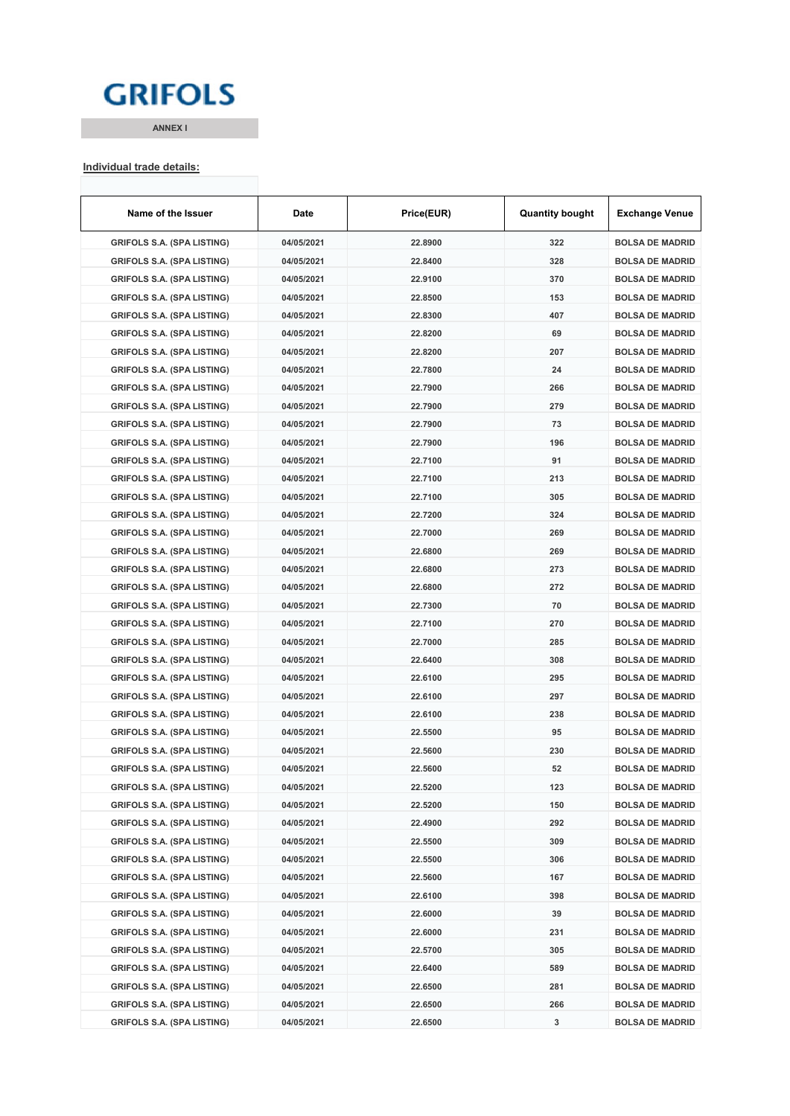## **GRIFOLS**

**ANNEX I**

#### **Individual trade details:**

| Name of the Issuer                                                     | Date       | Price(EUR) | <b>Quantity bought</b> | <b>Exchange Venue</b>  |
|------------------------------------------------------------------------|------------|------------|------------------------|------------------------|
| <b>GRIFOLS S.A. (SPA LISTING)</b>                                      | 04/05/2021 | 22.8900    | 322                    | <b>BOLSA DE MADRID</b> |
| <b>GRIFOLS S.A. (SPA LISTING)</b>                                      | 04/05/2021 | 22.8400    | 328                    | <b>BOLSA DE MADRID</b> |
| <b>GRIFOLS S.A. (SPA LISTING)</b>                                      | 04/05/2021 | 22.9100    | 370                    | <b>BOLSA DE MADRID</b> |
| <b>GRIFOLS S.A. (SPA LISTING)</b>                                      | 04/05/2021 | 22.8500    | 153                    | <b>BOLSA DE MADRID</b> |
| <b>GRIFOLS S.A. (SPA LISTING)</b>                                      | 04/05/2021 | 22.8300    | 407                    | <b>BOLSA DE MADRID</b> |
| <b>GRIFOLS S.A. (SPA LISTING)</b>                                      | 04/05/2021 | 22.8200    | 69                     | <b>BOLSA DE MADRID</b> |
| <b>GRIFOLS S.A. (SPA LISTING)</b>                                      | 04/05/2021 | 22.8200    | 207                    | <b>BOLSA DE MADRID</b> |
| <b>GRIFOLS S.A. (SPA LISTING)</b>                                      | 04/05/2021 | 22.7800    | 24                     | <b>BOLSA DE MADRID</b> |
| <b>GRIFOLS S.A. (SPA LISTING)</b>                                      | 04/05/2021 | 22.7900    | 266                    | <b>BOLSA DE MADRID</b> |
| <b>GRIFOLS S.A. (SPA LISTING)</b>                                      | 04/05/2021 | 22.7900    | 279                    | <b>BOLSA DE MADRID</b> |
| <b>GRIFOLS S.A. (SPA LISTING)</b>                                      | 04/05/2021 | 22.7900    | 73                     | <b>BOLSA DE MADRID</b> |
| <b>GRIFOLS S.A. (SPA LISTING)</b>                                      | 04/05/2021 | 22.7900    | 196                    | <b>BOLSA DE MADRID</b> |
| <b>GRIFOLS S.A. (SPA LISTING)</b>                                      | 04/05/2021 | 22.7100    | 91                     | <b>BOLSA DE MADRID</b> |
| <b>GRIFOLS S.A. (SPA LISTING)</b>                                      | 04/05/2021 | 22.7100    | 213                    | <b>BOLSA DE MADRID</b> |
| <b>GRIFOLS S.A. (SPA LISTING)</b>                                      | 04/05/2021 | 22.7100    | 305                    | <b>BOLSA DE MADRID</b> |
| <b>GRIFOLS S.A. (SPA LISTING)</b>                                      | 04/05/2021 | 22.7200    | 324                    | <b>BOLSA DE MADRID</b> |
| <b>GRIFOLS S.A. (SPA LISTING)</b>                                      | 04/05/2021 | 22.7000    | 269                    | <b>BOLSA DE MADRID</b> |
| <b>GRIFOLS S.A. (SPA LISTING)</b>                                      | 04/05/2021 | 22.6800    | 269                    | <b>BOLSA DE MADRID</b> |
| <b>GRIFOLS S.A. (SPA LISTING)</b>                                      | 04/05/2021 | 22.6800    | 273                    | <b>BOLSA DE MADRID</b> |
| <b>GRIFOLS S.A. (SPA LISTING)</b>                                      | 04/05/2021 | 22.6800    | 272                    | <b>BOLSA DE MADRID</b> |
| <b>GRIFOLS S.A. (SPA LISTING)</b>                                      | 04/05/2021 | 22.7300    | 70                     | <b>BOLSA DE MADRID</b> |
| <b>GRIFOLS S.A. (SPA LISTING)</b>                                      | 04/05/2021 | 22.7100    | 270                    | <b>BOLSA DE MADRID</b> |
| <b>GRIFOLS S.A. (SPA LISTING)</b>                                      | 04/05/2021 | 22.7000    | 285                    | <b>BOLSA DE MADRID</b> |
| <b>GRIFOLS S.A. (SPA LISTING)</b>                                      | 04/05/2021 | 22.6400    | 308                    | <b>BOLSA DE MADRID</b> |
| <b>GRIFOLS S.A. (SPA LISTING)</b>                                      | 04/05/2021 | 22.6100    | 295                    | <b>BOLSA DE MADRID</b> |
| <b>GRIFOLS S.A. (SPA LISTING)</b>                                      | 04/05/2021 | 22.6100    | 297                    | <b>BOLSA DE MADRID</b> |
| <b>GRIFOLS S.A. (SPA LISTING)</b>                                      | 04/05/2021 | 22.6100    | 238                    | <b>BOLSA DE MADRID</b> |
| <b>GRIFOLS S.A. (SPA LISTING)</b>                                      | 04/05/2021 | 22.5500    | 95                     | <b>BOLSA DE MADRID</b> |
| <b>GRIFOLS S.A. (SPA LISTING)</b>                                      | 04/05/2021 | 22.5600    | 230                    | <b>BOLSA DE MADRID</b> |
|                                                                        | 04/05/2021 | 22.5600    | 52                     | <b>BOLSA DE MADRID</b> |
| <b>GRIFOLS S.A. (SPA LISTING)</b><br><b>GRIFOLS S.A. (SPA LISTING)</b> | 04/05/2021 | 22.5200    |                        |                        |
|                                                                        |            |            | 123                    | <b>BOLSA DE MADRID</b> |
| <b>GRIFOLS S.A. (SPA LISTING)</b>                                      | 04/05/2021 | 22.5200    | 150                    | <b>BOLSA DE MADRID</b> |
| <b>GRIFOLS S.A. (SPA LISTING)</b>                                      | 04/05/2021 | 22.4900    | 292                    | <b>BOLSA DE MADRID</b> |
| <b>GRIFOLS S.A. (SPA LISTING)</b>                                      | 04/05/2021 | 22.5500    | 309                    | <b>BOLSA DE MADRID</b> |
| <b>GRIFOLS S.A. (SPA LISTING)</b>                                      | 04/05/2021 | 22.5500    | 306                    | <b>BOLSA DE MADRID</b> |
| <b>GRIFOLS S.A. (SPA LISTING)</b>                                      | 04/05/2021 | 22.5600    | 167                    | <b>BOLSA DE MADRID</b> |
| <b>GRIFOLS S.A. (SPA LISTING)</b>                                      | 04/05/2021 | 22.6100    | 398                    | <b>BOLSA DE MADRID</b> |
| <b>GRIFOLS S.A. (SPA LISTING)</b>                                      | 04/05/2021 | 22.6000    | 39                     | <b>BOLSA DE MADRID</b> |
| <b>GRIFOLS S.A. (SPA LISTING)</b>                                      | 04/05/2021 | 22.6000    | 231                    | <b>BOLSA DE MADRID</b> |
| <b>GRIFOLS S.A. (SPA LISTING)</b>                                      | 04/05/2021 | 22.5700    | 305                    | <b>BOLSA DE MADRID</b> |
| <b>GRIFOLS S.A. (SPA LISTING)</b>                                      | 04/05/2021 | 22.6400    | 589                    | <b>BOLSA DE MADRID</b> |
| <b>GRIFOLS S.A. (SPA LISTING)</b>                                      | 04/05/2021 | 22.6500    | 281                    | <b>BOLSA DE MADRID</b> |
| <b>GRIFOLS S.A. (SPA LISTING)</b>                                      | 04/05/2021 | 22.6500    | 266                    | <b>BOLSA DE MADRID</b> |
| <b>GRIFOLS S.A. (SPA LISTING)</b>                                      | 04/05/2021 | 22.6500    | 3                      | <b>BOLSA DE MADRID</b> |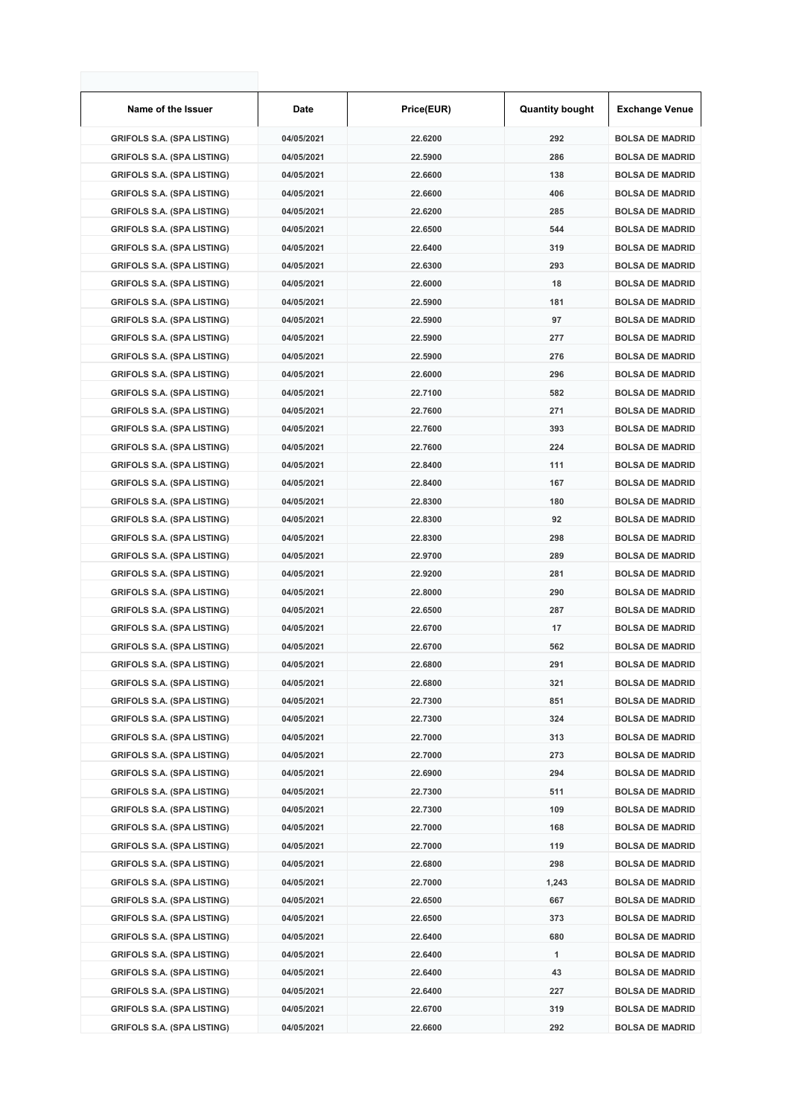| Name of the Issuer                | Date       | Price(EUR) | <b>Quantity bought</b> | <b>Exchange Venue</b>  |
|-----------------------------------|------------|------------|------------------------|------------------------|
| <b>GRIFOLS S.A. (SPA LISTING)</b> | 04/05/2021 | 22.6200    | 292                    | <b>BOLSA DE MADRID</b> |
| <b>GRIFOLS S.A. (SPA LISTING)</b> | 04/05/2021 | 22.5900    | 286                    | <b>BOLSA DE MADRID</b> |
| <b>GRIFOLS S.A. (SPA LISTING)</b> | 04/05/2021 | 22.6600    | 138                    | <b>BOLSA DE MADRID</b> |
| <b>GRIFOLS S.A. (SPA LISTING)</b> | 04/05/2021 | 22.6600    | 406                    | <b>BOLSA DE MADRID</b> |
| <b>GRIFOLS S.A. (SPA LISTING)</b> | 04/05/2021 | 22.6200    | 285                    | <b>BOLSA DE MADRID</b> |
| <b>GRIFOLS S.A. (SPA LISTING)</b> | 04/05/2021 | 22.6500    | 544                    | <b>BOLSA DE MADRID</b> |
| <b>GRIFOLS S.A. (SPA LISTING)</b> | 04/05/2021 | 22.6400    | 319                    | <b>BOLSA DE MADRID</b> |
| <b>GRIFOLS S.A. (SPA LISTING)</b> | 04/05/2021 | 22.6300    | 293                    | <b>BOLSA DE MADRID</b> |
| <b>GRIFOLS S.A. (SPA LISTING)</b> | 04/05/2021 | 22.6000    | 18                     | <b>BOLSA DE MADRID</b> |
| <b>GRIFOLS S.A. (SPA LISTING)</b> | 04/05/2021 | 22.5900    | 181                    | <b>BOLSA DE MADRID</b> |
| <b>GRIFOLS S.A. (SPA LISTING)</b> | 04/05/2021 | 22.5900    | 97                     | <b>BOLSA DE MADRID</b> |
| <b>GRIFOLS S.A. (SPA LISTING)</b> | 04/05/2021 | 22.5900    | 277                    | <b>BOLSA DE MADRID</b> |
| <b>GRIFOLS S.A. (SPA LISTING)</b> | 04/05/2021 | 22.5900    | 276                    | <b>BOLSA DE MADRID</b> |
| <b>GRIFOLS S.A. (SPA LISTING)</b> | 04/05/2021 | 22.6000    | 296                    | <b>BOLSA DE MADRID</b> |
| <b>GRIFOLS S.A. (SPA LISTING)</b> | 04/05/2021 | 22.7100    | 582                    | <b>BOLSA DE MADRID</b> |
| <b>GRIFOLS S.A. (SPA LISTING)</b> | 04/05/2021 | 22.7600    | 271                    | <b>BOLSA DE MADRID</b> |
| <b>GRIFOLS S.A. (SPA LISTING)</b> | 04/05/2021 | 22.7600    | 393                    | <b>BOLSA DE MADRID</b> |
| <b>GRIFOLS S.A. (SPA LISTING)</b> | 04/05/2021 | 22.7600    | 224                    | <b>BOLSA DE MADRID</b> |
| <b>GRIFOLS S.A. (SPA LISTING)</b> | 04/05/2021 | 22.8400    | 111                    | <b>BOLSA DE MADRID</b> |
| <b>GRIFOLS S.A. (SPA LISTING)</b> | 04/05/2021 | 22.8400    | 167                    | <b>BOLSA DE MADRID</b> |
| <b>GRIFOLS S.A. (SPA LISTING)</b> | 04/05/2021 | 22.8300    | 180                    | <b>BOLSA DE MADRID</b> |
| <b>GRIFOLS S.A. (SPA LISTING)</b> | 04/05/2021 | 22.8300    | 92                     | <b>BOLSA DE MADRID</b> |
| <b>GRIFOLS S.A. (SPA LISTING)</b> | 04/05/2021 | 22.8300    | 298                    | <b>BOLSA DE MADRID</b> |
| <b>GRIFOLS S.A. (SPA LISTING)</b> | 04/05/2021 | 22.9700    | 289                    | <b>BOLSA DE MADRID</b> |
| <b>GRIFOLS S.A. (SPA LISTING)</b> | 04/05/2021 | 22.9200    | 281                    | <b>BOLSA DE MADRID</b> |
| <b>GRIFOLS S.A. (SPA LISTING)</b> | 04/05/2021 | 22.8000    | 290                    | <b>BOLSA DE MADRID</b> |
| <b>GRIFOLS S.A. (SPA LISTING)</b> | 04/05/2021 | 22.6500    | 287                    | <b>BOLSA DE MADRID</b> |
| <b>GRIFOLS S.A. (SPA LISTING)</b> | 04/05/2021 | 22.6700    | 17                     | <b>BOLSA DE MADRID</b> |
| <b>GRIFOLS S.A. (SPA LISTING)</b> | 04/05/2021 | 22.6700    | 562                    | <b>BOLSA DE MADRID</b> |
| <b>GRIFOLS S.A. (SPA LISTING)</b> | 04/05/2021 | 22.6800    | 291                    | <b>BOLSA DE MADRID</b> |
| <b>GRIFOLS S.A. (SPA LISTING)</b> | 04/05/2021 | 22.6800    | 321                    | <b>BOLSA DE MADRID</b> |
| <b>GRIFOLS S.A. (SPA LISTING)</b> | 04/05/2021 | 22.7300    | 851                    | <b>BOLSA DE MADRID</b> |
| <b>GRIFOLS S.A. (SPA LISTING)</b> | 04/05/2021 | 22.7300    | 324                    | <b>BOLSA DE MADRID</b> |
| <b>GRIFOLS S.A. (SPA LISTING)</b> | 04/05/2021 | 22.7000    | 313                    | <b>BOLSA DE MADRID</b> |
| <b>GRIFOLS S.A. (SPA LISTING)</b> | 04/05/2021 | 22.7000    | 273                    | <b>BOLSA DE MADRID</b> |
| <b>GRIFOLS S.A. (SPA LISTING)</b> | 04/05/2021 | 22.6900    | 294                    | <b>BOLSA DE MADRID</b> |
| <b>GRIFOLS S.A. (SPA LISTING)</b> | 04/05/2021 | 22.7300    | 511                    | <b>BOLSA DE MADRID</b> |
| <b>GRIFOLS S.A. (SPA LISTING)</b> | 04/05/2021 | 22.7300    | 109                    | <b>BOLSA DE MADRID</b> |
| <b>GRIFOLS S.A. (SPA LISTING)</b> | 04/05/2021 | 22.7000    | 168                    | <b>BOLSA DE MADRID</b> |
| <b>GRIFOLS S.A. (SPA LISTING)</b> | 04/05/2021 | 22.7000    | 119                    | <b>BOLSA DE MADRID</b> |
| <b>GRIFOLS S.A. (SPA LISTING)</b> | 04/05/2021 | 22.6800    | 298                    | <b>BOLSA DE MADRID</b> |
| <b>GRIFOLS S.A. (SPA LISTING)</b> | 04/05/2021 | 22.7000    | 1,243                  | <b>BOLSA DE MADRID</b> |
| <b>GRIFOLS S.A. (SPA LISTING)</b> | 04/05/2021 | 22.6500    | 667                    | <b>BOLSA DE MADRID</b> |
| <b>GRIFOLS S.A. (SPA LISTING)</b> | 04/05/2021 | 22.6500    | 373                    | <b>BOLSA DE MADRID</b> |
| <b>GRIFOLS S.A. (SPA LISTING)</b> | 04/05/2021 | 22.6400    | 680                    | <b>BOLSA DE MADRID</b> |
| <b>GRIFOLS S.A. (SPA LISTING)</b> | 04/05/2021 | 22.6400    | 1                      | <b>BOLSA DE MADRID</b> |
| <b>GRIFOLS S.A. (SPA LISTING)</b> | 04/05/2021 | 22.6400    | 43                     | <b>BOLSA DE MADRID</b> |
| <b>GRIFOLS S.A. (SPA LISTING)</b> | 04/05/2021 | 22.6400    | 227                    | <b>BOLSA DE MADRID</b> |
| <b>GRIFOLS S.A. (SPA LISTING)</b> | 04/05/2021 | 22.6700    | 319                    | <b>BOLSA DE MADRID</b> |
| <b>GRIFOLS S.A. (SPA LISTING)</b> | 04/05/2021 | 22.6600    | 292                    | <b>BOLSA DE MADRID</b> |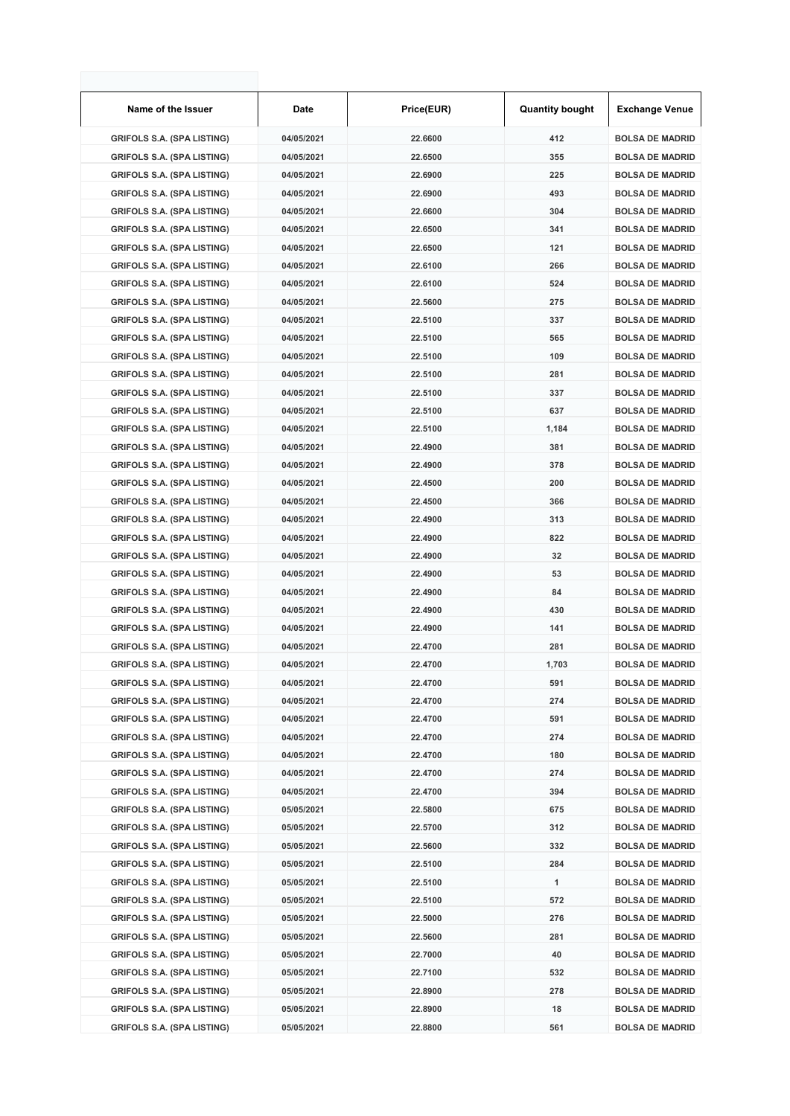| Name of the Issuer                | Date       | Price(EUR) | <b>Quantity bought</b> | <b>Exchange Venue</b>  |
|-----------------------------------|------------|------------|------------------------|------------------------|
| <b>GRIFOLS S.A. (SPA LISTING)</b> | 04/05/2021 | 22.6600    | 412                    | <b>BOLSA DE MADRID</b> |
| <b>GRIFOLS S.A. (SPA LISTING)</b> | 04/05/2021 | 22.6500    | 355                    | <b>BOLSA DE MADRID</b> |
| <b>GRIFOLS S.A. (SPA LISTING)</b> | 04/05/2021 | 22.6900    | 225                    | <b>BOLSA DE MADRID</b> |
| <b>GRIFOLS S.A. (SPA LISTING)</b> | 04/05/2021 | 22.6900    | 493                    | <b>BOLSA DE MADRID</b> |
| <b>GRIFOLS S.A. (SPA LISTING)</b> | 04/05/2021 | 22.6600    | 304                    | <b>BOLSA DE MADRID</b> |
| <b>GRIFOLS S.A. (SPA LISTING)</b> | 04/05/2021 | 22.6500    | 341                    | <b>BOLSA DE MADRID</b> |
| <b>GRIFOLS S.A. (SPA LISTING)</b> | 04/05/2021 | 22.6500    | 121                    | <b>BOLSA DE MADRID</b> |
| <b>GRIFOLS S.A. (SPA LISTING)</b> | 04/05/2021 | 22.6100    | 266                    | <b>BOLSA DE MADRID</b> |
| <b>GRIFOLS S.A. (SPA LISTING)</b> | 04/05/2021 | 22.6100    | 524                    | <b>BOLSA DE MADRID</b> |
| <b>GRIFOLS S.A. (SPA LISTING)</b> | 04/05/2021 | 22.5600    | 275                    | <b>BOLSA DE MADRID</b> |
| <b>GRIFOLS S.A. (SPA LISTING)</b> | 04/05/2021 | 22.5100    | 337                    | <b>BOLSA DE MADRID</b> |
| <b>GRIFOLS S.A. (SPA LISTING)</b> | 04/05/2021 | 22.5100    | 565                    | <b>BOLSA DE MADRID</b> |
| <b>GRIFOLS S.A. (SPA LISTING)</b> | 04/05/2021 | 22.5100    | 109                    | <b>BOLSA DE MADRID</b> |
| <b>GRIFOLS S.A. (SPA LISTING)</b> | 04/05/2021 | 22.5100    | 281                    | <b>BOLSA DE MADRID</b> |
| <b>GRIFOLS S.A. (SPA LISTING)</b> | 04/05/2021 | 22.5100    | 337                    | <b>BOLSA DE MADRID</b> |
| <b>GRIFOLS S.A. (SPA LISTING)</b> | 04/05/2021 | 22.5100    | 637                    | <b>BOLSA DE MADRID</b> |
| <b>GRIFOLS S.A. (SPA LISTING)</b> | 04/05/2021 | 22.5100    | 1,184                  | <b>BOLSA DE MADRID</b> |
| <b>GRIFOLS S.A. (SPA LISTING)</b> | 04/05/2021 | 22.4900    | 381                    | <b>BOLSA DE MADRID</b> |
| <b>GRIFOLS S.A. (SPA LISTING)</b> | 04/05/2021 | 22.4900    | 378                    | <b>BOLSA DE MADRID</b> |
| <b>GRIFOLS S.A. (SPA LISTING)</b> | 04/05/2021 | 22.4500    | 200                    | <b>BOLSA DE MADRID</b> |
| <b>GRIFOLS S.A. (SPA LISTING)</b> | 04/05/2021 | 22.4500    | 366                    | <b>BOLSA DE MADRID</b> |
| <b>GRIFOLS S.A. (SPA LISTING)</b> | 04/05/2021 | 22.4900    | 313                    | <b>BOLSA DE MADRID</b> |
| <b>GRIFOLS S.A. (SPA LISTING)</b> | 04/05/2021 | 22.4900    | 822                    | <b>BOLSA DE MADRID</b> |
| <b>GRIFOLS S.A. (SPA LISTING)</b> | 04/05/2021 | 22.4900    | 32                     | <b>BOLSA DE MADRID</b> |
| <b>GRIFOLS S.A. (SPA LISTING)</b> | 04/05/2021 | 22.4900    | 53                     | <b>BOLSA DE MADRID</b> |
| <b>GRIFOLS S.A. (SPA LISTING)</b> | 04/05/2021 | 22.4900    | 84                     | <b>BOLSA DE MADRID</b> |
| <b>GRIFOLS S.A. (SPA LISTING)</b> | 04/05/2021 | 22.4900    | 430                    | <b>BOLSA DE MADRID</b> |
| <b>GRIFOLS S.A. (SPA LISTING)</b> | 04/05/2021 | 22.4900    | 141                    | <b>BOLSA DE MADRID</b> |
| <b>GRIFOLS S.A. (SPA LISTING)</b> | 04/05/2021 | 22.4700    | 281                    | <b>BOLSA DE MADRID</b> |
| <b>GRIFOLS S.A. (SPA LISTING)</b> | 04/05/2021 | 22.4700    | 1,703                  | <b>BOLSA DE MADRID</b> |
| <b>GRIFOLS S.A. (SPA LISTING)</b> | 04/05/2021 | 22.4700    | 591                    | <b>BOLSA DE MADRID</b> |
| <b>GRIFOLS S.A. (SPA LISTING)</b> | 04/05/2021 | 22.4700    | 274                    | <b>BOLSA DE MADRID</b> |
| <b>GRIFOLS S.A. (SPA LISTING)</b> | 04/05/2021 | 22.4700    | 591                    | <b>BOLSA DE MADRID</b> |
| <b>GRIFOLS S.A. (SPA LISTING)</b> | 04/05/2021 | 22.4700    | 274                    | <b>BOLSA DE MADRID</b> |
| <b>GRIFOLS S.A. (SPA LISTING)</b> | 04/05/2021 | 22.4700    | 180                    | <b>BOLSA DE MADRID</b> |
| <b>GRIFOLS S.A. (SPA LISTING)</b> | 04/05/2021 | 22.4700    | 274                    | <b>BOLSA DE MADRID</b> |
| <b>GRIFOLS S.A. (SPA LISTING)</b> | 04/05/2021 | 22.4700    | 394                    | <b>BOLSA DE MADRID</b> |
| <b>GRIFOLS S.A. (SPA LISTING)</b> | 05/05/2021 | 22.5800    | 675                    | <b>BOLSA DE MADRID</b> |
| <b>GRIFOLS S.A. (SPA LISTING)</b> | 05/05/2021 | 22.5700    | 312                    | <b>BOLSA DE MADRID</b> |
| <b>GRIFOLS S.A. (SPA LISTING)</b> | 05/05/2021 | 22.5600    | 332                    | <b>BOLSA DE MADRID</b> |
| <b>GRIFOLS S.A. (SPA LISTING)</b> | 05/05/2021 | 22.5100    | 284                    | <b>BOLSA DE MADRID</b> |
| <b>GRIFOLS S.A. (SPA LISTING)</b> | 05/05/2021 | 22.5100    | 1                      | <b>BOLSA DE MADRID</b> |
| <b>GRIFOLS S.A. (SPA LISTING)</b> | 05/05/2021 | 22.5100    | 572                    | <b>BOLSA DE MADRID</b> |
| <b>GRIFOLS S.A. (SPA LISTING)</b> | 05/05/2021 | 22.5000    | 276                    | <b>BOLSA DE MADRID</b> |
| <b>GRIFOLS S.A. (SPA LISTING)</b> | 05/05/2021 | 22.5600    | 281                    | <b>BOLSA DE MADRID</b> |
| <b>GRIFOLS S.A. (SPA LISTING)</b> | 05/05/2021 | 22.7000    | 40                     | <b>BOLSA DE MADRID</b> |
| <b>GRIFOLS S.A. (SPA LISTING)</b> | 05/05/2021 | 22.7100    | 532                    | <b>BOLSA DE MADRID</b> |
| <b>GRIFOLS S.A. (SPA LISTING)</b> | 05/05/2021 | 22.8900    | 278                    | <b>BOLSA DE MADRID</b> |
| <b>GRIFOLS S.A. (SPA LISTING)</b> | 05/05/2021 | 22.8900    | 18                     | <b>BOLSA DE MADRID</b> |
| <b>GRIFOLS S.A. (SPA LISTING)</b> | 05/05/2021 | 22.8800    | 561                    | <b>BOLSA DE MADRID</b> |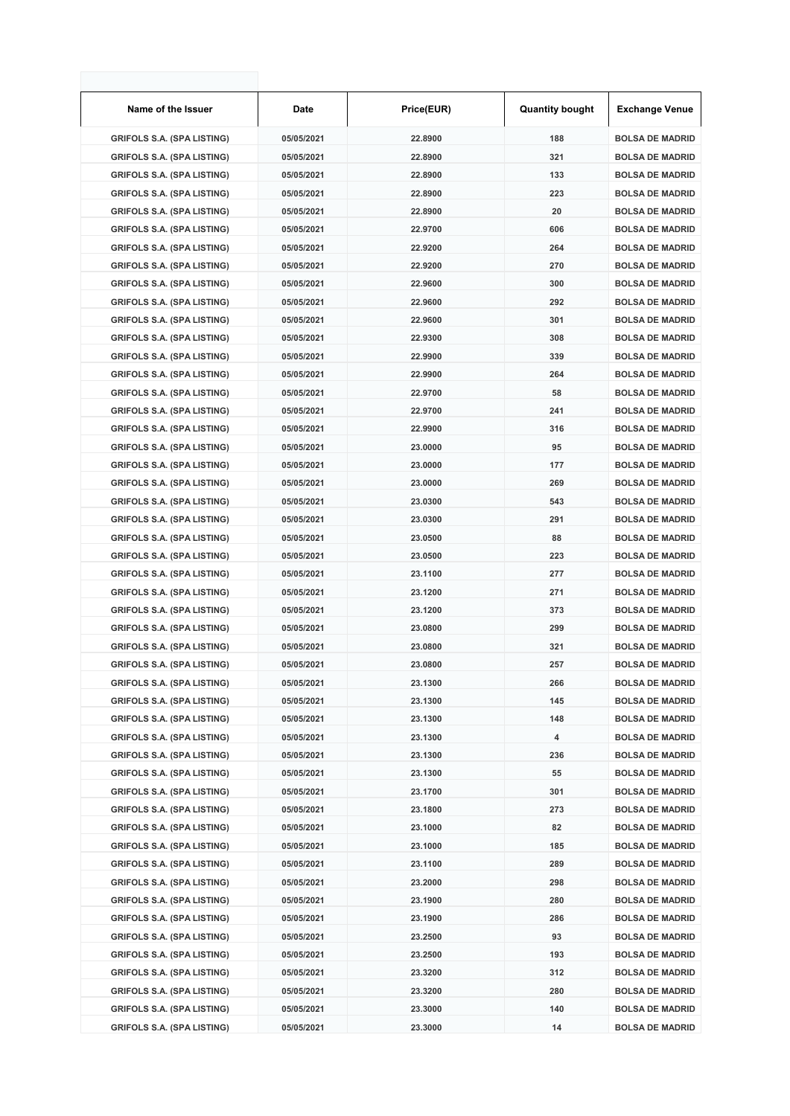| Name of the Issuer                | Date       | Price(EUR) | <b>Quantity bought</b> | <b>Exchange Venue</b>  |
|-----------------------------------|------------|------------|------------------------|------------------------|
| <b>GRIFOLS S.A. (SPA LISTING)</b> | 05/05/2021 | 22.8900    | 188                    | <b>BOLSA DE MADRID</b> |
| <b>GRIFOLS S.A. (SPA LISTING)</b> | 05/05/2021 | 22.8900    | 321                    | <b>BOLSA DE MADRID</b> |
| <b>GRIFOLS S.A. (SPA LISTING)</b> | 05/05/2021 | 22.8900    | 133                    | <b>BOLSA DE MADRID</b> |
| <b>GRIFOLS S.A. (SPA LISTING)</b> | 05/05/2021 | 22.8900    | 223                    | <b>BOLSA DE MADRID</b> |
| <b>GRIFOLS S.A. (SPA LISTING)</b> | 05/05/2021 | 22.8900    | 20                     | <b>BOLSA DE MADRID</b> |
| <b>GRIFOLS S.A. (SPA LISTING)</b> | 05/05/2021 | 22.9700    | 606                    | <b>BOLSA DE MADRID</b> |
| <b>GRIFOLS S.A. (SPA LISTING)</b> | 05/05/2021 | 22.9200    | 264                    | <b>BOLSA DE MADRID</b> |
| <b>GRIFOLS S.A. (SPA LISTING)</b> | 05/05/2021 | 22.9200    | 270                    | <b>BOLSA DE MADRID</b> |
| <b>GRIFOLS S.A. (SPA LISTING)</b> | 05/05/2021 | 22.9600    | 300                    | <b>BOLSA DE MADRID</b> |
| <b>GRIFOLS S.A. (SPA LISTING)</b> | 05/05/2021 | 22.9600    | 292                    | <b>BOLSA DE MADRID</b> |
| <b>GRIFOLS S.A. (SPA LISTING)</b> | 05/05/2021 | 22.9600    | 301                    | <b>BOLSA DE MADRID</b> |
| <b>GRIFOLS S.A. (SPA LISTING)</b> | 05/05/2021 | 22.9300    | 308                    | <b>BOLSA DE MADRID</b> |
| <b>GRIFOLS S.A. (SPA LISTING)</b> | 05/05/2021 | 22.9900    | 339                    | <b>BOLSA DE MADRID</b> |
| <b>GRIFOLS S.A. (SPA LISTING)</b> | 05/05/2021 | 22.9900    | 264                    | <b>BOLSA DE MADRID</b> |
| <b>GRIFOLS S.A. (SPA LISTING)</b> | 05/05/2021 | 22.9700    | 58                     | <b>BOLSA DE MADRID</b> |
| <b>GRIFOLS S.A. (SPA LISTING)</b> | 05/05/2021 | 22.9700    | 241                    | <b>BOLSA DE MADRID</b> |
| <b>GRIFOLS S.A. (SPA LISTING)</b> | 05/05/2021 | 22.9900    | 316                    | <b>BOLSA DE MADRID</b> |
| <b>GRIFOLS S.A. (SPA LISTING)</b> | 05/05/2021 | 23.0000    | 95                     | <b>BOLSA DE MADRID</b> |
| <b>GRIFOLS S.A. (SPA LISTING)</b> | 05/05/2021 | 23.0000    | 177                    | <b>BOLSA DE MADRID</b> |
| <b>GRIFOLS S.A. (SPA LISTING)</b> | 05/05/2021 | 23.0000    | 269                    | <b>BOLSA DE MADRID</b> |
| <b>GRIFOLS S.A. (SPA LISTING)</b> | 05/05/2021 | 23.0300    | 543                    | <b>BOLSA DE MADRID</b> |
| <b>GRIFOLS S.A. (SPA LISTING)</b> | 05/05/2021 | 23.0300    | 291                    | <b>BOLSA DE MADRID</b> |
| <b>GRIFOLS S.A. (SPA LISTING)</b> | 05/05/2021 | 23.0500    | 88                     | <b>BOLSA DE MADRID</b> |
| <b>GRIFOLS S.A. (SPA LISTING)</b> | 05/05/2021 | 23.0500    | 223                    | <b>BOLSA DE MADRID</b> |
| <b>GRIFOLS S.A. (SPA LISTING)</b> | 05/05/2021 | 23.1100    | 277                    | <b>BOLSA DE MADRID</b> |
| <b>GRIFOLS S.A. (SPA LISTING)</b> | 05/05/2021 | 23.1200    | 271                    | <b>BOLSA DE MADRID</b> |
| <b>GRIFOLS S.A. (SPA LISTING)</b> | 05/05/2021 | 23.1200    | 373                    | <b>BOLSA DE MADRID</b> |
| <b>GRIFOLS S.A. (SPA LISTING)</b> | 05/05/2021 | 23.0800    | 299                    | <b>BOLSA DE MADRID</b> |
| <b>GRIFOLS S.A. (SPA LISTING)</b> | 05/05/2021 | 23.0800    | 321                    | <b>BOLSA DE MADRID</b> |
| <b>GRIFOLS S.A. (SPA LISTING)</b> | 05/05/2021 | 23.0800    | 257                    | <b>BOLSA DE MADRID</b> |
| <b>GRIFOLS S.A. (SPA LISTING)</b> | 05/05/2021 | 23.1300    | 266                    | <b>BOLSA DE MADRID</b> |
| <b>GRIFOLS S.A. (SPA LISTING)</b> | 05/05/2021 | 23.1300    | 145                    | <b>BOLSA DE MADRID</b> |
| <b>GRIFOLS S.A. (SPA LISTING)</b> | 05/05/2021 | 23.1300    | 148                    | <b>BOLSA DE MADRID</b> |
| <b>GRIFOLS S.A. (SPA LISTING)</b> | 05/05/2021 | 23.1300    | 4                      | <b>BOLSA DE MADRID</b> |
| <b>GRIFOLS S.A. (SPA LISTING)</b> | 05/05/2021 | 23.1300    | 236                    | <b>BOLSA DE MADRID</b> |
| <b>GRIFOLS S.A. (SPA LISTING)</b> | 05/05/2021 | 23.1300    | 55                     | <b>BOLSA DE MADRID</b> |
| <b>GRIFOLS S.A. (SPA LISTING)</b> | 05/05/2021 | 23.1700    | 301                    | <b>BOLSA DE MADRID</b> |
| <b>GRIFOLS S.A. (SPA LISTING)</b> | 05/05/2021 | 23.1800    | 273                    | <b>BOLSA DE MADRID</b> |
| <b>GRIFOLS S.A. (SPA LISTING)</b> | 05/05/2021 | 23.1000    | 82                     | <b>BOLSA DE MADRID</b> |
| <b>GRIFOLS S.A. (SPA LISTING)</b> | 05/05/2021 | 23.1000    | 185                    | <b>BOLSA DE MADRID</b> |
| <b>GRIFOLS S.A. (SPA LISTING)</b> | 05/05/2021 | 23.1100    | 289                    | <b>BOLSA DE MADRID</b> |
| <b>GRIFOLS S.A. (SPA LISTING)</b> | 05/05/2021 | 23.2000    | 298                    | <b>BOLSA DE MADRID</b> |
| <b>GRIFOLS S.A. (SPA LISTING)</b> | 05/05/2021 | 23.1900    | 280                    | <b>BOLSA DE MADRID</b> |
| <b>GRIFOLS S.A. (SPA LISTING)</b> | 05/05/2021 | 23.1900    | 286                    | <b>BOLSA DE MADRID</b> |
| <b>GRIFOLS S.A. (SPA LISTING)</b> | 05/05/2021 | 23.2500    | 93                     | <b>BOLSA DE MADRID</b> |
| <b>GRIFOLS S.A. (SPA LISTING)</b> | 05/05/2021 | 23.2500    | 193                    | <b>BOLSA DE MADRID</b> |
| <b>GRIFOLS S.A. (SPA LISTING)</b> | 05/05/2021 | 23.3200    | 312                    | <b>BOLSA DE MADRID</b> |
| <b>GRIFOLS S.A. (SPA LISTING)</b> | 05/05/2021 | 23.3200    | 280                    | <b>BOLSA DE MADRID</b> |
| <b>GRIFOLS S.A. (SPA LISTING)</b> | 05/05/2021 | 23.3000    | 140                    | <b>BOLSA DE MADRID</b> |
| <b>GRIFOLS S.A. (SPA LISTING)</b> | 05/05/2021 | 23.3000    | 14                     | <b>BOLSA DE MADRID</b> |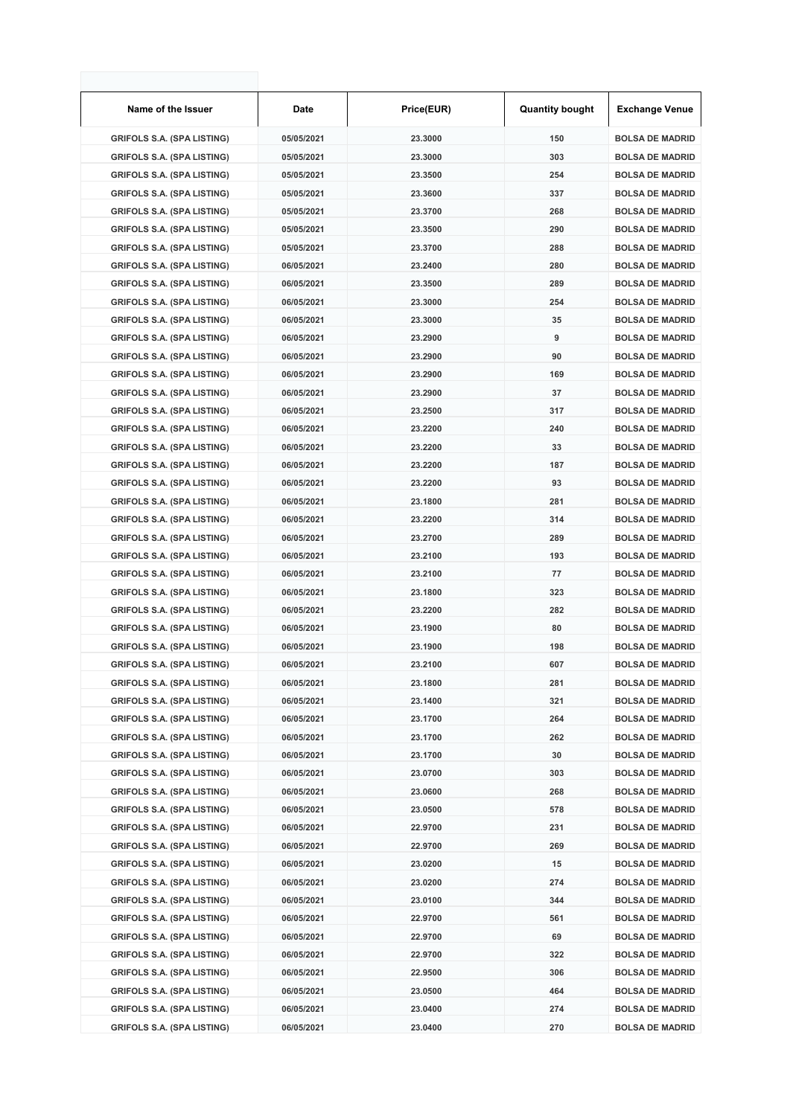| Name of the Issuer                | Date       | Price(EUR) | <b>Quantity bought</b> | <b>Exchange Venue</b>  |
|-----------------------------------|------------|------------|------------------------|------------------------|
| <b>GRIFOLS S.A. (SPA LISTING)</b> | 05/05/2021 | 23.3000    | 150                    | <b>BOLSA DE MADRID</b> |
| <b>GRIFOLS S.A. (SPA LISTING)</b> | 05/05/2021 | 23.3000    | 303                    | <b>BOLSA DE MADRID</b> |
| <b>GRIFOLS S.A. (SPA LISTING)</b> | 05/05/2021 | 23.3500    | 254                    | <b>BOLSA DE MADRID</b> |
| <b>GRIFOLS S.A. (SPA LISTING)</b> | 05/05/2021 | 23.3600    | 337                    | <b>BOLSA DE MADRID</b> |
| <b>GRIFOLS S.A. (SPA LISTING)</b> | 05/05/2021 | 23.3700    | 268                    | <b>BOLSA DE MADRID</b> |
| <b>GRIFOLS S.A. (SPA LISTING)</b> | 05/05/2021 | 23.3500    | 290                    | <b>BOLSA DE MADRID</b> |
| <b>GRIFOLS S.A. (SPA LISTING)</b> | 05/05/2021 | 23.3700    | 288                    | <b>BOLSA DE MADRID</b> |
| <b>GRIFOLS S.A. (SPA LISTING)</b> | 06/05/2021 | 23.2400    | 280                    | <b>BOLSA DE MADRID</b> |
| <b>GRIFOLS S.A. (SPA LISTING)</b> | 06/05/2021 | 23.3500    | 289                    | <b>BOLSA DE MADRID</b> |
| <b>GRIFOLS S.A. (SPA LISTING)</b> | 06/05/2021 | 23.3000    | 254                    | <b>BOLSA DE MADRID</b> |
| <b>GRIFOLS S.A. (SPA LISTING)</b> | 06/05/2021 | 23.3000    | 35                     | <b>BOLSA DE MADRID</b> |
| <b>GRIFOLS S.A. (SPA LISTING)</b> | 06/05/2021 | 23.2900    | 9                      | <b>BOLSA DE MADRID</b> |
| <b>GRIFOLS S.A. (SPA LISTING)</b> | 06/05/2021 | 23.2900    | 90                     | <b>BOLSA DE MADRID</b> |
| <b>GRIFOLS S.A. (SPA LISTING)</b> | 06/05/2021 | 23.2900    | 169                    | <b>BOLSA DE MADRID</b> |
| <b>GRIFOLS S.A. (SPA LISTING)</b> | 06/05/2021 | 23.2900    | 37                     | <b>BOLSA DE MADRID</b> |
| <b>GRIFOLS S.A. (SPA LISTING)</b> | 06/05/2021 | 23.2500    | 317                    | <b>BOLSA DE MADRID</b> |
| <b>GRIFOLS S.A. (SPA LISTING)</b> | 06/05/2021 | 23.2200    | 240                    | <b>BOLSA DE MADRID</b> |
| <b>GRIFOLS S.A. (SPA LISTING)</b> | 06/05/2021 | 23.2200    | 33                     | <b>BOLSA DE MADRID</b> |
| <b>GRIFOLS S.A. (SPA LISTING)</b> | 06/05/2021 | 23.2200    | 187                    | <b>BOLSA DE MADRID</b> |
| <b>GRIFOLS S.A. (SPA LISTING)</b> | 06/05/2021 | 23.2200    | 93                     | <b>BOLSA DE MADRID</b> |
| <b>GRIFOLS S.A. (SPA LISTING)</b> | 06/05/2021 | 23.1800    | 281                    | <b>BOLSA DE MADRID</b> |
| <b>GRIFOLS S.A. (SPA LISTING)</b> | 06/05/2021 | 23.2200    | 314                    | <b>BOLSA DE MADRID</b> |
| <b>GRIFOLS S.A. (SPA LISTING)</b> | 06/05/2021 | 23.2700    | 289                    | <b>BOLSA DE MADRID</b> |
| <b>GRIFOLS S.A. (SPA LISTING)</b> | 06/05/2021 | 23.2100    | 193                    | <b>BOLSA DE MADRID</b> |
| <b>GRIFOLS S.A. (SPA LISTING)</b> | 06/05/2021 | 23.2100    | 77                     | <b>BOLSA DE MADRID</b> |
| <b>GRIFOLS S.A. (SPA LISTING)</b> | 06/05/2021 | 23.1800    | 323                    | <b>BOLSA DE MADRID</b> |
| <b>GRIFOLS S.A. (SPA LISTING)</b> | 06/05/2021 | 23.2200    | 282                    | <b>BOLSA DE MADRID</b> |
| <b>GRIFOLS S.A. (SPA LISTING)</b> | 06/05/2021 | 23.1900    | 80                     | <b>BOLSA DE MADRID</b> |
| <b>GRIFOLS S.A. (SPA LISTING)</b> | 06/05/2021 | 23.1900    | 198                    | <b>BOLSA DE MADRID</b> |
| <b>GRIFOLS S.A. (SPA LISTING)</b> | 06/05/2021 | 23.2100    | 607                    | <b>BOLSA DE MADRID</b> |
| <b>GRIFOLS S.A. (SPA LISTING)</b> | 06/05/2021 | 23.1800    | 281                    | <b>BOLSA DE MADRID</b> |
| <b>GRIFOLS S.A. (SPA LISTING)</b> | 06/05/2021 | 23.1400    | 321                    | <b>BOLSA DE MADRID</b> |
| <b>GRIFOLS S.A. (SPA LISTING)</b> | 06/05/2021 | 23.1700    | 264                    | <b>BOLSA DE MADRID</b> |
| <b>GRIFOLS S.A. (SPA LISTING)</b> | 06/05/2021 | 23.1700    | 262                    | <b>BOLSA DE MADRID</b> |
| <b>GRIFOLS S.A. (SPA LISTING)</b> | 06/05/2021 | 23.1700    | 30                     | <b>BOLSA DE MADRID</b> |
| <b>GRIFOLS S.A. (SPA LISTING)</b> | 06/05/2021 | 23.0700    | 303                    | <b>BOLSA DE MADRID</b> |
| <b>GRIFOLS S.A. (SPA LISTING)</b> | 06/05/2021 | 23.0600    | 268                    | <b>BOLSA DE MADRID</b> |
| <b>GRIFOLS S.A. (SPA LISTING)</b> | 06/05/2021 | 23.0500    | 578                    | <b>BOLSA DE MADRID</b> |
| <b>GRIFOLS S.A. (SPA LISTING)</b> | 06/05/2021 | 22.9700    | 231                    | <b>BOLSA DE MADRID</b> |
| <b>GRIFOLS S.A. (SPA LISTING)</b> | 06/05/2021 | 22.9700    | 269                    | <b>BOLSA DE MADRID</b> |
| <b>GRIFOLS S.A. (SPA LISTING)</b> | 06/05/2021 | 23.0200    | 15                     | <b>BOLSA DE MADRID</b> |
| <b>GRIFOLS S.A. (SPA LISTING)</b> | 06/05/2021 | 23.0200    | 274                    | <b>BOLSA DE MADRID</b> |
| <b>GRIFOLS S.A. (SPA LISTING)</b> | 06/05/2021 | 23.0100    | 344                    | <b>BOLSA DE MADRID</b> |
| <b>GRIFOLS S.A. (SPA LISTING)</b> | 06/05/2021 | 22.9700    | 561                    | <b>BOLSA DE MADRID</b> |
| <b>GRIFOLS S.A. (SPA LISTING)</b> | 06/05/2021 | 22.9700    | 69                     | <b>BOLSA DE MADRID</b> |
| <b>GRIFOLS S.A. (SPA LISTING)</b> | 06/05/2021 | 22.9700    | 322                    | <b>BOLSA DE MADRID</b> |
| <b>GRIFOLS S.A. (SPA LISTING)</b> | 06/05/2021 | 22.9500    | 306                    | <b>BOLSA DE MADRID</b> |
| <b>GRIFOLS S.A. (SPA LISTING)</b> | 06/05/2021 | 23.0500    | 464                    | <b>BOLSA DE MADRID</b> |
| <b>GRIFOLS S.A. (SPA LISTING)</b> | 06/05/2021 | 23.0400    | 274                    | <b>BOLSA DE MADRID</b> |
| <b>GRIFOLS S.A. (SPA LISTING)</b> | 06/05/2021 | 23.0400    | 270                    | <b>BOLSA DE MADRID</b> |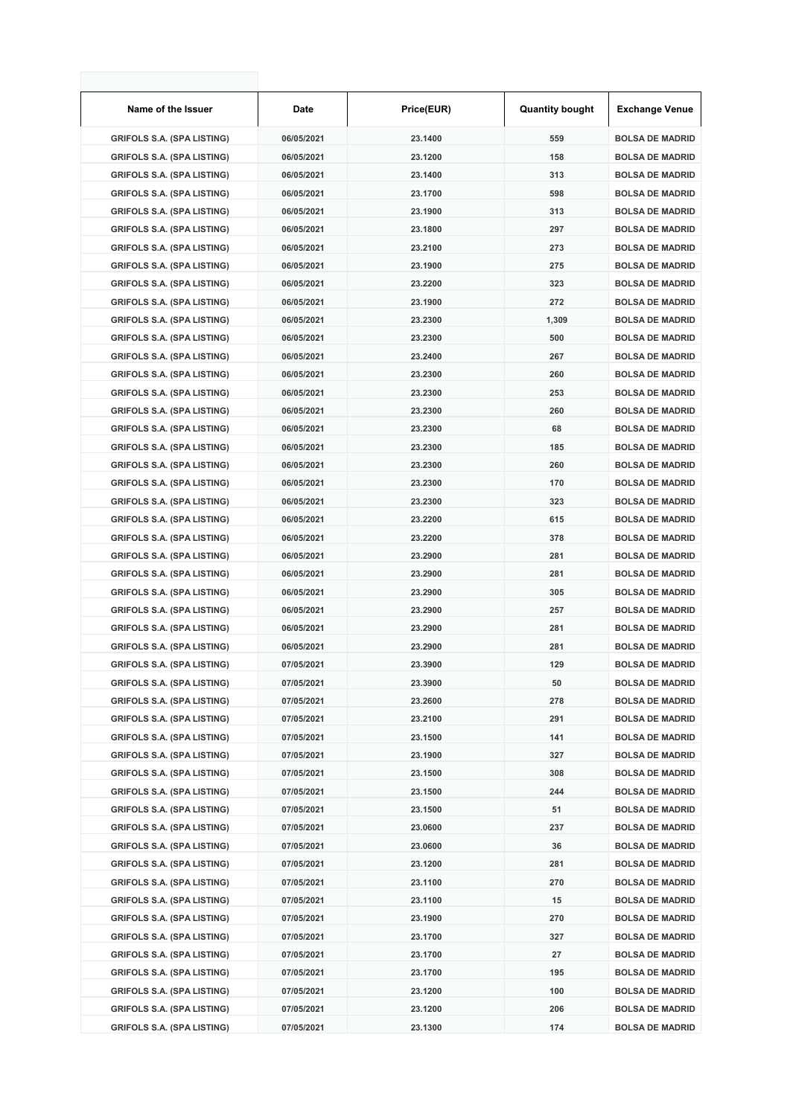| Name of the Issuer                | Date       | Price(EUR) | <b>Quantity bought</b> | <b>Exchange Venue</b>  |
|-----------------------------------|------------|------------|------------------------|------------------------|
| <b>GRIFOLS S.A. (SPA LISTING)</b> | 06/05/2021 | 23.1400    | 559                    | <b>BOLSA DE MADRID</b> |
| <b>GRIFOLS S.A. (SPA LISTING)</b> | 06/05/2021 | 23.1200    | 158                    | <b>BOLSA DE MADRID</b> |
| <b>GRIFOLS S.A. (SPA LISTING)</b> | 06/05/2021 | 23.1400    | 313                    | <b>BOLSA DE MADRID</b> |
| <b>GRIFOLS S.A. (SPA LISTING)</b> | 06/05/2021 | 23.1700    | 598                    | <b>BOLSA DE MADRID</b> |
| <b>GRIFOLS S.A. (SPA LISTING)</b> | 06/05/2021 | 23.1900    | 313                    | <b>BOLSA DE MADRID</b> |
| <b>GRIFOLS S.A. (SPA LISTING)</b> | 06/05/2021 | 23.1800    | 297                    | <b>BOLSA DE MADRID</b> |
| <b>GRIFOLS S.A. (SPA LISTING)</b> | 06/05/2021 | 23.2100    | 273                    | <b>BOLSA DE MADRID</b> |
| <b>GRIFOLS S.A. (SPA LISTING)</b> | 06/05/2021 | 23.1900    | 275                    | <b>BOLSA DE MADRID</b> |
| <b>GRIFOLS S.A. (SPA LISTING)</b> | 06/05/2021 | 23.2200    | 323                    | <b>BOLSA DE MADRID</b> |
| <b>GRIFOLS S.A. (SPA LISTING)</b> | 06/05/2021 | 23.1900    | 272                    | <b>BOLSA DE MADRID</b> |
| <b>GRIFOLS S.A. (SPA LISTING)</b> | 06/05/2021 | 23.2300    | 1,309                  | <b>BOLSA DE MADRID</b> |
| <b>GRIFOLS S.A. (SPA LISTING)</b> | 06/05/2021 | 23.2300    | 500                    | <b>BOLSA DE MADRID</b> |
| <b>GRIFOLS S.A. (SPA LISTING)</b> | 06/05/2021 | 23.2400    | 267                    | <b>BOLSA DE MADRID</b> |
| <b>GRIFOLS S.A. (SPA LISTING)</b> | 06/05/2021 | 23.2300    | 260                    | <b>BOLSA DE MADRID</b> |
| <b>GRIFOLS S.A. (SPA LISTING)</b> | 06/05/2021 | 23.2300    | 253                    | <b>BOLSA DE MADRID</b> |
| <b>GRIFOLS S.A. (SPA LISTING)</b> | 06/05/2021 | 23.2300    | 260                    | <b>BOLSA DE MADRID</b> |
| <b>GRIFOLS S.A. (SPA LISTING)</b> | 06/05/2021 | 23.2300    | 68                     | <b>BOLSA DE MADRID</b> |
| <b>GRIFOLS S.A. (SPA LISTING)</b> | 06/05/2021 | 23.2300    | 185                    | <b>BOLSA DE MADRID</b> |
| <b>GRIFOLS S.A. (SPA LISTING)</b> | 06/05/2021 | 23.2300    | 260                    | <b>BOLSA DE MADRID</b> |
| <b>GRIFOLS S.A. (SPA LISTING)</b> | 06/05/2021 | 23.2300    | 170                    | <b>BOLSA DE MADRID</b> |
| <b>GRIFOLS S.A. (SPA LISTING)</b> | 06/05/2021 | 23.2300    | 323                    | <b>BOLSA DE MADRID</b> |
| <b>GRIFOLS S.A. (SPA LISTING)</b> | 06/05/2021 | 23.2200    | 615                    | <b>BOLSA DE MADRID</b> |
| <b>GRIFOLS S.A. (SPA LISTING)</b> | 06/05/2021 | 23.2200    | 378                    | <b>BOLSA DE MADRID</b> |
| <b>GRIFOLS S.A. (SPA LISTING)</b> | 06/05/2021 | 23.2900    | 281                    | <b>BOLSA DE MADRID</b> |
| <b>GRIFOLS S.A. (SPA LISTING)</b> | 06/05/2021 | 23.2900    | 281                    | <b>BOLSA DE MADRID</b> |
| <b>GRIFOLS S.A. (SPA LISTING)</b> | 06/05/2021 | 23.2900    | 305                    | <b>BOLSA DE MADRID</b> |
| <b>GRIFOLS S.A. (SPA LISTING)</b> | 06/05/2021 | 23.2900    | 257                    | <b>BOLSA DE MADRID</b> |
| <b>GRIFOLS S.A. (SPA LISTING)</b> | 06/05/2021 | 23.2900    | 281                    | <b>BOLSA DE MADRID</b> |
| <b>GRIFOLS S.A. (SPA LISTING)</b> | 06/05/2021 | 23.2900    | 281                    | <b>BOLSA DE MADRID</b> |
| <b>GRIFOLS S.A. (SPA LISTING)</b> | 07/05/2021 | 23.3900    | 129                    | <b>BOLSA DE MADRID</b> |
| <b>GRIFOLS S.A. (SPA LISTING)</b> | 07/05/2021 | 23.3900    | 50                     | <b>BOLSA DE MADRID</b> |
| <b>GRIFOLS S.A. (SPA LISTING)</b> | 07/05/2021 | 23.2600    | 278                    | <b>BOLSA DE MADRID</b> |
| <b>GRIFOLS S.A. (SPA LISTING)</b> | 07/05/2021 | 23.2100    | 291                    | <b>BOLSA DE MADRID</b> |
| <b>GRIFOLS S.A. (SPA LISTING)</b> | 07/05/2021 | 23.1500    | 141                    | <b>BOLSA DE MADRID</b> |
| <b>GRIFOLS S.A. (SPA LISTING)</b> | 07/05/2021 | 23.1900    | 327                    | <b>BOLSA DE MADRID</b> |
| <b>GRIFOLS S.A. (SPA LISTING)</b> | 07/05/2021 | 23.1500    | 308                    | <b>BOLSA DE MADRID</b> |
| <b>GRIFOLS S.A. (SPA LISTING)</b> | 07/05/2021 | 23.1500    | 244                    | <b>BOLSA DE MADRID</b> |
| <b>GRIFOLS S.A. (SPA LISTING)</b> | 07/05/2021 | 23.1500    | 51                     | <b>BOLSA DE MADRID</b> |
| <b>GRIFOLS S.A. (SPA LISTING)</b> | 07/05/2021 | 23.0600    | 237                    | <b>BOLSA DE MADRID</b> |
| <b>GRIFOLS S.A. (SPA LISTING)</b> | 07/05/2021 | 23.0600    | 36                     | <b>BOLSA DE MADRID</b> |
| <b>GRIFOLS S.A. (SPA LISTING)</b> | 07/05/2021 | 23.1200    | 281                    | <b>BOLSA DE MADRID</b> |
| <b>GRIFOLS S.A. (SPA LISTING)</b> | 07/05/2021 | 23.1100    | 270                    | <b>BOLSA DE MADRID</b> |
| <b>GRIFOLS S.A. (SPA LISTING)</b> | 07/05/2021 | 23.1100    | 15                     | <b>BOLSA DE MADRID</b> |
| <b>GRIFOLS S.A. (SPA LISTING)</b> | 07/05/2021 | 23.1900    | 270                    | <b>BOLSA DE MADRID</b> |
| <b>GRIFOLS S.A. (SPA LISTING)</b> | 07/05/2021 | 23.1700    | 327                    | <b>BOLSA DE MADRID</b> |
| <b>GRIFOLS S.A. (SPA LISTING)</b> | 07/05/2021 | 23.1700    | 27                     | <b>BOLSA DE MADRID</b> |
| <b>GRIFOLS S.A. (SPA LISTING)</b> | 07/05/2021 | 23.1700    | 195                    | <b>BOLSA DE MADRID</b> |
| <b>GRIFOLS S.A. (SPA LISTING)</b> | 07/05/2021 | 23.1200    | 100                    | <b>BOLSA DE MADRID</b> |
| <b>GRIFOLS S.A. (SPA LISTING)</b> | 07/05/2021 | 23.1200    | 206                    | <b>BOLSA DE MADRID</b> |
| <b>GRIFOLS S.A. (SPA LISTING)</b> | 07/05/2021 | 23.1300    | 174                    | <b>BOLSA DE MADRID</b> |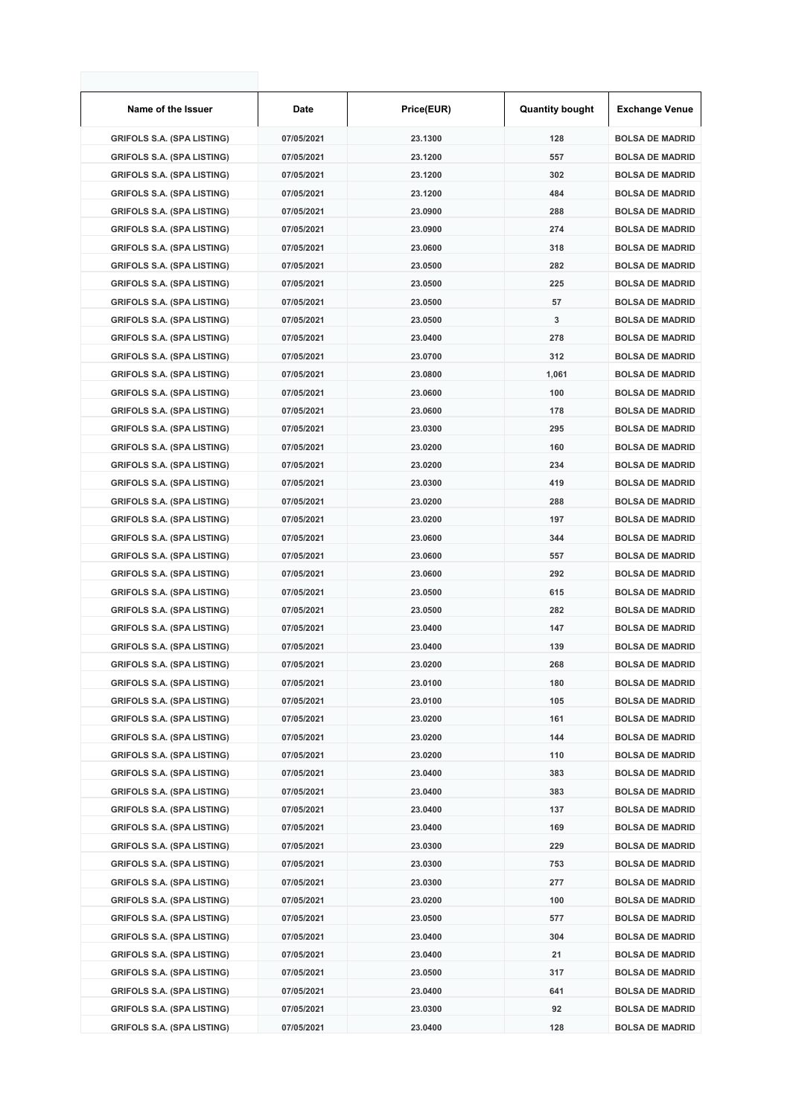| Name of the Issuer                | Date       | Price(EUR) | <b>Quantity bought</b> | <b>Exchange Venue</b>  |
|-----------------------------------|------------|------------|------------------------|------------------------|
| <b>GRIFOLS S.A. (SPA LISTING)</b> | 07/05/2021 | 23.1300    | 128                    | <b>BOLSA DE MADRID</b> |
| <b>GRIFOLS S.A. (SPA LISTING)</b> | 07/05/2021 | 23.1200    | 557                    | <b>BOLSA DE MADRID</b> |
| <b>GRIFOLS S.A. (SPA LISTING)</b> | 07/05/2021 | 23.1200    | 302                    | <b>BOLSA DE MADRID</b> |
| <b>GRIFOLS S.A. (SPA LISTING)</b> | 07/05/2021 | 23.1200    | 484                    | <b>BOLSA DE MADRID</b> |
| <b>GRIFOLS S.A. (SPA LISTING)</b> | 07/05/2021 | 23.0900    | 288                    | <b>BOLSA DE MADRID</b> |
| <b>GRIFOLS S.A. (SPA LISTING)</b> | 07/05/2021 | 23.0900    | 274                    | <b>BOLSA DE MADRID</b> |
| <b>GRIFOLS S.A. (SPA LISTING)</b> | 07/05/2021 | 23.0600    | 318                    | <b>BOLSA DE MADRID</b> |
| <b>GRIFOLS S.A. (SPA LISTING)</b> | 07/05/2021 | 23.0500    | 282                    | <b>BOLSA DE MADRID</b> |
| <b>GRIFOLS S.A. (SPA LISTING)</b> | 07/05/2021 | 23.0500    | 225                    | <b>BOLSA DE MADRID</b> |
| <b>GRIFOLS S.A. (SPA LISTING)</b> | 07/05/2021 | 23.0500    | 57                     | <b>BOLSA DE MADRID</b> |
| <b>GRIFOLS S.A. (SPA LISTING)</b> | 07/05/2021 | 23.0500    | 3                      | <b>BOLSA DE MADRID</b> |
| <b>GRIFOLS S.A. (SPA LISTING)</b> | 07/05/2021 | 23.0400    | 278                    | <b>BOLSA DE MADRID</b> |
| <b>GRIFOLS S.A. (SPA LISTING)</b> | 07/05/2021 | 23.0700    | 312                    | <b>BOLSA DE MADRID</b> |
| <b>GRIFOLS S.A. (SPA LISTING)</b> | 07/05/2021 | 23.0800    | 1,061                  | <b>BOLSA DE MADRID</b> |
| <b>GRIFOLS S.A. (SPA LISTING)</b> | 07/05/2021 | 23.0600    | 100                    | <b>BOLSA DE MADRID</b> |
| <b>GRIFOLS S.A. (SPA LISTING)</b> | 07/05/2021 | 23.0600    | 178                    | <b>BOLSA DE MADRID</b> |
| <b>GRIFOLS S.A. (SPA LISTING)</b> | 07/05/2021 | 23.0300    | 295                    | <b>BOLSA DE MADRID</b> |
| <b>GRIFOLS S.A. (SPA LISTING)</b> | 07/05/2021 | 23.0200    | 160                    | <b>BOLSA DE MADRID</b> |
| <b>GRIFOLS S.A. (SPA LISTING)</b> | 07/05/2021 | 23.0200    | 234                    | <b>BOLSA DE MADRID</b> |
| <b>GRIFOLS S.A. (SPA LISTING)</b> | 07/05/2021 | 23.0300    | 419                    | <b>BOLSA DE MADRID</b> |
| <b>GRIFOLS S.A. (SPA LISTING)</b> | 07/05/2021 | 23.0200    | 288                    | <b>BOLSA DE MADRID</b> |
| <b>GRIFOLS S.A. (SPA LISTING)</b> | 07/05/2021 | 23.0200    | 197                    | <b>BOLSA DE MADRID</b> |
| <b>GRIFOLS S.A. (SPA LISTING)</b> | 07/05/2021 | 23.0600    | 344                    | <b>BOLSA DE MADRID</b> |
| <b>GRIFOLS S.A. (SPA LISTING)</b> | 07/05/2021 | 23.0600    | 557                    | <b>BOLSA DE MADRID</b> |
| <b>GRIFOLS S.A. (SPA LISTING)</b> | 07/05/2021 | 23.0600    | 292                    | <b>BOLSA DE MADRID</b> |
| <b>GRIFOLS S.A. (SPA LISTING)</b> | 07/05/2021 | 23.0500    | 615                    | <b>BOLSA DE MADRID</b> |
| <b>GRIFOLS S.A. (SPA LISTING)</b> | 07/05/2021 | 23.0500    | 282                    | <b>BOLSA DE MADRID</b> |
| <b>GRIFOLS S.A. (SPA LISTING)</b> | 07/05/2021 | 23.0400    | 147                    | <b>BOLSA DE MADRID</b> |
| <b>GRIFOLS S.A. (SPA LISTING)</b> | 07/05/2021 | 23.0400    | 139                    | <b>BOLSA DE MADRID</b> |
| <b>GRIFOLS S.A. (SPA LISTING)</b> | 07/05/2021 | 23.0200    | 268                    | <b>BOLSA DE MADRID</b> |
| <b>GRIFOLS S.A. (SPA LISTING)</b> | 07/05/2021 | 23.0100    | 180                    | <b>BOLSA DE MADRID</b> |
| <b>GRIFOLS S.A. (SPA LISTING)</b> | 07/05/2021 | 23.0100    | 105                    | <b>BOLSA DE MADRID</b> |
| <b>GRIFOLS S.A. (SPA LISTING)</b> | 07/05/2021 | 23.0200    | 161                    | <b>BOLSA DE MADRID</b> |
| <b>GRIFOLS S.A. (SPA LISTING)</b> | 07/05/2021 | 23.0200    | 144                    | <b>BOLSA DE MADRID</b> |
| <b>GRIFOLS S.A. (SPA LISTING)</b> | 07/05/2021 | 23.0200    | 110                    | <b>BOLSA DE MADRID</b> |
| <b>GRIFOLS S.A. (SPA LISTING)</b> | 07/05/2021 | 23.0400    | 383                    | <b>BOLSA DE MADRID</b> |
| <b>GRIFOLS S.A. (SPA LISTING)</b> | 07/05/2021 | 23.0400    | 383                    | <b>BOLSA DE MADRID</b> |
| <b>GRIFOLS S.A. (SPA LISTING)</b> | 07/05/2021 | 23.0400    | 137                    | <b>BOLSA DE MADRID</b> |
| <b>GRIFOLS S.A. (SPA LISTING)</b> | 07/05/2021 | 23.0400    | 169                    | <b>BOLSA DE MADRID</b> |
| <b>GRIFOLS S.A. (SPA LISTING)</b> | 07/05/2021 | 23.0300    | 229                    | <b>BOLSA DE MADRID</b> |
| <b>GRIFOLS S.A. (SPA LISTING)</b> | 07/05/2021 | 23.0300    | 753                    | <b>BOLSA DE MADRID</b> |
| <b>GRIFOLS S.A. (SPA LISTING)</b> | 07/05/2021 | 23.0300    | 277                    | <b>BOLSA DE MADRID</b> |
| <b>GRIFOLS S.A. (SPA LISTING)</b> | 07/05/2021 | 23.0200    | 100                    | <b>BOLSA DE MADRID</b> |
| <b>GRIFOLS S.A. (SPA LISTING)</b> | 07/05/2021 | 23.0500    | 577                    | <b>BOLSA DE MADRID</b> |
| <b>GRIFOLS S.A. (SPA LISTING)</b> | 07/05/2021 | 23.0400    | 304                    | <b>BOLSA DE MADRID</b> |
| <b>GRIFOLS S.A. (SPA LISTING)</b> | 07/05/2021 | 23.0400    | 21                     | <b>BOLSA DE MADRID</b> |
| <b>GRIFOLS S.A. (SPA LISTING)</b> | 07/05/2021 | 23.0500    | 317                    | <b>BOLSA DE MADRID</b> |
| <b>GRIFOLS S.A. (SPA LISTING)</b> | 07/05/2021 | 23.0400    | 641                    | <b>BOLSA DE MADRID</b> |
| <b>GRIFOLS S.A. (SPA LISTING)</b> | 07/05/2021 | 23.0300    | 92                     | <b>BOLSA DE MADRID</b> |
| <b>GRIFOLS S.A. (SPA LISTING)</b> | 07/05/2021 | 23.0400    | 128                    | <b>BOLSA DE MADRID</b> |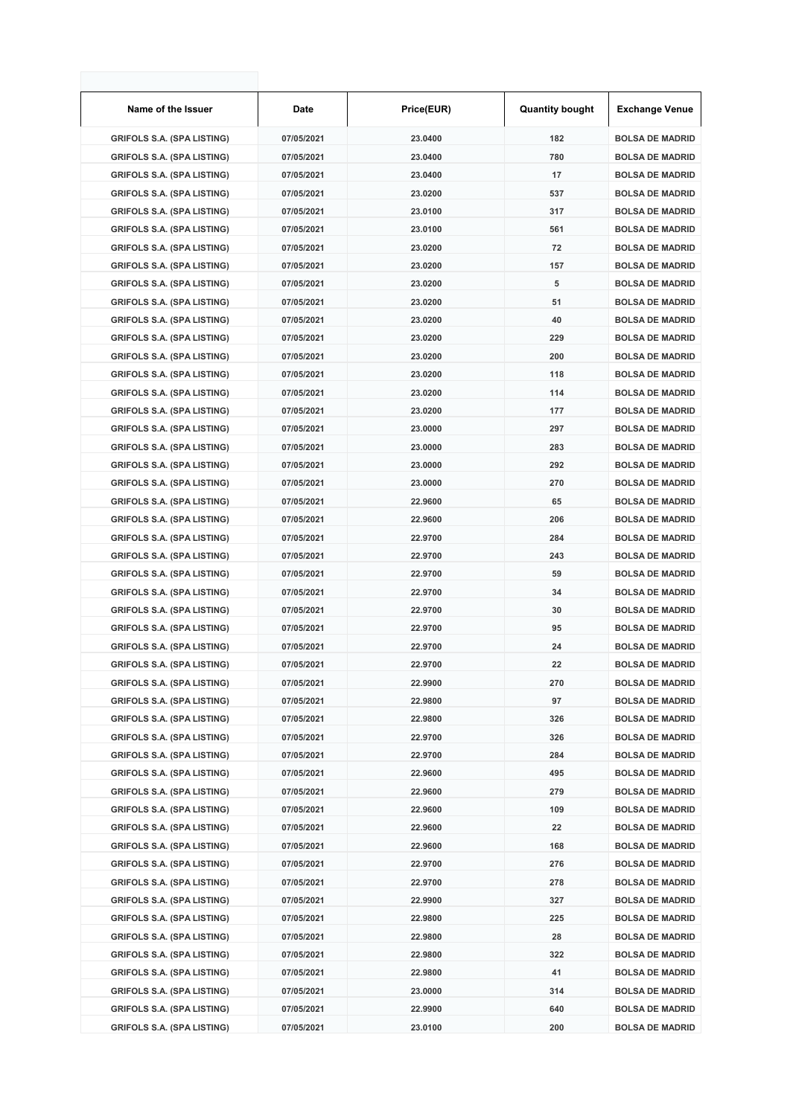| Name of the Issuer                | Date       | Price(EUR) | <b>Quantity bought</b> | <b>Exchange Venue</b>  |
|-----------------------------------|------------|------------|------------------------|------------------------|
| <b>GRIFOLS S.A. (SPA LISTING)</b> | 07/05/2021 | 23.0400    | 182                    | <b>BOLSA DE MADRID</b> |
| <b>GRIFOLS S.A. (SPA LISTING)</b> | 07/05/2021 | 23.0400    | 780                    | <b>BOLSA DE MADRID</b> |
| <b>GRIFOLS S.A. (SPA LISTING)</b> | 07/05/2021 | 23.0400    | 17                     | <b>BOLSA DE MADRID</b> |
| <b>GRIFOLS S.A. (SPA LISTING)</b> | 07/05/2021 | 23.0200    | 537                    | <b>BOLSA DE MADRID</b> |
| <b>GRIFOLS S.A. (SPA LISTING)</b> | 07/05/2021 | 23.0100    | 317                    | <b>BOLSA DE MADRID</b> |
| <b>GRIFOLS S.A. (SPA LISTING)</b> | 07/05/2021 | 23.0100    | 561                    | <b>BOLSA DE MADRID</b> |
| <b>GRIFOLS S.A. (SPA LISTING)</b> | 07/05/2021 | 23.0200    | 72                     | <b>BOLSA DE MADRID</b> |
| <b>GRIFOLS S.A. (SPA LISTING)</b> | 07/05/2021 | 23.0200    | 157                    | <b>BOLSA DE MADRID</b> |
| <b>GRIFOLS S.A. (SPA LISTING)</b> | 07/05/2021 | 23.0200    | 5                      | <b>BOLSA DE MADRID</b> |
| <b>GRIFOLS S.A. (SPA LISTING)</b> | 07/05/2021 | 23.0200    | 51                     | <b>BOLSA DE MADRID</b> |
| <b>GRIFOLS S.A. (SPA LISTING)</b> | 07/05/2021 | 23.0200    | 40                     | <b>BOLSA DE MADRID</b> |
| <b>GRIFOLS S.A. (SPA LISTING)</b> | 07/05/2021 | 23.0200    | 229                    | <b>BOLSA DE MADRID</b> |
| <b>GRIFOLS S.A. (SPA LISTING)</b> | 07/05/2021 | 23.0200    | 200                    | <b>BOLSA DE MADRID</b> |
| <b>GRIFOLS S.A. (SPA LISTING)</b> | 07/05/2021 | 23.0200    | 118                    | <b>BOLSA DE MADRID</b> |
| <b>GRIFOLS S.A. (SPA LISTING)</b> | 07/05/2021 | 23.0200    | 114                    | <b>BOLSA DE MADRID</b> |
| <b>GRIFOLS S.A. (SPA LISTING)</b> | 07/05/2021 | 23.0200    | 177                    | <b>BOLSA DE MADRID</b> |
| <b>GRIFOLS S.A. (SPA LISTING)</b> | 07/05/2021 | 23.0000    | 297                    | <b>BOLSA DE MADRID</b> |
| <b>GRIFOLS S.A. (SPA LISTING)</b> | 07/05/2021 | 23.0000    | 283                    | <b>BOLSA DE MADRID</b> |
| <b>GRIFOLS S.A. (SPA LISTING)</b> | 07/05/2021 | 23.0000    | 292                    | <b>BOLSA DE MADRID</b> |
| <b>GRIFOLS S.A. (SPA LISTING)</b> | 07/05/2021 | 23.0000    | 270                    | <b>BOLSA DE MADRID</b> |
| <b>GRIFOLS S.A. (SPA LISTING)</b> | 07/05/2021 | 22.9600    | 65                     | <b>BOLSA DE MADRID</b> |
| <b>GRIFOLS S.A. (SPA LISTING)</b> | 07/05/2021 | 22.9600    | 206                    | <b>BOLSA DE MADRID</b> |
| <b>GRIFOLS S.A. (SPA LISTING)</b> | 07/05/2021 | 22.9700    | 284                    | <b>BOLSA DE MADRID</b> |
| <b>GRIFOLS S.A. (SPA LISTING)</b> | 07/05/2021 | 22.9700    | 243                    | <b>BOLSA DE MADRID</b> |
| <b>GRIFOLS S.A. (SPA LISTING)</b> | 07/05/2021 | 22.9700    | 59                     | <b>BOLSA DE MADRID</b> |
| <b>GRIFOLS S.A. (SPA LISTING)</b> | 07/05/2021 | 22.9700    | 34                     | <b>BOLSA DE MADRID</b> |
| <b>GRIFOLS S.A. (SPA LISTING)</b> | 07/05/2021 | 22.9700    | 30                     | <b>BOLSA DE MADRID</b> |
| <b>GRIFOLS S.A. (SPA LISTING)</b> | 07/05/2021 | 22.9700    | 95                     | <b>BOLSA DE MADRID</b> |
| <b>GRIFOLS S.A. (SPA LISTING)</b> | 07/05/2021 | 22.9700    | 24                     | <b>BOLSA DE MADRID</b> |
| <b>GRIFOLS S.A. (SPA LISTING)</b> | 07/05/2021 | 22.9700    | 22                     | <b>BOLSA DE MADRID</b> |
| <b>GRIFOLS S.A. (SPA LISTING)</b> | 07/05/2021 | 22.9900    | 270                    | <b>BOLSA DE MADRID</b> |
| <b>GRIFOLS S.A. (SPA LISTING)</b> | 07/05/2021 | 22.9800    | 97                     | <b>BOLSA DE MADRID</b> |
| <b>GRIFOLS S.A. (SPA LISTING)</b> | 07/05/2021 | 22.9800    | 326                    | <b>BOLSA DE MADRID</b> |
| <b>GRIFOLS S.A. (SPA LISTING)</b> | 07/05/2021 | 22.9700    | 326                    | <b>BOLSA DE MADRID</b> |
| <b>GRIFOLS S.A. (SPA LISTING)</b> | 07/05/2021 | 22.9700    | 284                    | <b>BOLSA DE MADRID</b> |
| <b>GRIFOLS S.A. (SPA LISTING)</b> | 07/05/2021 | 22.9600    | 495                    | <b>BOLSA DE MADRID</b> |
| <b>GRIFOLS S.A. (SPA LISTING)</b> | 07/05/2021 | 22.9600    | 279                    | <b>BOLSA DE MADRID</b> |
| <b>GRIFOLS S.A. (SPA LISTING)</b> | 07/05/2021 | 22.9600    | 109                    | <b>BOLSA DE MADRID</b> |
| <b>GRIFOLS S.A. (SPA LISTING)</b> | 07/05/2021 | 22.9600    | 22                     | <b>BOLSA DE MADRID</b> |
| <b>GRIFOLS S.A. (SPA LISTING)</b> | 07/05/2021 | 22.9600    | 168                    | <b>BOLSA DE MADRID</b> |
| <b>GRIFOLS S.A. (SPA LISTING)</b> | 07/05/2021 | 22.9700    | 276                    | <b>BOLSA DE MADRID</b> |
| <b>GRIFOLS S.A. (SPA LISTING)</b> | 07/05/2021 | 22.9700    | 278                    | <b>BOLSA DE MADRID</b> |
| <b>GRIFOLS S.A. (SPA LISTING)</b> | 07/05/2021 | 22.9900    | 327                    | <b>BOLSA DE MADRID</b> |
| <b>GRIFOLS S.A. (SPA LISTING)</b> | 07/05/2021 | 22.9800    | 225                    | <b>BOLSA DE MADRID</b> |
| <b>GRIFOLS S.A. (SPA LISTING)</b> | 07/05/2021 | 22.9800    | 28                     | <b>BOLSA DE MADRID</b> |
| <b>GRIFOLS S.A. (SPA LISTING)</b> | 07/05/2021 | 22.9800    | 322                    | <b>BOLSA DE MADRID</b> |
| <b>GRIFOLS S.A. (SPA LISTING)</b> | 07/05/2021 | 22.9800    | 41                     | <b>BOLSA DE MADRID</b> |
| <b>GRIFOLS S.A. (SPA LISTING)</b> | 07/05/2021 | 23.0000    | 314                    | <b>BOLSA DE MADRID</b> |
| <b>GRIFOLS S.A. (SPA LISTING)</b> | 07/05/2021 | 22.9900    | 640                    | <b>BOLSA DE MADRID</b> |
| <b>GRIFOLS S.A. (SPA LISTING)</b> | 07/05/2021 | 23.0100    | 200                    | <b>BOLSA DE MADRID</b> |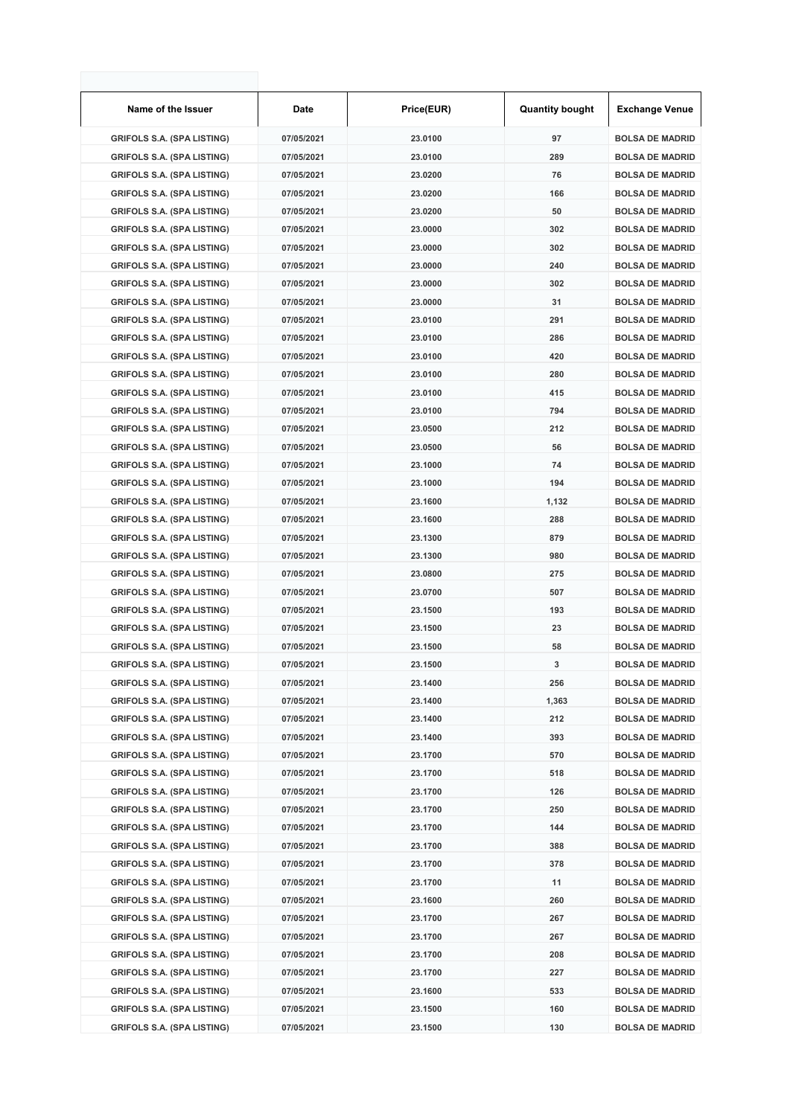| Name of the Issuer                | Date       | Price(EUR) | <b>Quantity bought</b> | <b>Exchange Venue</b>  |
|-----------------------------------|------------|------------|------------------------|------------------------|
| <b>GRIFOLS S.A. (SPA LISTING)</b> | 07/05/2021 | 23.0100    | 97                     | <b>BOLSA DE MADRID</b> |
| <b>GRIFOLS S.A. (SPA LISTING)</b> | 07/05/2021 | 23.0100    | 289                    | <b>BOLSA DE MADRID</b> |
| <b>GRIFOLS S.A. (SPA LISTING)</b> | 07/05/2021 | 23.0200    | 76                     | <b>BOLSA DE MADRID</b> |
| <b>GRIFOLS S.A. (SPA LISTING)</b> | 07/05/2021 | 23.0200    | 166                    | <b>BOLSA DE MADRID</b> |
| <b>GRIFOLS S.A. (SPA LISTING)</b> | 07/05/2021 | 23.0200    | 50                     | <b>BOLSA DE MADRID</b> |
| <b>GRIFOLS S.A. (SPA LISTING)</b> | 07/05/2021 | 23.0000    | 302                    | <b>BOLSA DE MADRID</b> |
| <b>GRIFOLS S.A. (SPA LISTING)</b> | 07/05/2021 | 23.0000    | 302                    | <b>BOLSA DE MADRID</b> |
| <b>GRIFOLS S.A. (SPA LISTING)</b> | 07/05/2021 | 23.0000    | 240                    | <b>BOLSA DE MADRID</b> |
| <b>GRIFOLS S.A. (SPA LISTING)</b> | 07/05/2021 | 23.0000    | 302                    | <b>BOLSA DE MADRID</b> |
| <b>GRIFOLS S.A. (SPA LISTING)</b> | 07/05/2021 | 23.0000    | 31                     | <b>BOLSA DE MADRID</b> |
| <b>GRIFOLS S.A. (SPA LISTING)</b> | 07/05/2021 | 23.0100    | 291                    | <b>BOLSA DE MADRID</b> |
| <b>GRIFOLS S.A. (SPA LISTING)</b> | 07/05/2021 | 23.0100    | 286                    | <b>BOLSA DE MADRID</b> |
| <b>GRIFOLS S.A. (SPA LISTING)</b> | 07/05/2021 | 23.0100    | 420                    | <b>BOLSA DE MADRID</b> |
| <b>GRIFOLS S.A. (SPA LISTING)</b> | 07/05/2021 | 23.0100    | 280                    | <b>BOLSA DE MADRID</b> |
| <b>GRIFOLS S.A. (SPA LISTING)</b> | 07/05/2021 | 23.0100    | 415                    | <b>BOLSA DE MADRID</b> |
| <b>GRIFOLS S.A. (SPA LISTING)</b> | 07/05/2021 | 23.0100    | 794                    | <b>BOLSA DE MADRID</b> |
| <b>GRIFOLS S.A. (SPA LISTING)</b> | 07/05/2021 | 23.0500    | 212                    | <b>BOLSA DE MADRID</b> |
| <b>GRIFOLS S.A. (SPA LISTING)</b> | 07/05/2021 | 23.0500    | 56                     | <b>BOLSA DE MADRID</b> |
| <b>GRIFOLS S.A. (SPA LISTING)</b> | 07/05/2021 | 23.1000    | 74                     | <b>BOLSA DE MADRID</b> |
| <b>GRIFOLS S.A. (SPA LISTING)</b> | 07/05/2021 | 23.1000    | 194                    | <b>BOLSA DE MADRID</b> |
| <b>GRIFOLS S.A. (SPA LISTING)</b> | 07/05/2021 | 23.1600    | 1,132                  | <b>BOLSA DE MADRID</b> |
| <b>GRIFOLS S.A. (SPA LISTING)</b> | 07/05/2021 | 23.1600    | 288                    | <b>BOLSA DE MADRID</b> |
| <b>GRIFOLS S.A. (SPA LISTING)</b> | 07/05/2021 | 23.1300    | 879                    | <b>BOLSA DE MADRID</b> |
| <b>GRIFOLS S.A. (SPA LISTING)</b> | 07/05/2021 | 23.1300    | 980                    | <b>BOLSA DE MADRID</b> |
| <b>GRIFOLS S.A. (SPA LISTING)</b> | 07/05/2021 | 23.0800    | 275                    | <b>BOLSA DE MADRID</b> |
| <b>GRIFOLS S.A. (SPA LISTING)</b> | 07/05/2021 | 23.0700    | 507                    | <b>BOLSA DE MADRID</b> |
| <b>GRIFOLS S.A. (SPA LISTING)</b> | 07/05/2021 | 23.1500    | 193                    | <b>BOLSA DE MADRID</b> |
| <b>GRIFOLS S.A. (SPA LISTING)</b> | 07/05/2021 | 23.1500    | 23                     | <b>BOLSA DE MADRID</b> |
| <b>GRIFOLS S.A. (SPA LISTING)</b> | 07/05/2021 | 23.1500    | 58                     | <b>BOLSA DE MADRID</b> |
| <b>GRIFOLS S.A. (SPA LISTING)</b> | 07/05/2021 | 23.1500    | 3                      | <b>BOLSA DE MADRID</b> |
| <b>GRIFOLS S.A. (SPA LISTING)</b> | 07/05/2021 | 23.1400    | 256                    | <b>BOLSA DE MADRID</b> |
| <b>GRIFOLS S.A. (SPA LISTING)</b> | 07/05/2021 | 23.1400    | 1,363                  | <b>BOLSA DE MADRID</b> |
| <b>GRIFOLS S.A. (SPA LISTING)</b> | 07/05/2021 | 23.1400    | 212                    | <b>BOLSA DE MADRID</b> |
| <b>GRIFOLS S.A. (SPA LISTING)</b> | 07/05/2021 | 23.1400    | 393                    | <b>BOLSA DE MADRID</b> |
| <b>GRIFOLS S.A. (SPA LISTING)</b> | 07/05/2021 | 23.1700    | 570                    | <b>BOLSA DE MADRID</b> |
| <b>GRIFOLS S.A. (SPA LISTING)</b> | 07/05/2021 | 23.1700    | 518                    | <b>BOLSA DE MADRID</b> |
| <b>GRIFOLS S.A. (SPA LISTING)</b> | 07/05/2021 | 23.1700    | 126                    | <b>BOLSA DE MADRID</b> |
| <b>GRIFOLS S.A. (SPA LISTING)</b> | 07/05/2021 | 23.1700    | 250                    | <b>BOLSA DE MADRID</b> |
| <b>GRIFOLS S.A. (SPA LISTING)</b> | 07/05/2021 | 23.1700    | 144                    | <b>BOLSA DE MADRID</b> |
| <b>GRIFOLS S.A. (SPA LISTING)</b> | 07/05/2021 | 23.1700    | 388                    | <b>BOLSA DE MADRID</b> |
| <b>GRIFOLS S.A. (SPA LISTING)</b> | 07/05/2021 | 23.1700    | 378                    | <b>BOLSA DE MADRID</b> |
| <b>GRIFOLS S.A. (SPA LISTING)</b> | 07/05/2021 | 23.1700    | 11                     | <b>BOLSA DE MADRID</b> |
| <b>GRIFOLS S.A. (SPA LISTING)</b> | 07/05/2021 | 23.1600    | 260                    | <b>BOLSA DE MADRID</b> |
| <b>GRIFOLS S.A. (SPA LISTING)</b> | 07/05/2021 | 23.1700    | 267                    | <b>BOLSA DE MADRID</b> |
| <b>GRIFOLS S.A. (SPA LISTING)</b> | 07/05/2021 | 23.1700    | 267                    | <b>BOLSA DE MADRID</b> |
| <b>GRIFOLS S.A. (SPA LISTING)</b> | 07/05/2021 | 23.1700    | 208                    | <b>BOLSA DE MADRID</b> |
| <b>GRIFOLS S.A. (SPA LISTING)</b> | 07/05/2021 | 23.1700    | 227                    | <b>BOLSA DE MADRID</b> |
| <b>GRIFOLS S.A. (SPA LISTING)</b> | 07/05/2021 | 23.1600    | 533                    | <b>BOLSA DE MADRID</b> |
| <b>GRIFOLS S.A. (SPA LISTING)</b> | 07/05/2021 | 23.1500    | 160                    | <b>BOLSA DE MADRID</b> |
| <b>GRIFOLS S.A. (SPA LISTING)</b> | 07/05/2021 | 23.1500    | 130                    | <b>BOLSA DE MADRID</b> |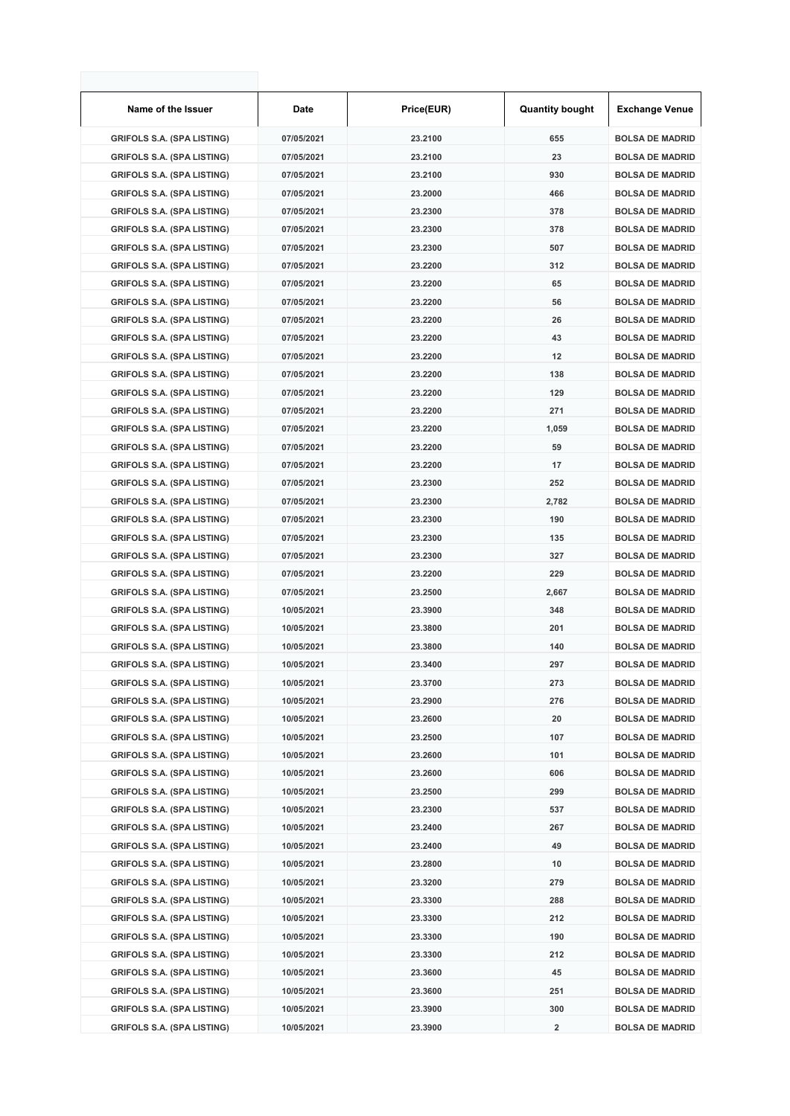| Name of the Issuer                | Date       | Price(EUR) | <b>Quantity bought</b> | <b>Exchange Venue</b>  |
|-----------------------------------|------------|------------|------------------------|------------------------|
| <b>GRIFOLS S.A. (SPA LISTING)</b> | 07/05/2021 | 23.2100    | 655                    | <b>BOLSA DE MADRID</b> |
| <b>GRIFOLS S.A. (SPA LISTING)</b> | 07/05/2021 | 23.2100    | 23                     | <b>BOLSA DE MADRID</b> |
| <b>GRIFOLS S.A. (SPA LISTING)</b> | 07/05/2021 | 23.2100    | 930                    | <b>BOLSA DE MADRID</b> |
| <b>GRIFOLS S.A. (SPA LISTING)</b> | 07/05/2021 | 23.2000    | 466                    | <b>BOLSA DE MADRID</b> |
| <b>GRIFOLS S.A. (SPA LISTING)</b> | 07/05/2021 | 23.2300    | 378                    | <b>BOLSA DE MADRID</b> |
| <b>GRIFOLS S.A. (SPA LISTING)</b> | 07/05/2021 | 23.2300    | 378                    | <b>BOLSA DE MADRID</b> |
| <b>GRIFOLS S.A. (SPA LISTING)</b> | 07/05/2021 | 23.2300    | 507                    | <b>BOLSA DE MADRID</b> |
| <b>GRIFOLS S.A. (SPA LISTING)</b> | 07/05/2021 | 23.2200    | 312                    | <b>BOLSA DE MADRID</b> |
| <b>GRIFOLS S.A. (SPA LISTING)</b> | 07/05/2021 | 23.2200    | 65                     | <b>BOLSA DE MADRID</b> |
| <b>GRIFOLS S.A. (SPA LISTING)</b> | 07/05/2021 | 23.2200    | 56                     | <b>BOLSA DE MADRID</b> |
| <b>GRIFOLS S.A. (SPA LISTING)</b> | 07/05/2021 | 23.2200    | 26                     | <b>BOLSA DE MADRID</b> |
| <b>GRIFOLS S.A. (SPA LISTING)</b> | 07/05/2021 | 23.2200    | 43                     | <b>BOLSA DE MADRID</b> |
| <b>GRIFOLS S.A. (SPA LISTING)</b> | 07/05/2021 | 23.2200    | 12                     | <b>BOLSA DE MADRID</b> |
| <b>GRIFOLS S.A. (SPA LISTING)</b> | 07/05/2021 | 23.2200    | 138                    | <b>BOLSA DE MADRID</b> |
| <b>GRIFOLS S.A. (SPA LISTING)</b> | 07/05/2021 | 23.2200    | 129                    | <b>BOLSA DE MADRID</b> |
| <b>GRIFOLS S.A. (SPA LISTING)</b> | 07/05/2021 | 23.2200    | 271                    | <b>BOLSA DE MADRID</b> |
| <b>GRIFOLS S.A. (SPA LISTING)</b> | 07/05/2021 | 23.2200    | 1,059                  | <b>BOLSA DE MADRID</b> |
| <b>GRIFOLS S.A. (SPA LISTING)</b> | 07/05/2021 | 23.2200    | 59                     | <b>BOLSA DE MADRID</b> |
| <b>GRIFOLS S.A. (SPA LISTING)</b> | 07/05/2021 | 23.2200    | 17                     | <b>BOLSA DE MADRID</b> |
| <b>GRIFOLS S.A. (SPA LISTING)</b> | 07/05/2021 | 23.2300    | 252                    | <b>BOLSA DE MADRID</b> |
| <b>GRIFOLS S.A. (SPA LISTING)</b> | 07/05/2021 | 23.2300    | 2,782                  | <b>BOLSA DE MADRID</b> |
| <b>GRIFOLS S.A. (SPA LISTING)</b> | 07/05/2021 | 23.2300    | 190                    | <b>BOLSA DE MADRID</b> |
| <b>GRIFOLS S.A. (SPA LISTING)</b> | 07/05/2021 | 23.2300    | 135                    | <b>BOLSA DE MADRID</b> |
| <b>GRIFOLS S.A. (SPA LISTING)</b> | 07/05/2021 | 23.2300    | 327                    | <b>BOLSA DE MADRID</b> |
| <b>GRIFOLS S.A. (SPA LISTING)</b> | 07/05/2021 | 23.2200    | 229                    | <b>BOLSA DE MADRID</b> |
| <b>GRIFOLS S.A. (SPA LISTING)</b> | 07/05/2021 | 23.2500    | 2,667                  | <b>BOLSA DE MADRID</b> |
| <b>GRIFOLS S.A. (SPA LISTING)</b> | 10/05/2021 | 23.3900    | 348                    | <b>BOLSA DE MADRID</b> |
| <b>GRIFOLS S.A. (SPA LISTING)</b> | 10/05/2021 | 23.3800    | 201                    | <b>BOLSA DE MADRID</b> |
| <b>GRIFOLS S.A. (SPA LISTING)</b> | 10/05/2021 | 23.3800    | 140                    | <b>BOLSA DE MADRID</b> |
| <b>GRIFOLS S.A. (SPA LISTING)</b> | 10/05/2021 | 23.3400    | 297                    | <b>BOLSA DE MADRID</b> |
| <b>GRIFOLS S.A. (SPA LISTING)</b> | 10/05/2021 | 23.3700    | 273                    | <b>BOLSA DE MADRID</b> |
| <b>GRIFOLS S.A. (SPA LISTING)</b> | 10/05/2021 | 23.2900    | 276                    | <b>BOLSA DE MADRID</b> |
| <b>GRIFOLS S.A. (SPA LISTING)</b> | 10/05/2021 | 23.2600    | 20                     | <b>BOLSA DE MADRID</b> |
| <b>GRIFOLS S.A. (SPA LISTING)</b> | 10/05/2021 | 23.2500    | 107                    | <b>BOLSA DE MADRID</b> |
| <b>GRIFOLS S.A. (SPA LISTING)</b> | 10/05/2021 | 23.2600    | 101                    | <b>BOLSA DE MADRID</b> |
| <b>GRIFOLS S.A. (SPA LISTING)</b> | 10/05/2021 | 23.2600    | 606                    | <b>BOLSA DE MADRID</b> |
| <b>GRIFOLS S.A. (SPA LISTING)</b> | 10/05/2021 | 23.2500    | 299                    | <b>BOLSA DE MADRID</b> |
| <b>GRIFOLS S.A. (SPA LISTING)</b> | 10/05/2021 | 23.2300    | 537                    | <b>BOLSA DE MADRID</b> |
| <b>GRIFOLS S.A. (SPA LISTING)</b> | 10/05/2021 | 23.2400    | 267                    | <b>BOLSA DE MADRID</b> |
| <b>GRIFOLS S.A. (SPA LISTING)</b> | 10/05/2021 | 23.2400    | 49                     | <b>BOLSA DE MADRID</b> |
| <b>GRIFOLS S.A. (SPA LISTING)</b> | 10/05/2021 | 23.2800    | 10                     | <b>BOLSA DE MADRID</b> |
| <b>GRIFOLS S.A. (SPA LISTING)</b> | 10/05/2021 | 23.3200    | 279                    | <b>BOLSA DE MADRID</b> |
| <b>GRIFOLS S.A. (SPA LISTING)</b> | 10/05/2021 | 23.3300    | 288                    | <b>BOLSA DE MADRID</b> |
| <b>GRIFOLS S.A. (SPA LISTING)</b> | 10/05/2021 | 23.3300    | 212                    | <b>BOLSA DE MADRID</b> |
| <b>GRIFOLS S.A. (SPA LISTING)</b> | 10/05/2021 | 23.3300    | 190                    | <b>BOLSA DE MADRID</b> |
| <b>GRIFOLS S.A. (SPA LISTING)</b> | 10/05/2021 | 23.3300    | 212                    | <b>BOLSA DE MADRID</b> |
| <b>GRIFOLS S.A. (SPA LISTING)</b> | 10/05/2021 | 23.3600    | 45                     | <b>BOLSA DE MADRID</b> |
| <b>GRIFOLS S.A. (SPA LISTING)</b> | 10/05/2021 | 23.3600    | 251                    | <b>BOLSA DE MADRID</b> |
| <b>GRIFOLS S.A. (SPA LISTING)</b> | 10/05/2021 | 23.3900    | 300                    | <b>BOLSA DE MADRID</b> |
| <b>GRIFOLS S.A. (SPA LISTING)</b> | 10/05/2021 | 23.3900    | 2                      | <b>BOLSA DE MADRID</b> |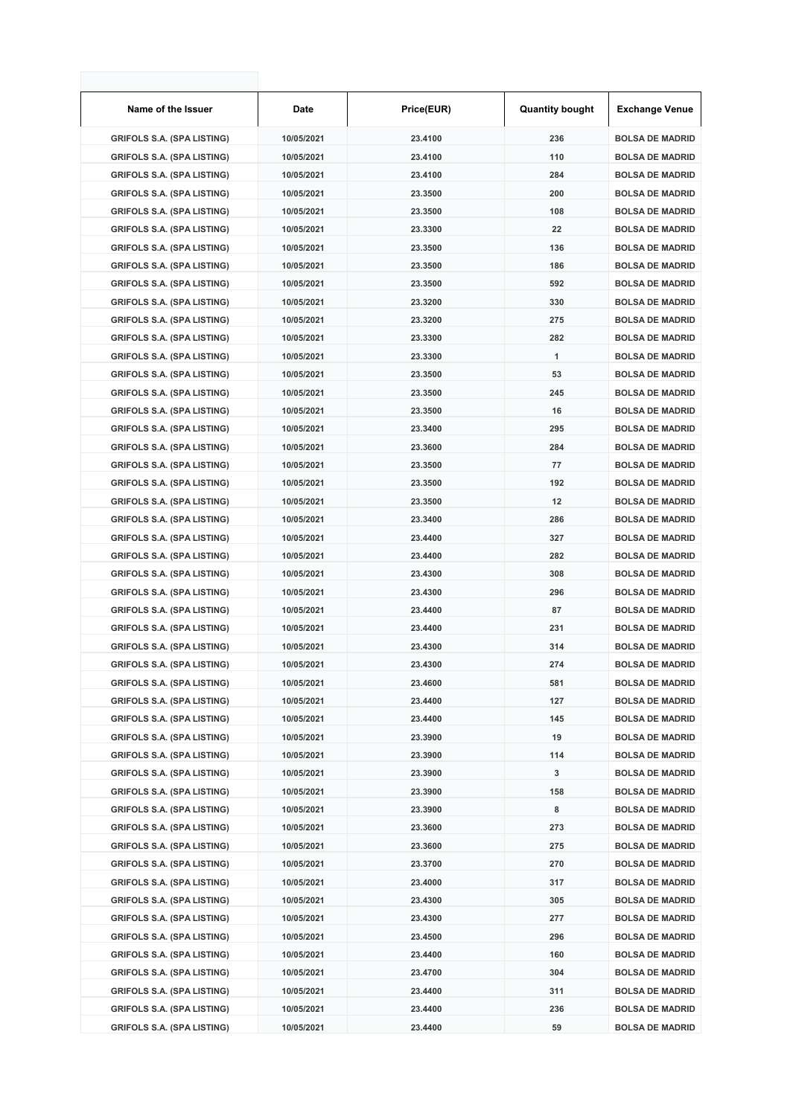| Name of the Issuer                | Date       | Price(EUR) | <b>Quantity bought</b> | <b>Exchange Venue</b>  |
|-----------------------------------|------------|------------|------------------------|------------------------|
| <b>GRIFOLS S.A. (SPA LISTING)</b> | 10/05/2021 | 23.4100    | 236                    | <b>BOLSA DE MADRID</b> |
| <b>GRIFOLS S.A. (SPA LISTING)</b> | 10/05/2021 | 23.4100    | 110                    | <b>BOLSA DE MADRID</b> |
| <b>GRIFOLS S.A. (SPA LISTING)</b> | 10/05/2021 | 23.4100    | 284                    | <b>BOLSA DE MADRID</b> |
| <b>GRIFOLS S.A. (SPA LISTING)</b> | 10/05/2021 | 23.3500    | 200                    | <b>BOLSA DE MADRID</b> |
| <b>GRIFOLS S.A. (SPA LISTING)</b> | 10/05/2021 | 23.3500    | 108                    | <b>BOLSA DE MADRID</b> |
| <b>GRIFOLS S.A. (SPA LISTING)</b> | 10/05/2021 | 23.3300    | 22                     | <b>BOLSA DE MADRID</b> |
| <b>GRIFOLS S.A. (SPA LISTING)</b> | 10/05/2021 | 23.3500    | 136                    | <b>BOLSA DE MADRID</b> |
| <b>GRIFOLS S.A. (SPA LISTING)</b> | 10/05/2021 | 23.3500    | 186                    | <b>BOLSA DE MADRID</b> |
| <b>GRIFOLS S.A. (SPA LISTING)</b> | 10/05/2021 | 23.3500    | 592                    | <b>BOLSA DE MADRID</b> |
| <b>GRIFOLS S.A. (SPA LISTING)</b> | 10/05/2021 | 23.3200    | 330                    | <b>BOLSA DE MADRID</b> |
| <b>GRIFOLS S.A. (SPA LISTING)</b> | 10/05/2021 | 23.3200    | 275                    | <b>BOLSA DE MADRID</b> |
| <b>GRIFOLS S.A. (SPA LISTING)</b> | 10/05/2021 | 23.3300    | 282                    | <b>BOLSA DE MADRID</b> |
| <b>GRIFOLS S.A. (SPA LISTING)</b> | 10/05/2021 | 23.3300    | 1                      | <b>BOLSA DE MADRID</b> |
| <b>GRIFOLS S.A. (SPA LISTING)</b> | 10/05/2021 | 23.3500    | 53                     | <b>BOLSA DE MADRID</b> |
| <b>GRIFOLS S.A. (SPA LISTING)</b> | 10/05/2021 | 23.3500    | 245                    | <b>BOLSA DE MADRID</b> |
| <b>GRIFOLS S.A. (SPA LISTING)</b> | 10/05/2021 | 23.3500    | 16                     | <b>BOLSA DE MADRID</b> |
| <b>GRIFOLS S.A. (SPA LISTING)</b> | 10/05/2021 | 23.3400    | 295                    | <b>BOLSA DE MADRID</b> |
| <b>GRIFOLS S.A. (SPA LISTING)</b> | 10/05/2021 | 23.3600    | 284                    | <b>BOLSA DE MADRID</b> |
| <b>GRIFOLS S.A. (SPA LISTING)</b> | 10/05/2021 | 23.3500    | 77                     | <b>BOLSA DE MADRID</b> |
| <b>GRIFOLS S.A. (SPA LISTING)</b> | 10/05/2021 | 23.3500    | 192                    | <b>BOLSA DE MADRID</b> |
| <b>GRIFOLS S.A. (SPA LISTING)</b> | 10/05/2021 | 23.3500    | 12                     | <b>BOLSA DE MADRID</b> |
| <b>GRIFOLS S.A. (SPA LISTING)</b> | 10/05/2021 | 23.3400    | 286                    | <b>BOLSA DE MADRID</b> |
| <b>GRIFOLS S.A. (SPA LISTING)</b> | 10/05/2021 | 23.4400    | 327                    | <b>BOLSA DE MADRID</b> |
| <b>GRIFOLS S.A. (SPA LISTING)</b> | 10/05/2021 | 23.4400    | 282                    | <b>BOLSA DE MADRID</b> |
| <b>GRIFOLS S.A. (SPA LISTING)</b> | 10/05/2021 | 23.4300    | 308                    | <b>BOLSA DE MADRID</b> |
| <b>GRIFOLS S.A. (SPA LISTING)</b> | 10/05/2021 | 23.4300    | 296                    | <b>BOLSA DE MADRID</b> |
| <b>GRIFOLS S.A. (SPA LISTING)</b> | 10/05/2021 | 23.4400    | 87                     | <b>BOLSA DE MADRID</b> |
| <b>GRIFOLS S.A. (SPA LISTING)</b> | 10/05/2021 | 23.4400    | 231                    | <b>BOLSA DE MADRID</b> |
| <b>GRIFOLS S.A. (SPA LISTING)</b> | 10/05/2021 | 23.4300    | 314                    | <b>BOLSA DE MADRID</b> |
| <b>GRIFOLS S.A. (SPA LISTING)</b> | 10/05/2021 | 23.4300    | 274                    | <b>BOLSA DE MADRID</b> |
| <b>GRIFOLS S.A. (SPA LISTING)</b> | 10/05/2021 | 23.4600    | 581                    | <b>BOLSA DE MADRID</b> |
| <b>GRIFOLS S.A. (SPA LISTING)</b> | 10/05/2021 | 23.4400    | 127                    | <b>BOLSA DE MADRID</b> |
| <b>GRIFOLS S.A. (SPA LISTING)</b> | 10/05/2021 | 23.4400    | 145                    | <b>BOLSA DE MADRID</b> |
| <b>GRIFOLS S.A. (SPA LISTING)</b> | 10/05/2021 | 23.3900    | 19                     | <b>BOLSA DE MADRID</b> |
| <b>GRIFOLS S.A. (SPA LISTING)</b> | 10/05/2021 | 23.3900    | 114                    | <b>BOLSA DE MADRID</b> |
| <b>GRIFOLS S.A. (SPA LISTING)</b> | 10/05/2021 | 23.3900    | 3                      | <b>BOLSA DE MADRID</b> |
| <b>GRIFOLS S.A. (SPA LISTING)</b> | 10/05/2021 | 23.3900    | 158                    | <b>BOLSA DE MADRID</b> |
| <b>GRIFOLS S.A. (SPA LISTING)</b> | 10/05/2021 | 23.3900    | 8                      | <b>BOLSA DE MADRID</b> |
| <b>GRIFOLS S.A. (SPA LISTING)</b> | 10/05/2021 | 23.3600    | 273                    | <b>BOLSA DE MADRID</b> |
| <b>GRIFOLS S.A. (SPA LISTING)</b> | 10/05/2021 | 23.3600    | 275                    | <b>BOLSA DE MADRID</b> |
| <b>GRIFOLS S.A. (SPA LISTING)</b> | 10/05/2021 | 23.3700    | 270                    | <b>BOLSA DE MADRID</b> |
| <b>GRIFOLS S.A. (SPA LISTING)</b> | 10/05/2021 | 23.4000    | 317                    | <b>BOLSA DE MADRID</b> |
| <b>GRIFOLS S.A. (SPA LISTING)</b> | 10/05/2021 | 23.4300    | 305                    | <b>BOLSA DE MADRID</b> |
| <b>GRIFOLS S.A. (SPA LISTING)</b> | 10/05/2021 | 23.4300    | 277                    | <b>BOLSA DE MADRID</b> |
| <b>GRIFOLS S.A. (SPA LISTING)</b> | 10/05/2021 | 23.4500    | 296                    | <b>BOLSA DE MADRID</b> |
| <b>GRIFOLS S.A. (SPA LISTING)</b> | 10/05/2021 | 23.4400    | 160                    | <b>BOLSA DE MADRID</b> |
| <b>GRIFOLS S.A. (SPA LISTING)</b> | 10/05/2021 | 23.4700    | 304                    | <b>BOLSA DE MADRID</b> |
| <b>GRIFOLS S.A. (SPA LISTING)</b> | 10/05/2021 | 23.4400    | 311                    | <b>BOLSA DE MADRID</b> |
| <b>GRIFOLS S.A. (SPA LISTING)</b> | 10/05/2021 | 23.4400    | 236                    | <b>BOLSA DE MADRID</b> |
| <b>GRIFOLS S.A. (SPA LISTING)</b> | 10/05/2021 | 23.4400    | 59                     | <b>BOLSA DE MADRID</b> |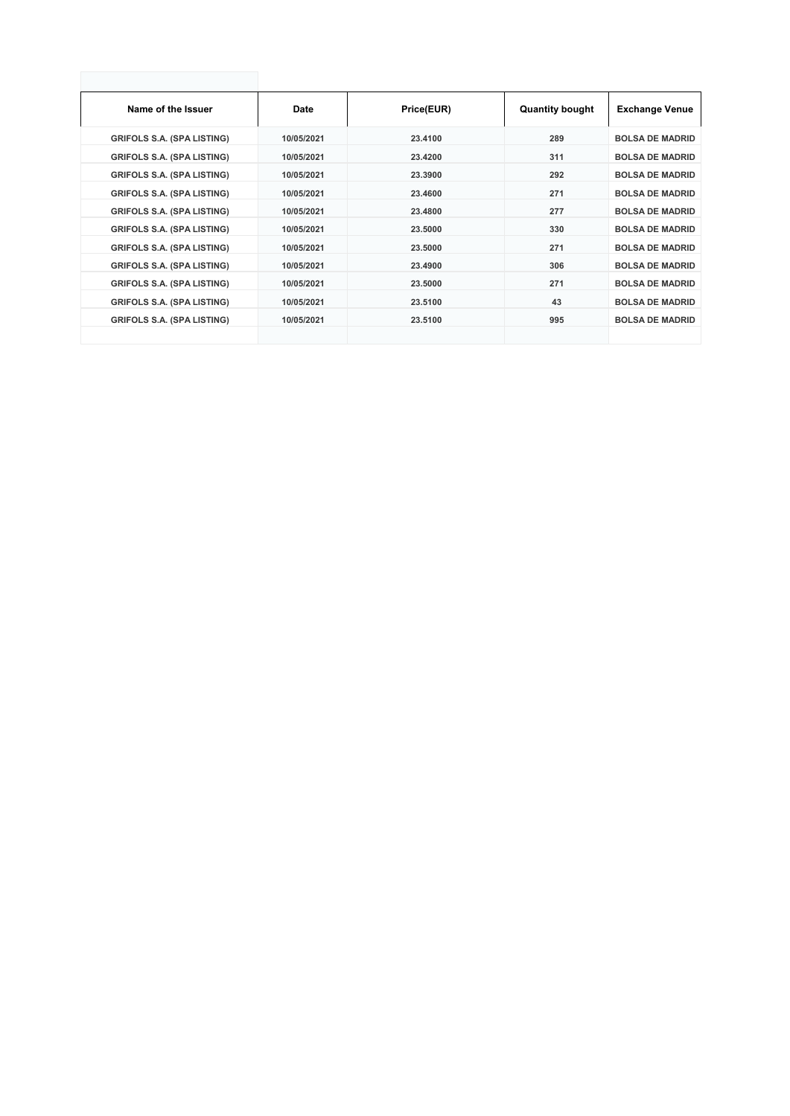| Name of the Issuer                | Date       | Price(EUR) | <b>Quantity bought</b> | <b>Exchange Venue</b>  |
|-----------------------------------|------------|------------|------------------------|------------------------|
| <b>GRIFOLS S.A. (SPA LISTING)</b> | 10/05/2021 | 23,4100    | 289                    | <b>BOLSA DE MADRID</b> |
| <b>GRIFOLS S.A. (SPA LISTING)</b> | 10/05/2021 | 23.4200    | 311                    | <b>BOLSA DE MADRID</b> |
| <b>GRIFOLS S.A. (SPA LISTING)</b> | 10/05/2021 | 23.3900    | 292                    | <b>BOLSA DE MADRID</b> |
| <b>GRIFOLS S.A. (SPA LISTING)</b> | 10/05/2021 | 23,4600    | 271                    | <b>BOLSA DE MADRID</b> |
| <b>GRIFOLS S.A. (SPA LISTING)</b> | 10/05/2021 | 23.4800    | 277                    | <b>BOLSA DE MADRID</b> |
| <b>GRIFOLS S.A. (SPA LISTING)</b> | 10/05/2021 | 23,5000    | 330                    | <b>BOLSA DE MADRID</b> |
| <b>GRIFOLS S.A. (SPA LISTING)</b> | 10/05/2021 | 23,5000    | 271                    | <b>BOLSA DE MADRID</b> |
| <b>GRIFOLS S.A. (SPA LISTING)</b> | 10/05/2021 | 23.4900    | 306                    | <b>BOLSA DE MADRID</b> |
| <b>GRIFOLS S.A. (SPA LISTING)</b> | 10/05/2021 | 23,5000    | 271                    | <b>BOLSA DE MADRID</b> |
| <b>GRIFOLS S.A. (SPA LISTING)</b> | 10/05/2021 | 23,5100    | 43                     | <b>BOLSA DE MADRID</b> |
| <b>GRIFOLS S.A. (SPA LISTING)</b> | 10/05/2021 | 23.5100    | 995                    | <b>BOLSA DE MADRID</b> |
|                                   |            |            |                        |                        |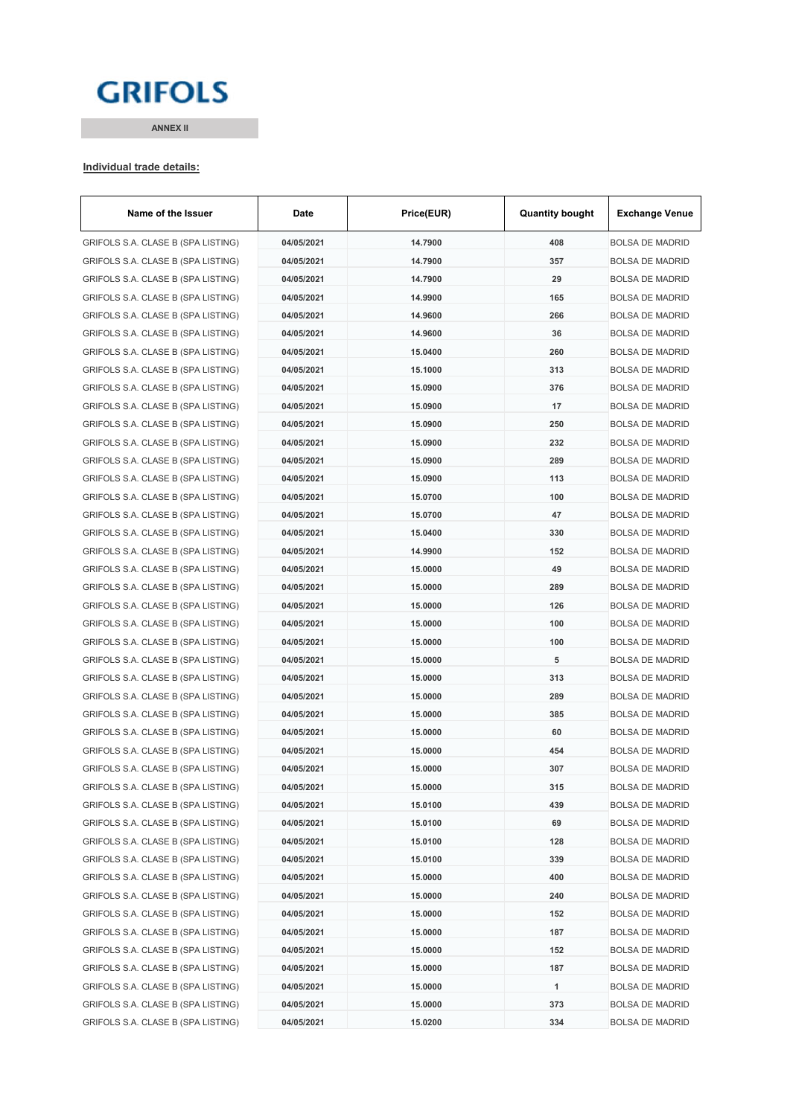# **GRIFOLS**

**ANNEX II**

#### **Individual trade details:**

| Name of the Issuer                 | Date       | Price(EUR) | <b>Quantity bought</b> | <b>Exchange Venue</b>  |
|------------------------------------|------------|------------|------------------------|------------------------|
| GRIFOLS S.A. CLASE B (SPA LISTING) | 04/05/2021 | 14.7900    | 408                    | <b>BOLSA DE MADRID</b> |
| GRIFOLS S.A. CLASE B (SPA LISTING) | 04/05/2021 | 14.7900    | 357                    | <b>BOLSA DE MADRID</b> |
| GRIFOLS S.A. CLASE B (SPA LISTING) | 04/05/2021 | 14.7900    | 29                     | <b>BOLSA DE MADRID</b> |
| GRIFOLS S.A. CLASE B (SPA LISTING) | 04/05/2021 | 14.9900    | 165                    | <b>BOLSA DE MADRID</b> |
| GRIFOLS S.A. CLASE B (SPA LISTING) | 04/05/2021 | 14.9600    | 266                    | <b>BOLSA DE MADRID</b> |
| GRIFOLS S.A. CLASE B (SPA LISTING) | 04/05/2021 | 14.9600    | 36                     | <b>BOLSA DE MADRID</b> |
| GRIFOLS S.A. CLASE B (SPA LISTING) | 04/05/2021 | 15.0400    | 260                    | <b>BOLSA DE MADRID</b> |
| GRIFOLS S.A. CLASE B (SPA LISTING) | 04/05/2021 | 15.1000    | 313                    | <b>BOLSA DE MADRID</b> |
| GRIFOLS S.A. CLASE B (SPA LISTING) | 04/05/2021 | 15.0900    | 376                    | <b>BOLSA DE MADRID</b> |
| GRIFOLS S.A. CLASE B (SPA LISTING) | 04/05/2021 | 15.0900    | 17                     | <b>BOLSA DE MADRID</b> |
| GRIFOLS S.A. CLASE B (SPA LISTING) | 04/05/2021 | 15.0900    | 250                    | <b>BOLSA DE MADRID</b> |
| GRIFOLS S.A. CLASE B (SPA LISTING) | 04/05/2021 | 15.0900    | 232                    | <b>BOLSA DE MADRID</b> |
| GRIFOLS S.A. CLASE B (SPA LISTING) | 04/05/2021 | 15.0900    | 289                    | <b>BOLSA DE MADRID</b> |
| GRIFOLS S.A. CLASE B (SPA LISTING) | 04/05/2021 | 15.0900    | 113                    | <b>BOLSA DE MADRID</b> |
| GRIFOLS S.A. CLASE B (SPA LISTING) | 04/05/2021 | 15.0700    | 100                    | <b>BOLSA DE MADRID</b> |
| GRIFOLS S.A. CLASE B (SPA LISTING) | 04/05/2021 | 15.0700    | 47                     | <b>BOLSA DE MADRID</b> |
| GRIFOLS S.A. CLASE B (SPA LISTING) | 04/05/2021 | 15.0400    | 330                    | <b>BOLSA DE MADRID</b> |
| GRIFOLS S.A. CLASE B (SPA LISTING) | 04/05/2021 | 14.9900    | 152                    | <b>BOLSA DE MADRID</b> |
| GRIFOLS S.A. CLASE B (SPA LISTING) | 04/05/2021 | 15,0000    | 49                     | <b>BOLSA DE MADRID</b> |
| GRIFOLS S.A. CLASE B (SPA LISTING) | 04/05/2021 | 15.0000    | 289                    | <b>BOLSA DE MADRID</b> |
| GRIFOLS S.A. CLASE B (SPA LISTING) | 04/05/2021 | 15.0000    | 126                    | <b>BOLSA DE MADRID</b> |
| GRIFOLS S.A. CLASE B (SPA LISTING) | 04/05/2021 | 15.0000    | 100                    | <b>BOLSA DE MADRID</b> |
| GRIFOLS S.A. CLASE B (SPA LISTING) | 04/05/2021 | 15.0000    | 100                    | <b>BOLSA DE MADRID</b> |
| GRIFOLS S.A. CLASE B (SPA LISTING) | 04/05/2021 | 15.0000    | 5                      | <b>BOLSA DE MADRID</b> |
| GRIFOLS S.A. CLASE B (SPA LISTING) | 04/05/2021 | 15.0000    | 313                    | <b>BOLSA DE MADRID</b> |
| GRIFOLS S.A. CLASE B (SPA LISTING) | 04/05/2021 | 15.0000    | 289                    | <b>BOLSA DE MADRID</b> |
| GRIFOLS S.A. CLASE B (SPA LISTING) | 04/05/2021 | 15.0000    | 385                    | <b>BOLSA DE MADRID</b> |
| GRIFOLS S.A. CLASE B (SPA LISTING) | 04/05/2021 | 15.0000    | 60                     | <b>BOLSA DE MADRID</b> |
| GRIFOLS S.A. CLASE B (SPA LISTING) | 04/05/2021 | 15.0000    | 454                    | <b>BOLSA DE MADRID</b> |
| GRIFOLS S.A. CLASE B (SPA LISTING) | 04/05/2021 | 15,0000    | 307                    | <b>BOLSA DE MADRID</b> |
| GRIFOLS S.A. CLASE B (SPA LISTING) | 04/05/2021 | 15.0000    | 315                    | BOLSA DE MADRID        |
| GRIFOLS S.A. CLASE B (SPA LISTING) | 04/05/2021 | 15.0100    | 439                    | <b>BOLSA DE MADRID</b> |
| GRIFOLS S.A. CLASE B (SPA LISTING) | 04/05/2021 | 15.0100    | 69                     | <b>BOLSA DE MADRID</b> |
| GRIFOLS S.A. CLASE B (SPA LISTING) | 04/05/2021 | 15.0100    | 128                    | <b>BOLSA DE MADRID</b> |
| GRIFOLS S.A. CLASE B (SPA LISTING) | 04/05/2021 | 15.0100    | 339                    | <b>BOLSA DE MADRID</b> |
| GRIFOLS S.A. CLASE B (SPA LISTING) | 04/05/2021 | 15.0000    | 400                    | <b>BOLSA DE MADRID</b> |
| GRIFOLS S.A. CLASE B (SPA LISTING) | 04/05/2021 | 15.0000    | 240                    | <b>BOLSA DE MADRID</b> |
| GRIFOLS S.A. CLASE B (SPA LISTING) | 04/05/2021 | 15.0000    | 152                    | <b>BOLSA DE MADRID</b> |
| GRIFOLS S.A. CLASE B (SPA LISTING) | 04/05/2021 | 15.0000    | 187                    | <b>BOLSA DE MADRID</b> |
| GRIFOLS S.A. CLASE B (SPA LISTING) | 04/05/2021 | 15.0000    | 152                    | <b>BOLSA DE MADRID</b> |
| GRIFOLS S.A. CLASE B (SPA LISTING) | 04/05/2021 | 15.0000    | 187                    | <b>BOLSA DE MADRID</b> |
| GRIFOLS S.A. CLASE B (SPA LISTING) | 04/05/2021 | 15.0000    | 1                      | <b>BOLSA DE MADRID</b> |
| GRIFOLS S.A. CLASE B (SPA LISTING) | 04/05/2021 | 15.0000    | 373                    | <b>BOLSA DE MADRID</b> |
| GRIFOLS S.A. CLASE B (SPA LISTING) | 04/05/2021 | 15.0200    | 334                    | <b>BOLSA DE MADRID</b> |
|                                    |            |            |                        |                        |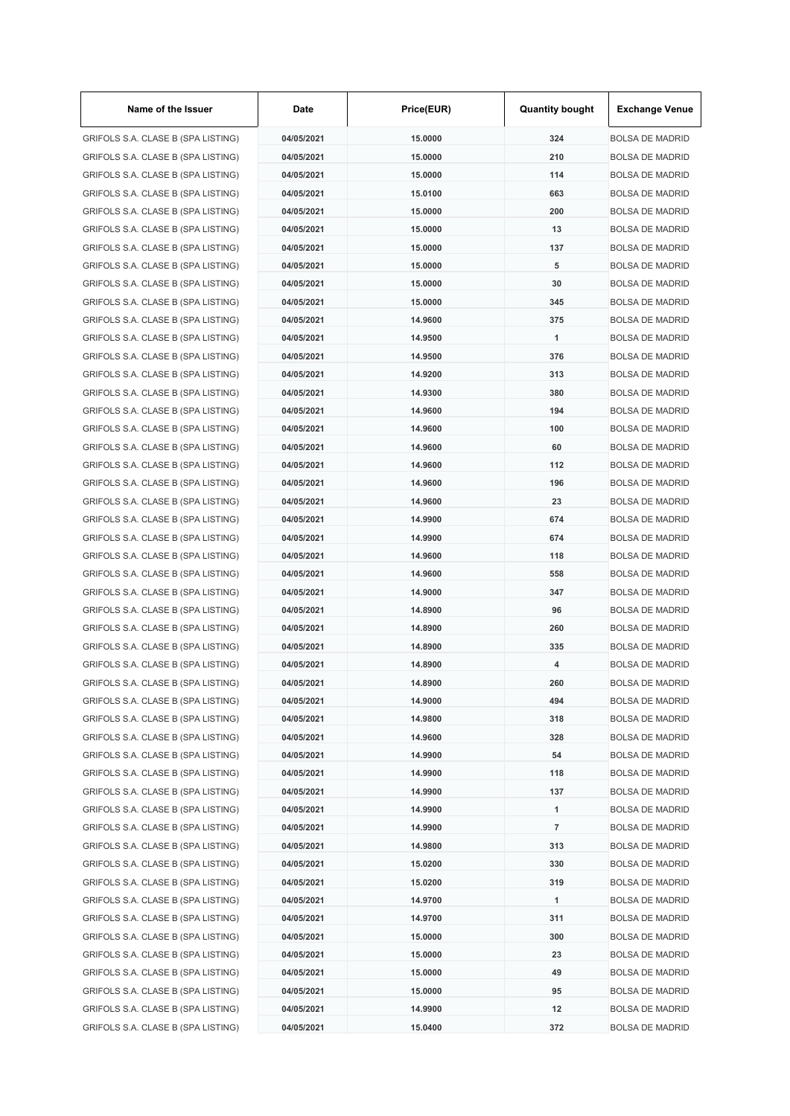| Name of the Issuer                 | Date       | Price(EUR) | <b>Quantity bought</b> | <b>Exchange Venue</b>  |
|------------------------------------|------------|------------|------------------------|------------------------|
| GRIFOLS S.A. CLASE B (SPA LISTING) | 04/05/2021 | 15.0000    | 324                    | <b>BOLSA DE MADRID</b> |
| GRIFOLS S.A. CLASE B (SPA LISTING) | 04/05/2021 | 15.0000    | 210                    | <b>BOLSA DE MADRID</b> |
| GRIFOLS S.A. CLASE B (SPA LISTING) | 04/05/2021 | 15.0000    | 114                    | <b>BOLSA DE MADRID</b> |
| GRIFOLS S.A. CLASE B (SPA LISTING) | 04/05/2021 | 15.0100    | 663                    | <b>BOLSA DE MADRID</b> |
| GRIFOLS S.A. CLASE B (SPA LISTING) | 04/05/2021 | 15.0000    | 200                    | <b>BOLSA DE MADRID</b> |
| GRIFOLS S.A. CLASE B (SPA LISTING) | 04/05/2021 | 15.0000    | 13                     | <b>BOLSA DE MADRID</b> |
| GRIFOLS S.A. CLASE B (SPA LISTING) | 04/05/2021 | 15,0000    | 137                    | <b>BOLSA DE MADRID</b> |
| GRIFOLS S.A. CLASE B (SPA LISTING) | 04/05/2021 | 15.0000    | 5                      | <b>BOLSA DE MADRID</b> |
| GRIFOLS S.A. CLASE B (SPA LISTING) | 04/05/2021 | 15.0000    | 30                     | <b>BOLSA DE MADRID</b> |
| GRIFOLS S.A. CLASE B (SPA LISTING) | 04/05/2021 | 15.0000    | 345                    | <b>BOLSA DE MADRID</b> |
| GRIFOLS S.A. CLASE B (SPA LISTING) | 04/05/2021 | 14.9600    | 375                    | <b>BOLSA DE MADRID</b> |
| GRIFOLS S.A. CLASE B (SPA LISTING) | 04/05/2021 | 14.9500    | 1                      | <b>BOLSA DE MADRID</b> |
| GRIFOLS S.A. CLASE B (SPA LISTING) | 04/05/2021 | 14.9500    | 376                    | <b>BOLSA DE MADRID</b> |
| GRIFOLS S.A. CLASE B (SPA LISTING) | 04/05/2021 | 14.9200    | 313                    | <b>BOLSA DE MADRID</b> |
| GRIFOLS S.A. CLASE B (SPA LISTING) | 04/05/2021 | 14.9300    | 380                    | <b>BOLSA DE MADRID</b> |
| GRIFOLS S.A. CLASE B (SPA LISTING) | 04/05/2021 | 14.9600    | 194                    | <b>BOLSA DE MADRID</b> |
| GRIFOLS S.A. CLASE B (SPA LISTING) | 04/05/2021 | 14.9600    | 100                    | <b>BOLSA DE MADRID</b> |
| GRIFOLS S.A. CLASE B (SPA LISTING) | 04/05/2021 | 14.9600    | 60                     | <b>BOLSA DE MADRID</b> |
| GRIFOLS S.A. CLASE B (SPA LISTING) | 04/05/2021 | 14.9600    | 112                    | <b>BOLSA DE MADRID</b> |
| GRIFOLS S.A. CLASE B (SPA LISTING) | 04/05/2021 | 14.9600    | 196                    | <b>BOLSA DE MADRID</b> |
| GRIFOLS S.A. CLASE B (SPA LISTING) | 04/05/2021 | 14.9600    | 23                     | <b>BOLSA DE MADRID</b> |
| GRIFOLS S.A. CLASE B (SPA LISTING) | 04/05/2021 | 14.9900    | 674                    | <b>BOLSA DE MADRID</b> |
| GRIFOLS S.A. CLASE B (SPA LISTING) | 04/05/2021 | 14.9900    | 674                    | <b>BOLSA DE MADRID</b> |
| GRIFOLS S.A. CLASE B (SPA LISTING) | 04/05/2021 | 14.9600    | 118                    | <b>BOLSA DE MADRID</b> |
|                                    |            |            | 558                    | <b>BOLSA DE MADRID</b> |
| GRIFOLS S.A. CLASE B (SPA LISTING) | 04/05/2021 | 14.9600    |                        |                        |
| GRIFOLS S.A. CLASE B (SPA LISTING) | 04/05/2021 | 14.9000    | 347                    | <b>BOLSA DE MADRID</b> |
| GRIFOLS S.A. CLASE B (SPA LISTING) | 04/05/2021 | 14.8900    | 96                     | <b>BOLSA DE MADRID</b> |
| GRIFOLS S.A. CLASE B (SPA LISTING) | 04/05/2021 | 14.8900    | 260                    | <b>BOLSA DE MADRID</b> |
| GRIFOLS S.A. CLASE B (SPA LISTING) | 04/05/2021 | 14.8900    | 335                    | <b>BOLSA DE MADRID</b> |
| GRIFOLS S.A. CLASE B (SPA LISTING) | 04/05/2021 | 14.8900    | 4                      | <b>BOLSA DE MADRID</b> |
| GRIFOLS S.A. CLASE B (SPA LISTING) | 04/05/2021 | 14.8900    | 260                    | <b>BOLSA DE MADRID</b> |
| GRIFOLS S.A. CLASE B (SPA LISTING) | 04/05/2021 | 14.9000    | 494                    | <b>BOLSA DE MADRID</b> |
| GRIFOLS S.A. CLASE B (SPA LISTING) | 04/05/2021 | 14.9800    | 318                    | <b>BOLSA DE MADRID</b> |
| GRIFOLS S.A. CLASE B (SPA LISTING) | 04/05/2021 | 14.9600    | 328                    | <b>BOLSA DE MADRID</b> |
| GRIFOLS S.A. CLASE B (SPA LISTING) | 04/05/2021 | 14.9900    | 54                     | <b>BOLSA DE MADRID</b> |
| GRIFOLS S.A. CLASE B (SPA LISTING) | 04/05/2021 | 14.9900    | 118                    | <b>BOLSA DE MADRID</b> |
| GRIFOLS S.A. CLASE B (SPA LISTING) | 04/05/2021 | 14.9900    | 137                    | <b>BOLSA DE MADRID</b> |
| GRIFOLS S.A. CLASE B (SPA LISTING) | 04/05/2021 | 14.9900    | $\mathbf{1}$           | <b>BOLSA DE MADRID</b> |
| GRIFOLS S.A. CLASE B (SPA LISTING) | 04/05/2021 | 14.9900    | $\overline{7}$         | <b>BOLSA DE MADRID</b> |
| GRIFOLS S.A. CLASE B (SPA LISTING) | 04/05/2021 | 14.9800    | 313                    | <b>BOLSA DE MADRID</b> |
| GRIFOLS S.A. CLASE B (SPA LISTING) | 04/05/2021 | 15.0200    | 330                    | <b>BOLSA DE MADRID</b> |
| GRIFOLS S.A. CLASE B (SPA LISTING) | 04/05/2021 | 15.0200    | 319                    | <b>BOLSA DE MADRID</b> |
| GRIFOLS S.A. CLASE B (SPA LISTING) | 04/05/2021 | 14.9700    | 1                      | <b>BOLSA DE MADRID</b> |
| GRIFOLS S.A. CLASE B (SPA LISTING) | 04/05/2021 | 14.9700    | 311                    | <b>BOLSA DE MADRID</b> |
| GRIFOLS S.A. CLASE B (SPA LISTING) | 04/05/2021 | 15.0000    | 300                    | <b>BOLSA DE MADRID</b> |
| GRIFOLS S.A. CLASE B (SPA LISTING) | 04/05/2021 | 15.0000    | 23                     | <b>BOLSA DE MADRID</b> |
| GRIFOLS S.A. CLASE B (SPA LISTING) | 04/05/2021 | 15.0000    | 49                     | <b>BOLSA DE MADRID</b> |
| GRIFOLS S.A. CLASE B (SPA LISTING) | 04/05/2021 | 15.0000    | 95                     | <b>BOLSA DE MADRID</b> |
| GRIFOLS S.A. CLASE B (SPA LISTING) | 04/05/2021 | 14.9900    | 12                     | <b>BOLSA DE MADRID</b> |
| GRIFOLS S.A. CLASE B (SPA LISTING) | 04/05/2021 | 15.0400    | 372                    | <b>BOLSA DE MADRID</b> |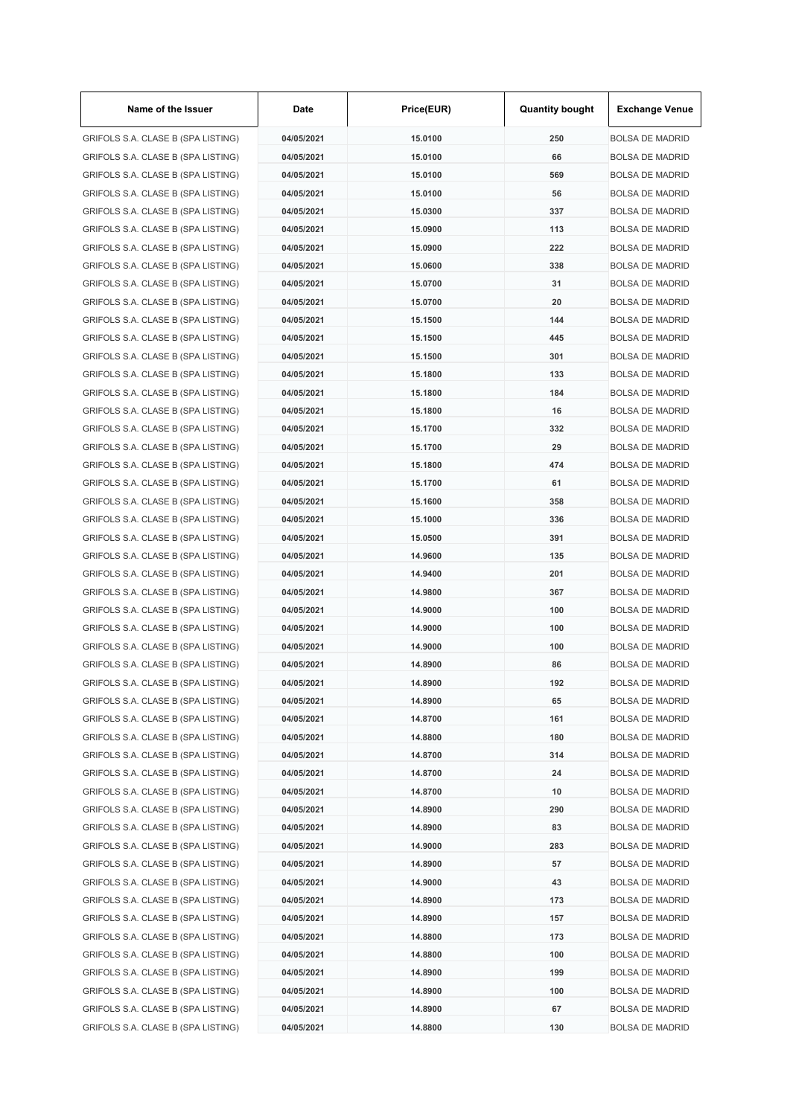| Name of the Issuer                 | Date       | Price(EUR) | <b>Quantity bought</b> | <b>Exchange Venue</b>  |
|------------------------------------|------------|------------|------------------------|------------------------|
| GRIFOLS S.A. CLASE B (SPA LISTING) | 04/05/2021 | 15.0100    | 250                    | <b>BOLSA DE MADRID</b> |
| GRIFOLS S.A. CLASE B (SPA LISTING) | 04/05/2021 | 15.0100    | 66                     | <b>BOLSA DE MADRID</b> |
| GRIFOLS S.A. CLASE B (SPA LISTING) | 04/05/2021 | 15.0100    | 569                    | <b>BOLSA DE MADRID</b> |
| GRIFOLS S.A. CLASE B (SPA LISTING) | 04/05/2021 | 15.0100    | 56                     | <b>BOLSA DE MADRID</b> |
| GRIFOLS S.A. CLASE B (SPA LISTING) | 04/05/2021 | 15.0300    | 337                    | <b>BOLSA DE MADRID</b> |
| GRIFOLS S.A. CLASE B (SPA LISTING) | 04/05/2021 | 15.0900    | 113                    | <b>BOLSA DE MADRID</b> |
| GRIFOLS S.A. CLASE B (SPA LISTING) | 04/05/2021 | 15.0900    | 222                    | <b>BOLSA DE MADRID</b> |
| GRIFOLS S.A. CLASE B (SPA LISTING) | 04/05/2021 | 15.0600    | 338                    | <b>BOLSA DE MADRID</b> |
| GRIFOLS S.A. CLASE B (SPA LISTING) | 04/05/2021 | 15.0700    | 31                     | <b>BOLSA DE MADRID</b> |
| GRIFOLS S.A. CLASE B (SPA LISTING) | 04/05/2021 | 15.0700    | 20                     | <b>BOLSA DE MADRID</b> |
| GRIFOLS S.A. CLASE B (SPA LISTING) | 04/05/2021 | 15.1500    | 144                    | <b>BOLSA DE MADRID</b> |
| GRIFOLS S.A. CLASE B (SPA LISTING) | 04/05/2021 | 15.1500    | 445                    | <b>BOLSA DE MADRID</b> |
| GRIFOLS S.A. CLASE B (SPA LISTING) | 04/05/2021 | 15.1500    | 301                    | <b>BOLSA DE MADRID</b> |
| GRIFOLS S.A. CLASE B (SPA LISTING) | 04/05/2021 | 15.1800    | 133                    | <b>BOLSA DE MADRID</b> |
| GRIFOLS S.A. CLASE B (SPA LISTING) | 04/05/2021 | 15.1800    | 184                    | <b>BOLSA DE MADRID</b> |
| GRIFOLS S.A. CLASE B (SPA LISTING) | 04/05/2021 | 15.1800    | 16                     | <b>BOLSA DE MADRID</b> |
| GRIFOLS S.A. CLASE B (SPA LISTING) | 04/05/2021 | 15.1700    | 332                    | <b>BOLSA DE MADRID</b> |
| GRIFOLS S.A. CLASE B (SPA LISTING) | 04/05/2021 | 15.1700    | 29                     | <b>BOLSA DE MADRID</b> |
| GRIFOLS S.A. CLASE B (SPA LISTING) | 04/05/2021 | 15.1800    | 474                    | <b>BOLSA DE MADRID</b> |
| GRIFOLS S.A. CLASE B (SPA LISTING) | 04/05/2021 | 15.1700    | 61                     | <b>BOLSA DE MADRID</b> |
| GRIFOLS S.A. CLASE B (SPA LISTING) | 04/05/2021 | 15.1600    | 358                    | <b>BOLSA DE MADRID</b> |
| GRIFOLS S.A. CLASE B (SPA LISTING) | 04/05/2021 | 15.1000    | 336                    | <b>BOLSA DE MADRID</b> |
| GRIFOLS S.A. CLASE B (SPA LISTING) | 04/05/2021 | 15.0500    | 391                    | <b>BOLSA DE MADRID</b> |
| GRIFOLS S.A. CLASE B (SPA LISTING) | 04/05/2021 | 14.9600    | 135                    | <b>BOLSA DE MADRID</b> |
| GRIFOLS S.A. CLASE B (SPA LISTING) | 04/05/2021 | 14.9400    | 201                    | <b>BOLSA DE MADRID</b> |
|                                    | 04/05/2021 | 14.9800    | 367                    |                        |
| GRIFOLS S.A. CLASE B (SPA LISTING) |            |            |                        | <b>BOLSA DE MADRID</b> |
| GRIFOLS S.A. CLASE B (SPA LISTING) | 04/05/2021 | 14.9000    | 100                    | <b>BOLSA DE MADRID</b> |
| GRIFOLS S.A. CLASE B (SPA LISTING) | 04/05/2021 | 14.9000    | 100                    | <b>BOLSA DE MADRID</b> |
| GRIFOLS S.A. CLASE B (SPA LISTING) | 04/05/2021 | 14.9000    | 100                    | <b>BOLSA DE MADRID</b> |
| GRIFOLS S.A. CLASE B (SPA LISTING) | 04/05/2021 | 14.8900    | 86                     | <b>BOLSA DE MADRID</b> |
| GRIFOLS S.A. CLASE B (SPA LISTING) | 04/05/2021 | 14.8900    | 192                    | <b>BOLSA DE MADRID</b> |
| GRIFOLS S.A. CLASE B (SPA LISTING) | 04/05/2021 | 14.8900    | 65                     | <b>BOLSA DE MADRID</b> |
| GRIFOLS S.A. CLASE B (SPA LISTING) | 04/05/2021 | 14.8700    | 161                    | <b>BOLSA DE MADRID</b> |
| GRIFOLS S.A. CLASE B (SPA LISTING) | 04/05/2021 | 14.8800    | 180                    | <b>BOLSA DE MADRID</b> |
| GRIFOLS S.A. CLASE B (SPA LISTING) | 04/05/2021 | 14.8700    | 314                    | <b>BOLSA DE MADRID</b> |
| GRIFOLS S.A. CLASE B (SPA LISTING) | 04/05/2021 | 14.8700    | 24                     | <b>BOLSA DE MADRID</b> |
| GRIFOLS S.A. CLASE B (SPA LISTING) | 04/05/2021 | 14.8700    | 10                     | <b>BOLSA DE MADRID</b> |
| GRIFOLS S.A. CLASE B (SPA LISTING) | 04/05/2021 | 14.8900    | 290                    | <b>BOLSA DE MADRID</b> |
| GRIFOLS S.A. CLASE B (SPA LISTING) | 04/05/2021 | 14.8900    | 83                     | <b>BOLSA DE MADRID</b> |
| GRIFOLS S.A. CLASE B (SPA LISTING) | 04/05/2021 | 14.9000    | 283                    | <b>BOLSA DE MADRID</b> |
| GRIFOLS S.A. CLASE B (SPA LISTING) | 04/05/2021 | 14.8900    | 57                     | <b>BOLSA DE MADRID</b> |
| GRIFOLS S.A. CLASE B (SPA LISTING) | 04/05/2021 | 14.9000    | 43                     | <b>BOLSA DE MADRID</b> |
| GRIFOLS S.A. CLASE B (SPA LISTING) | 04/05/2021 | 14.8900    | 173                    | <b>BOLSA DE MADRID</b> |
| GRIFOLS S.A. CLASE B (SPA LISTING) | 04/05/2021 | 14.8900    | 157                    | <b>BOLSA DE MADRID</b> |
| GRIFOLS S.A. CLASE B (SPA LISTING) | 04/05/2021 | 14.8800    | 173                    | <b>BOLSA DE MADRID</b> |
| GRIFOLS S.A. CLASE B (SPA LISTING) | 04/05/2021 | 14.8800    | 100                    | <b>BOLSA DE MADRID</b> |
| GRIFOLS S.A. CLASE B (SPA LISTING) | 04/05/2021 | 14.8900    | 199                    | <b>BOLSA DE MADRID</b> |
| GRIFOLS S.A. CLASE B (SPA LISTING) | 04/05/2021 | 14.8900    | 100                    | <b>BOLSA DE MADRID</b> |
| GRIFOLS S.A. CLASE B (SPA LISTING) | 04/05/2021 | 14.8900    | 67                     | <b>BOLSA DE MADRID</b> |
| GRIFOLS S.A. CLASE B (SPA LISTING) | 04/05/2021 | 14.8800    | 130                    | <b>BOLSA DE MADRID</b> |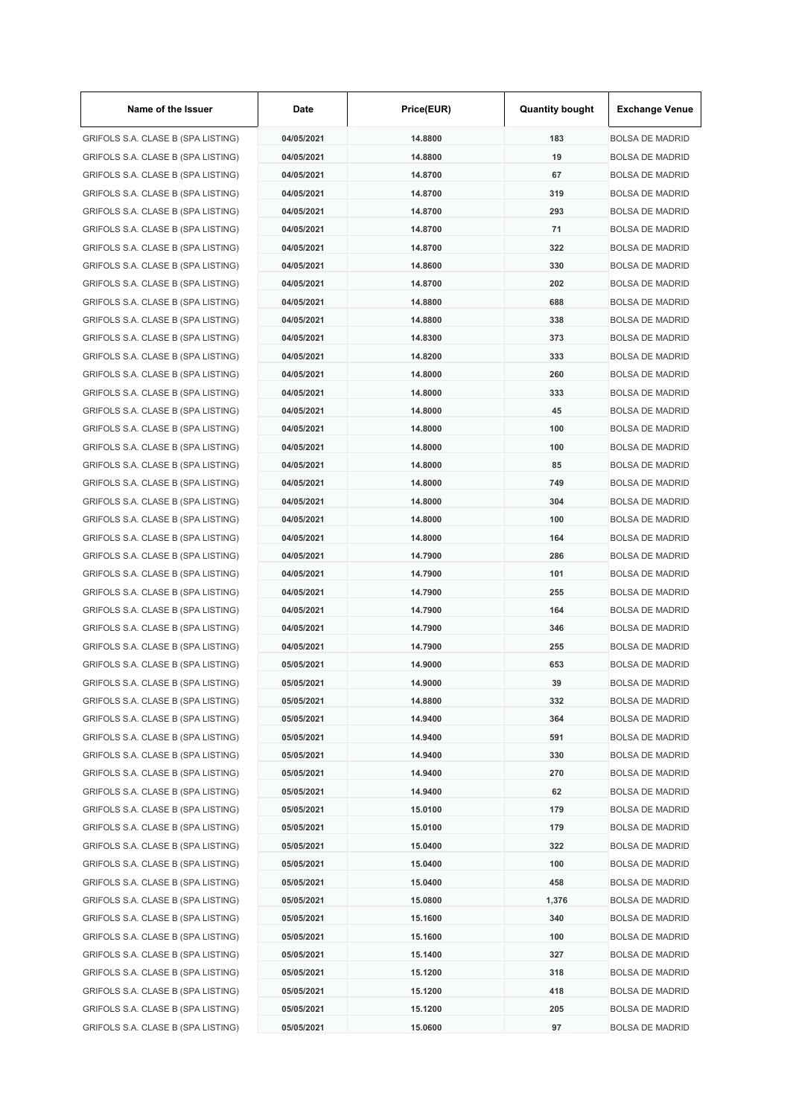| Name of the Issuer                 | Date       | Price(EUR) | <b>Quantity bought</b> | <b>Exchange Venue</b>  |
|------------------------------------|------------|------------|------------------------|------------------------|
| GRIFOLS S.A. CLASE B (SPA LISTING) | 04/05/2021 | 14.8800    | 183                    | <b>BOLSA DE MADRID</b> |
| GRIFOLS S.A. CLASE B (SPA LISTING) | 04/05/2021 | 14.8800    | 19                     | <b>BOLSA DE MADRID</b> |
| GRIFOLS S.A. CLASE B (SPA LISTING) | 04/05/2021 | 14.8700    | 67                     | <b>BOLSA DE MADRID</b> |
| GRIFOLS S.A. CLASE B (SPA LISTING) | 04/05/2021 | 14.8700    | 319                    | <b>BOLSA DE MADRID</b> |
| GRIFOLS S.A. CLASE B (SPA LISTING) | 04/05/2021 | 14.8700    | 293                    | <b>BOLSA DE MADRID</b> |
| GRIFOLS S.A. CLASE B (SPA LISTING) | 04/05/2021 | 14.8700    | 71                     | <b>BOLSA DE MADRID</b> |
| GRIFOLS S.A. CLASE B (SPA LISTING) | 04/05/2021 | 14.8700    | 322                    | <b>BOLSA DE MADRID</b> |
| GRIFOLS S.A. CLASE B (SPA LISTING) | 04/05/2021 | 14.8600    | 330                    | <b>BOLSA DE MADRID</b> |
| GRIFOLS S.A. CLASE B (SPA LISTING) | 04/05/2021 | 14.8700    | 202                    | <b>BOLSA DE MADRID</b> |
| GRIFOLS S.A. CLASE B (SPA LISTING) | 04/05/2021 | 14.8800    | 688                    | <b>BOLSA DE MADRID</b> |
| GRIFOLS S.A. CLASE B (SPA LISTING) | 04/05/2021 | 14.8800    | 338                    | <b>BOLSA DE MADRID</b> |
| GRIFOLS S.A. CLASE B (SPA LISTING) | 04/05/2021 | 14.8300    | 373                    | <b>BOLSA DE MADRID</b> |
| GRIFOLS S.A. CLASE B (SPA LISTING) | 04/05/2021 | 14.8200    | 333                    | <b>BOLSA DE MADRID</b> |
| GRIFOLS S.A. CLASE B (SPA LISTING) | 04/05/2021 | 14.8000    | 260                    | <b>BOLSA DE MADRID</b> |
| GRIFOLS S.A. CLASE B (SPA LISTING) | 04/05/2021 | 14.8000    | 333                    | <b>BOLSA DE MADRID</b> |
| GRIFOLS S.A. CLASE B (SPA LISTING) | 04/05/2021 | 14.8000    | 45                     | <b>BOLSA DE MADRID</b> |
| GRIFOLS S.A. CLASE B (SPA LISTING) | 04/05/2021 | 14.8000    | 100                    | <b>BOLSA DE MADRID</b> |
| GRIFOLS S.A. CLASE B (SPA LISTING) | 04/05/2021 | 14.8000    | 100                    | <b>BOLSA DE MADRID</b> |
| GRIFOLS S.A. CLASE B (SPA LISTING) | 04/05/2021 | 14.8000    | 85                     | <b>BOLSA DE MADRID</b> |
| GRIFOLS S.A. CLASE B (SPA LISTING) | 04/05/2021 | 14.8000    | 749                    | <b>BOLSA DE MADRID</b> |
| GRIFOLS S.A. CLASE B (SPA LISTING) | 04/05/2021 | 14.8000    | 304                    | <b>BOLSA DE MADRID</b> |
| GRIFOLS S.A. CLASE B (SPA LISTING) | 04/05/2021 | 14.8000    | 100                    | <b>BOLSA DE MADRID</b> |
| GRIFOLS S.A. CLASE B (SPA LISTING) | 04/05/2021 | 14.8000    | 164                    | <b>BOLSA DE MADRID</b> |
| GRIFOLS S.A. CLASE B (SPA LISTING) | 04/05/2021 | 14.7900    | 286                    | <b>BOLSA DE MADRID</b> |
| GRIFOLS S.A. CLASE B (SPA LISTING) | 04/05/2021 | 14.7900    | 101                    | <b>BOLSA DE MADRID</b> |
| GRIFOLS S.A. CLASE B (SPA LISTING) | 04/05/2021 | 14.7900    | 255                    | <b>BOLSA DE MADRID</b> |
|                                    | 04/05/2021 | 14.7900    | 164                    | <b>BOLSA DE MADRID</b> |
| GRIFOLS S.A. CLASE B (SPA LISTING) |            |            |                        |                        |
| GRIFOLS S.A. CLASE B (SPA LISTING) | 04/05/2021 | 14.7900    | 346                    | <b>BOLSA DE MADRID</b> |
| GRIFOLS S.A. CLASE B (SPA LISTING) | 04/05/2021 | 14.7900    | 255                    | <b>BOLSA DE MADRID</b> |
| GRIFOLS S.A. CLASE B (SPA LISTING) | 05/05/2021 | 14.9000    | 653                    | <b>BOLSA DE MADRID</b> |
| GRIFOLS S.A. CLASE B (SPA LISTING) | 05/05/2021 | 14.9000    | 39                     | <b>BOLSA DE MADRID</b> |
| GRIFOLS S.A. CLASE B (SPA LISTING) | 05/05/2021 | 14.8800    | 332                    | <b>BOLSA DE MADRID</b> |
| GRIFOLS S.A. CLASE B (SPA LISTING) | 05/05/2021 | 14.9400    | 364                    | <b>BOLSA DE MADRID</b> |
| GRIFOLS S.A. CLASE B (SPA LISTING) | 05/05/2021 | 14.9400    | 591                    | <b>BOLSA DE MADRID</b> |
| GRIFOLS S.A. CLASE B (SPA LISTING) | 05/05/2021 | 14.9400    | 330                    | <b>BOLSA DE MADRID</b> |
| GRIFOLS S.A. CLASE B (SPA LISTING) | 05/05/2021 | 14.9400    | 270                    | <b>BOLSA DE MADRID</b> |
| GRIFOLS S.A. CLASE B (SPA LISTING) | 05/05/2021 | 14.9400    | 62                     | <b>BOLSA DE MADRID</b> |
| GRIFOLS S.A. CLASE B (SPA LISTING) | 05/05/2021 | 15.0100    | 179                    | <b>BOLSA DE MADRID</b> |
| GRIFOLS S.A. CLASE B (SPA LISTING) | 05/05/2021 | 15.0100    | 179                    | <b>BOLSA DE MADRID</b> |
| GRIFOLS S.A. CLASE B (SPA LISTING) | 05/05/2021 | 15.0400    | 322                    | <b>BOLSA DE MADRID</b> |
| GRIFOLS S.A. CLASE B (SPA LISTING) | 05/05/2021 | 15.0400    | 100                    | <b>BOLSA DE MADRID</b> |
| GRIFOLS S.A. CLASE B (SPA LISTING) | 05/05/2021 | 15.0400    | 458                    | <b>BOLSA DE MADRID</b> |
| GRIFOLS S.A. CLASE B (SPA LISTING) | 05/05/2021 | 15.0800    | 1,376                  | <b>BOLSA DE MADRID</b> |
| GRIFOLS S.A. CLASE B (SPA LISTING) | 05/05/2021 | 15.1600    | 340                    | <b>BOLSA DE MADRID</b> |
| GRIFOLS S.A. CLASE B (SPA LISTING) | 05/05/2021 | 15.1600    | 100                    | <b>BOLSA DE MADRID</b> |
| GRIFOLS S.A. CLASE B (SPA LISTING) | 05/05/2021 | 15.1400    | 327                    | <b>BOLSA DE MADRID</b> |
| GRIFOLS S.A. CLASE B (SPA LISTING) | 05/05/2021 | 15.1200    | 318                    | <b>BOLSA DE MADRID</b> |
| GRIFOLS S.A. CLASE B (SPA LISTING) | 05/05/2021 | 15.1200    | 418                    | <b>BOLSA DE MADRID</b> |
| GRIFOLS S.A. CLASE B (SPA LISTING) | 05/05/2021 | 15.1200    | 205                    | <b>BOLSA DE MADRID</b> |
| GRIFOLS S.A. CLASE B (SPA LISTING) | 05/05/2021 | 15.0600    | 97                     | <b>BOLSA DE MADRID</b> |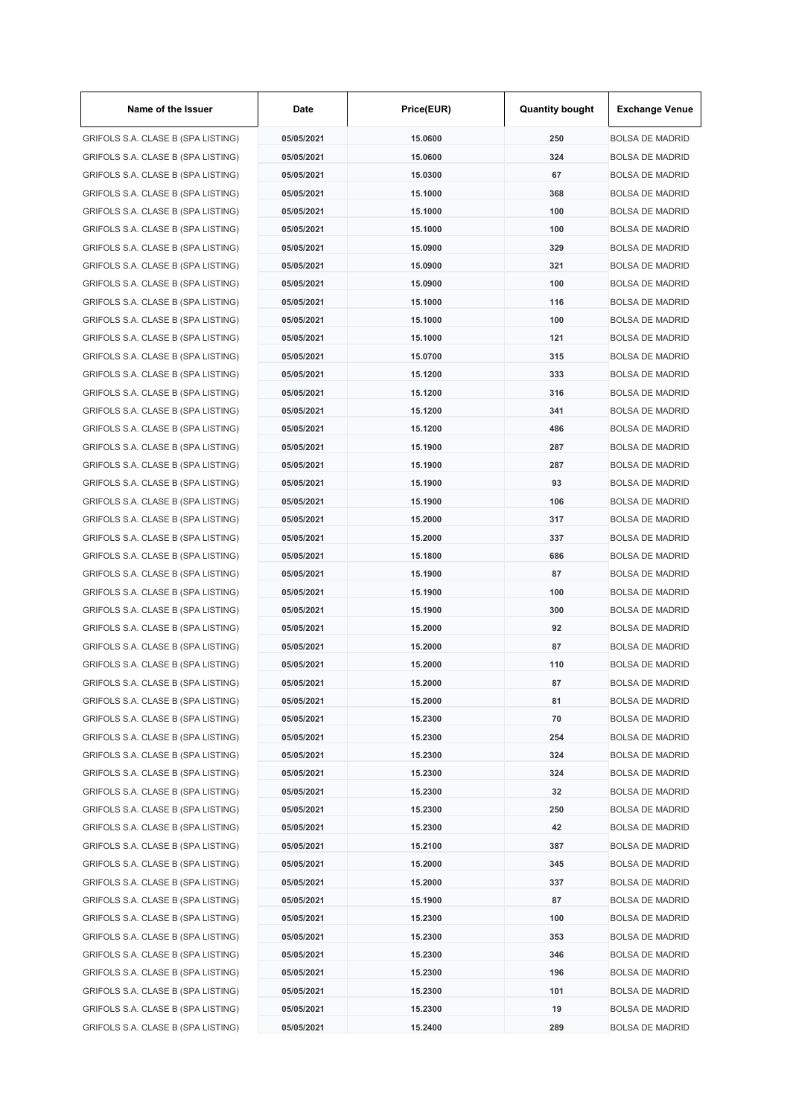| Name of the Issuer                 | Date       | Price(EUR) | <b>Quantity bought</b> | <b>Exchange Venue</b>  |
|------------------------------------|------------|------------|------------------------|------------------------|
| GRIFOLS S.A. CLASE B (SPA LISTING) | 05/05/2021 | 15.0600    | 250                    | <b>BOLSA DE MADRID</b> |
| GRIFOLS S.A. CLASE B (SPA LISTING) | 05/05/2021 | 15.0600    | 324                    | <b>BOLSA DE MADRID</b> |
| GRIFOLS S.A. CLASE B (SPA LISTING) | 05/05/2021 | 15.0300    | 67                     | <b>BOLSA DE MADRID</b> |
| GRIFOLS S.A. CLASE B (SPA LISTING) | 05/05/2021 | 15.1000    | 368                    | <b>BOLSA DE MADRID</b> |
| GRIFOLS S.A. CLASE B (SPA LISTING) | 05/05/2021 | 15.1000    | 100                    | <b>BOLSA DE MADRID</b> |
| GRIFOLS S.A. CLASE B (SPA LISTING) | 05/05/2021 | 15.1000    | 100                    | <b>BOLSA DE MADRID</b> |
| GRIFOLS S.A. CLASE B (SPA LISTING) | 05/05/2021 | 15.0900    | 329                    | <b>BOLSA DE MADRID</b> |
| GRIFOLS S.A. CLASE B (SPA LISTING) | 05/05/2021 | 15.0900    | 321                    | <b>BOLSA DE MADRID</b> |
| GRIFOLS S.A. CLASE B (SPA LISTING) | 05/05/2021 | 15.0900    | 100                    | <b>BOLSA DE MADRID</b> |
| GRIFOLS S.A. CLASE B (SPA LISTING) | 05/05/2021 | 15.1000    | 116                    | <b>BOLSA DE MADRID</b> |
| GRIFOLS S.A. CLASE B (SPA LISTING) | 05/05/2021 | 15.1000    | 100                    | <b>BOLSA DE MADRID</b> |
| GRIFOLS S.A. CLASE B (SPA LISTING) | 05/05/2021 | 15.1000    | 121                    | <b>BOLSA DE MADRID</b> |
| GRIFOLS S.A. CLASE B (SPA LISTING) | 05/05/2021 | 15.0700    | 315                    | <b>BOLSA DE MADRID</b> |
| GRIFOLS S.A. CLASE B (SPA LISTING) | 05/05/2021 | 15.1200    | 333                    | <b>BOLSA DE MADRID</b> |
| GRIFOLS S.A. CLASE B (SPA LISTING) | 05/05/2021 | 15.1200    | 316                    | <b>BOLSA DE MADRID</b> |
| GRIFOLS S.A. CLASE B (SPA LISTING) | 05/05/2021 | 15.1200    | 341                    | <b>BOLSA DE MADRID</b> |
| GRIFOLS S.A. CLASE B (SPA LISTING) | 05/05/2021 | 15.1200    | 486                    | <b>BOLSA DE MADRID</b> |
| GRIFOLS S.A. CLASE B (SPA LISTING) | 05/05/2021 | 15.1900    | 287                    | <b>BOLSA DE MADRID</b> |
| GRIFOLS S.A. CLASE B (SPA LISTING) | 05/05/2021 | 15.1900    | 287                    | <b>BOLSA DE MADRID</b> |
| GRIFOLS S.A. CLASE B (SPA LISTING) | 05/05/2021 | 15.1900    | 93                     | <b>BOLSA DE MADRID</b> |
| GRIFOLS S.A. CLASE B (SPA LISTING) | 05/05/2021 | 15.1900    | 106                    | <b>BOLSA DE MADRID</b> |
| GRIFOLS S.A. CLASE B (SPA LISTING) | 05/05/2021 | 15.2000    | 317                    | <b>BOLSA DE MADRID</b> |
| GRIFOLS S.A. CLASE B (SPA LISTING) | 05/05/2021 | 15.2000    | 337                    | <b>BOLSA DE MADRID</b> |
| GRIFOLS S.A. CLASE B (SPA LISTING) | 05/05/2021 | 15.1800    | 686                    | <b>BOLSA DE MADRID</b> |
| GRIFOLS S.A. CLASE B (SPA LISTING) | 05/05/2021 | 15.1900    | 87                     | <b>BOLSA DE MADRID</b> |
| GRIFOLS S.A. CLASE B (SPA LISTING) | 05/05/2021 | 15.1900    | 100                    | <b>BOLSA DE MADRID</b> |
| GRIFOLS S.A. CLASE B (SPA LISTING) | 05/05/2021 | 15.1900    | 300                    | <b>BOLSA DE MADRID</b> |
|                                    | 05/05/2021 | 15.2000    | 92                     | <b>BOLSA DE MADRID</b> |
| GRIFOLS S.A. CLASE B (SPA LISTING) |            |            |                        | <b>BOLSA DE MADRID</b> |
| GRIFOLS S.A. CLASE B (SPA LISTING) | 05/05/2021 | 15.2000    | 87                     |                        |
| GRIFOLS S.A. CLASE B (SPA LISTING) | 05/05/2021 | 15.2000    | 110                    | <b>BOLSA DE MADRID</b> |
| GRIFOLS S.A. CLASE B (SPA LISTING) | 05/05/2021 | 15.2000    | 87                     | <b>BOLSA DE MADRID</b> |
| GRIFOLS S.A. CLASE B (SPA LISTING) | 05/05/2021 | 15.2000    | 81                     | <b>BOLSA DE MADRID</b> |
| GRIFOLS S.A. CLASE B (SPA LISTING) | 05/05/2021 | 15.2300    | 70                     | <b>BOLSA DE MADRID</b> |
| GRIFOLS S.A. CLASE B (SPA LISTING) | 05/05/2021 | 15.2300    | 254                    | <b>BOLSA DE MADRID</b> |
| GRIFOLS S.A. CLASE B (SPA LISTING) | 05/05/2021 | 15.2300    | 324                    | <b>BOLSA DE MADRID</b> |
| GRIFOLS S.A. CLASE B (SPA LISTING) | 05/05/2021 | 15.2300    | 324                    | <b>BOLSA DE MADRID</b> |
| GRIFOLS S.A. CLASE B (SPA LISTING) | 05/05/2021 | 15.2300    | 32                     | <b>BOLSA DE MADRID</b> |
| GRIFOLS S.A. CLASE B (SPA LISTING) | 05/05/2021 | 15.2300    | 250                    | <b>BOLSA DE MADRID</b> |
| GRIFOLS S.A. CLASE B (SPA LISTING) | 05/05/2021 | 15.2300    | 42                     | <b>BOLSA DE MADRID</b> |
| GRIFOLS S.A. CLASE B (SPA LISTING) | 05/05/2021 | 15.2100    | 387                    | <b>BOLSA DE MADRID</b> |
| GRIFOLS S.A. CLASE B (SPA LISTING) | 05/05/2021 | 15.2000    | 345                    | <b>BOLSA DE MADRID</b> |
| GRIFOLS S.A. CLASE B (SPA LISTING) | 05/05/2021 | 15.2000    | 337                    | <b>BOLSA DE MADRID</b> |
| GRIFOLS S.A. CLASE B (SPA LISTING) | 05/05/2021 | 15.1900    | 87                     | <b>BOLSA DE MADRID</b> |
| GRIFOLS S.A. CLASE B (SPA LISTING) | 05/05/2021 | 15.2300    | 100                    | <b>BOLSA DE MADRID</b> |
| GRIFOLS S.A. CLASE B (SPA LISTING) | 05/05/2021 | 15.2300    | 353                    | <b>BOLSA DE MADRID</b> |
| GRIFOLS S.A. CLASE B (SPA LISTING) | 05/05/2021 | 15.2300    | 346                    | <b>BOLSA DE MADRID</b> |
| GRIFOLS S.A. CLASE B (SPA LISTING) | 05/05/2021 | 15.2300    | 196                    | <b>BOLSA DE MADRID</b> |
| GRIFOLS S.A. CLASE B (SPA LISTING) | 05/05/2021 | 15.2300    | 101                    | <b>BOLSA DE MADRID</b> |
| GRIFOLS S.A. CLASE B (SPA LISTING) | 05/05/2021 | 15.2300    | 19                     | <b>BOLSA DE MADRID</b> |
| GRIFOLS S.A. CLASE B (SPA LISTING) | 05/05/2021 | 15.2400    | 289                    | <b>BOLSA DE MADRID</b> |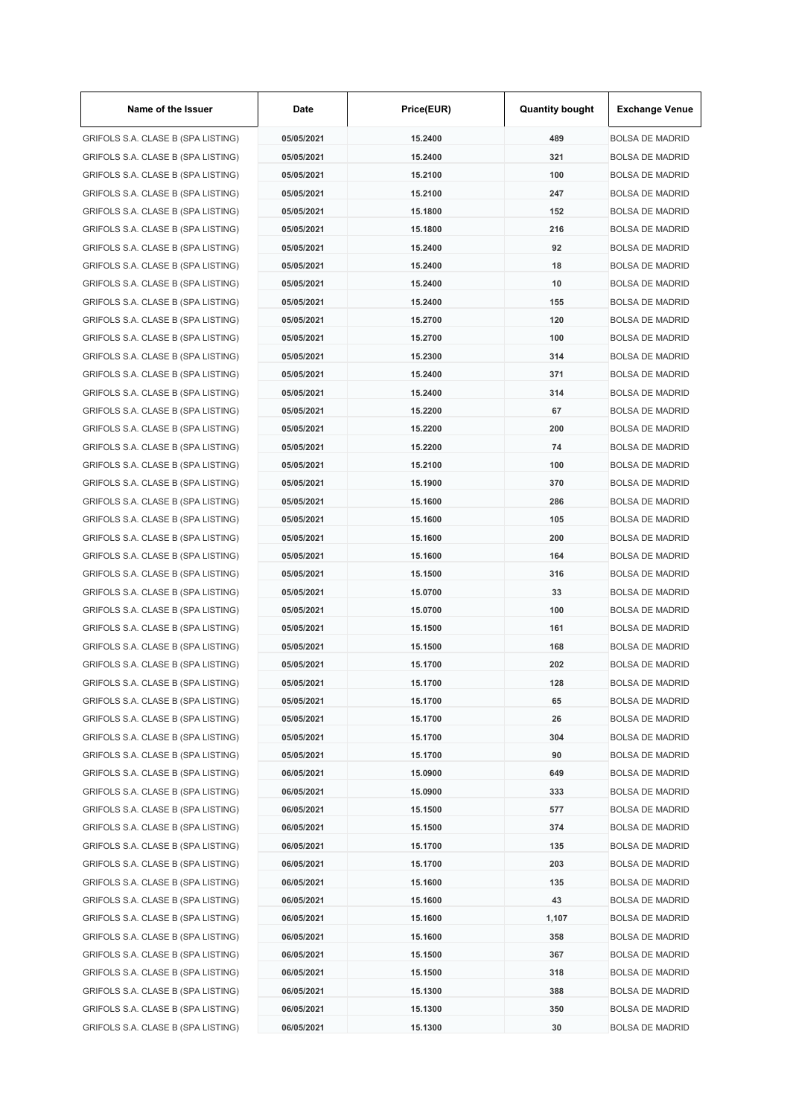| Name of the Issuer                 | Date       | Price(EUR) | <b>Quantity bought</b> | <b>Exchange Venue</b>                            |
|------------------------------------|------------|------------|------------------------|--------------------------------------------------|
| GRIFOLS S.A. CLASE B (SPA LISTING) | 05/05/2021 | 15.2400    | 489                    | <b>BOLSA DE MADRID</b>                           |
| GRIFOLS S.A. CLASE B (SPA LISTING) | 05/05/2021 | 15.2400    | 321                    | <b>BOLSA DE MADRID</b>                           |
| GRIFOLS S.A. CLASE B (SPA LISTING) | 05/05/2021 | 15.2100    | 100                    | <b>BOLSA DE MADRID</b>                           |
| GRIFOLS S.A. CLASE B (SPA LISTING) | 05/05/2021 | 15.2100    | 247                    | <b>BOLSA DE MADRID</b>                           |
| GRIFOLS S.A. CLASE B (SPA LISTING) | 05/05/2021 | 15.1800    | 152                    | <b>BOLSA DE MADRID</b>                           |
| GRIFOLS S.A. CLASE B (SPA LISTING) | 05/05/2021 | 15.1800    | 216                    | <b>BOLSA DE MADRID</b>                           |
| GRIFOLS S.A. CLASE B (SPA LISTING) | 05/05/2021 | 15.2400    | 92                     | <b>BOLSA DE MADRID</b>                           |
| GRIFOLS S.A. CLASE B (SPA LISTING) | 05/05/2021 | 15.2400    | 18                     | <b>BOLSA DE MADRID</b>                           |
| GRIFOLS S.A. CLASE B (SPA LISTING) | 05/05/2021 | 15.2400    | 10                     | <b>BOLSA DE MADRID</b>                           |
| GRIFOLS S.A. CLASE B (SPA LISTING) | 05/05/2021 | 15.2400    | 155                    | <b>BOLSA DE MADRID</b>                           |
| GRIFOLS S.A. CLASE B (SPA LISTING) | 05/05/2021 | 15.2700    | 120                    | <b>BOLSA DE MADRID</b>                           |
| GRIFOLS S.A. CLASE B (SPA LISTING) | 05/05/2021 | 15.2700    | 100                    | <b>BOLSA DE MADRID</b>                           |
| GRIFOLS S.A. CLASE B (SPA LISTING) | 05/05/2021 | 15.2300    | 314                    | <b>BOLSA DE MADRID</b>                           |
| GRIFOLS S.A. CLASE B (SPA LISTING) | 05/05/2021 | 15.2400    | 371                    | <b>BOLSA DE MADRID</b>                           |
| GRIFOLS S.A. CLASE B (SPA LISTING) | 05/05/2021 | 15.2400    | 314                    | <b>BOLSA DE MADRID</b>                           |
| GRIFOLS S.A. CLASE B (SPA LISTING) | 05/05/2021 | 15.2200    | 67                     | <b>BOLSA DE MADRID</b>                           |
| GRIFOLS S.A. CLASE B (SPA LISTING) | 05/05/2021 | 15.2200    | 200                    | <b>BOLSA DE MADRID</b>                           |
| GRIFOLS S.A. CLASE B (SPA LISTING) | 05/05/2021 | 15.2200    | 74                     | <b>BOLSA DE MADRID</b>                           |
| GRIFOLS S.A. CLASE B (SPA LISTING) | 05/05/2021 | 15.2100    | 100                    | <b>BOLSA DE MADRID</b>                           |
| GRIFOLS S.A. CLASE B (SPA LISTING) | 05/05/2021 | 15.1900    | 370                    | <b>BOLSA DE MADRID</b>                           |
| GRIFOLS S.A. CLASE B (SPA LISTING) | 05/05/2021 | 15.1600    | 286                    | <b>BOLSA DE MADRID</b>                           |
| GRIFOLS S.A. CLASE B (SPA LISTING) | 05/05/2021 | 15.1600    | 105                    | <b>BOLSA DE MADRID</b>                           |
| GRIFOLS S.A. CLASE B (SPA LISTING) | 05/05/2021 | 15.1600    | 200                    | <b>BOLSA DE MADRID</b>                           |
| GRIFOLS S.A. CLASE B (SPA LISTING) | 05/05/2021 | 15.1600    | 164                    | <b>BOLSA DE MADRID</b>                           |
| GRIFOLS S.A. CLASE B (SPA LISTING) | 05/05/2021 | 15.1500    | 316                    | <b>BOLSA DE MADRID</b>                           |
| GRIFOLS S.A. CLASE B (SPA LISTING) | 05/05/2021 | 15.0700    | 33                     | <b>BOLSA DE MADRID</b>                           |
| GRIFOLS S.A. CLASE B (SPA LISTING) | 05/05/2021 | 15.0700    | 100                    | <b>BOLSA DE MADRID</b>                           |
| GRIFOLS S.A. CLASE B (SPA LISTING) | 05/05/2021 | 15.1500    | 161                    | <b>BOLSA DE MADRID</b>                           |
| GRIFOLS S.A. CLASE B (SPA LISTING) | 05/05/2021 | 15.1500    | 168                    | <b>BOLSA DE MADRID</b>                           |
| GRIFOLS S.A. CLASE B (SPA LISTING) | 05/05/2021 | 15.1700    | 202                    | <b>BOLSA DE MADRID</b>                           |
| GRIFOLS S.A. CLASE B (SPA LISTING) | 05/05/2021 | 15.1700    | 128                    | <b>BOLSA DE MADRID</b>                           |
| GRIFOLS S.A. CLASE B (SPA LISTING) | 05/05/2021 | 15.1700    | 65                     | <b>BOLSA DE MADRID</b>                           |
| GRIFOLS S.A. CLASE B (SPA LISTING) |            | 15.1700    |                        |                                                  |
| GRIFOLS S.A. CLASE B (SPA LISTING) | 05/05/2021 |            | 26                     | <b>BOLSA DE MADRID</b><br><b>BOLSA DE MADRID</b> |
|                                    | 05/05/2021 | 15.1700    | 304                    |                                                  |
| GRIFOLS S.A. CLASE B (SPA LISTING) | 05/05/2021 | 15.1700    | 90                     | <b>BOLSA DE MADRID</b>                           |
| GRIFOLS S.A. CLASE B (SPA LISTING) | 06/05/2021 | 15.0900    | 649                    | <b>BOLSA DE MADRID</b>                           |
| GRIFOLS S.A. CLASE B (SPA LISTING) | 06/05/2021 | 15.0900    | 333                    | <b>BOLSA DE MADRID</b>                           |
| GRIFOLS S.A. CLASE B (SPA LISTING) | 06/05/2021 | 15.1500    | 577                    | <b>BOLSA DE MADRID</b>                           |
| GRIFOLS S.A. CLASE B (SPA LISTING) | 06/05/2021 | 15.1500    | 374                    | <b>BOLSA DE MADRID</b>                           |
| GRIFOLS S.A. CLASE B (SPA LISTING) | 06/05/2021 | 15.1700    | 135                    | <b>BOLSA DE MADRID</b>                           |
| GRIFOLS S.A. CLASE B (SPA LISTING) | 06/05/2021 | 15.1700    | 203                    | <b>BOLSA DE MADRID</b>                           |
| GRIFOLS S.A. CLASE B (SPA LISTING) | 06/05/2021 | 15.1600    | 135                    | <b>BOLSA DE MADRID</b>                           |
| GRIFOLS S.A. CLASE B (SPA LISTING) | 06/05/2021 | 15.1600    | 43                     | <b>BOLSA DE MADRID</b>                           |
| GRIFOLS S.A. CLASE B (SPA LISTING) | 06/05/2021 | 15.1600    | 1,107                  | <b>BOLSA DE MADRID</b>                           |
| GRIFOLS S.A. CLASE B (SPA LISTING) | 06/05/2021 | 15.1600    | 358                    | <b>BOLSA DE MADRID</b>                           |
| GRIFOLS S.A. CLASE B (SPA LISTING) | 06/05/2021 | 15.1500    | 367                    | <b>BOLSA DE MADRID</b>                           |
| GRIFOLS S.A. CLASE B (SPA LISTING) | 06/05/2021 | 15.1500    | 318                    | <b>BOLSA DE MADRID</b>                           |
| GRIFOLS S.A. CLASE B (SPA LISTING) | 06/05/2021 | 15.1300    | 388                    | <b>BOLSA DE MADRID</b>                           |
| GRIFOLS S.A. CLASE B (SPA LISTING) | 06/05/2021 | 15.1300    | 350                    | <b>BOLSA DE MADRID</b>                           |
| GRIFOLS S.A. CLASE B (SPA LISTING) | 06/05/2021 | 15.1300    | 30                     | <b>BOLSA DE MADRID</b>                           |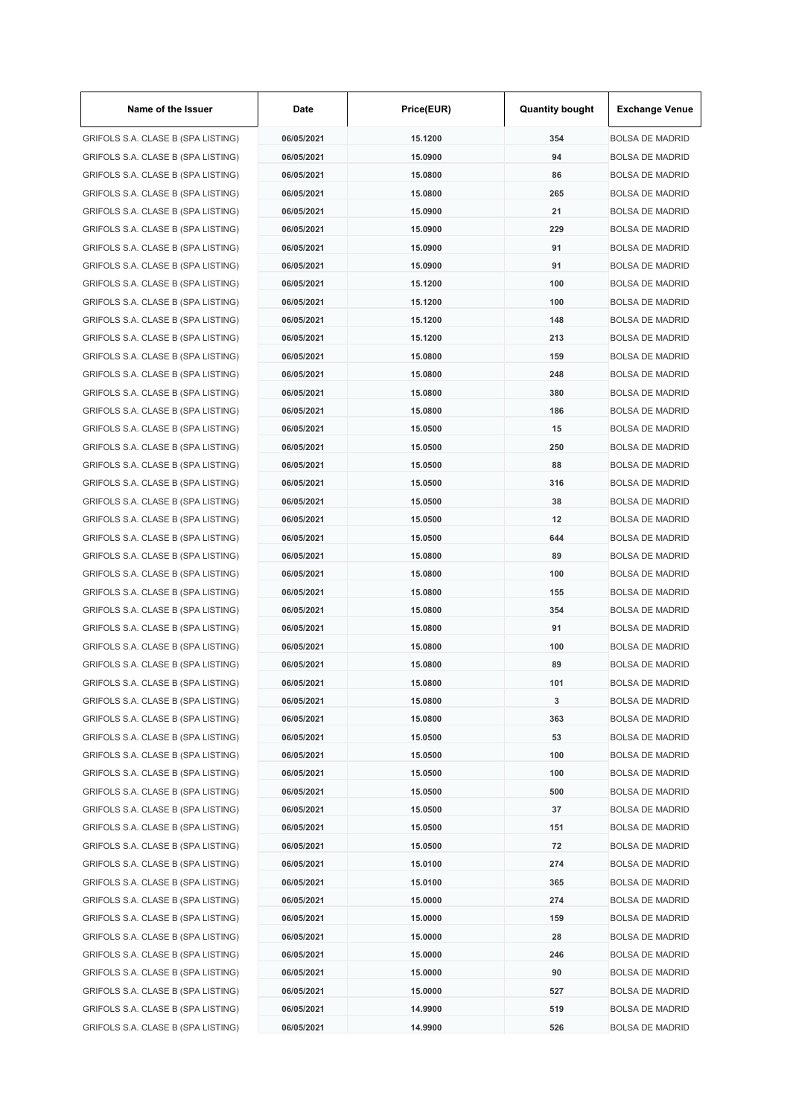| Name of the Issuer                                                       | Date                     | Price(EUR) | <b>Quantity bought</b> | <b>Exchange Venue</b>                            |
|--------------------------------------------------------------------------|--------------------------|------------|------------------------|--------------------------------------------------|
| GRIFOLS S.A. CLASE B (SPA LISTING)                                       | 06/05/2021               | 15.1200    | 354                    | <b>BOLSA DE MADRID</b>                           |
| GRIFOLS S.A. CLASE B (SPA LISTING)                                       | 06/05/2021               | 15.0900    | 94                     | <b>BOLSA DE MADRID</b>                           |
| GRIFOLS S.A. CLASE B (SPA LISTING)                                       | 06/05/2021               | 15.0800    | 86                     | <b>BOLSA DE MADRID</b>                           |
| GRIFOLS S.A. CLASE B (SPA LISTING)                                       | 06/05/2021               | 15.0800    | 265                    | <b>BOLSA DE MADRID</b>                           |
| GRIFOLS S.A. CLASE B (SPA LISTING)                                       | 06/05/2021               | 15.0900    | 21                     | <b>BOLSA DE MADRID</b>                           |
| GRIFOLS S.A. CLASE B (SPA LISTING)                                       | 06/05/2021               | 15.0900    | 229                    | <b>BOLSA DE MADRID</b>                           |
| GRIFOLS S.A. CLASE B (SPA LISTING)                                       | 06/05/2021               | 15.0900    | 91                     | <b>BOLSA DE MADRID</b>                           |
| GRIFOLS S.A. CLASE B (SPA LISTING)                                       | 06/05/2021               | 15.0900    | 91                     | <b>BOLSA DE MADRID</b>                           |
| GRIFOLS S.A. CLASE B (SPA LISTING)                                       | 06/05/2021               | 15.1200    | 100                    | <b>BOLSA DE MADRID</b>                           |
| GRIFOLS S.A. CLASE B (SPA LISTING)                                       | 06/05/2021               | 15.1200    | 100                    | <b>BOLSA DE MADRID</b>                           |
| GRIFOLS S.A. CLASE B (SPA LISTING)                                       | 06/05/2021               | 15.1200    | 148                    | <b>BOLSA DE MADRID</b>                           |
| GRIFOLS S.A. CLASE B (SPA LISTING)                                       | 06/05/2021               | 15.1200    | 213                    | <b>BOLSA DE MADRID</b>                           |
| GRIFOLS S.A. CLASE B (SPA LISTING)                                       | 06/05/2021               | 15.0800    | 159                    | <b>BOLSA DE MADRID</b>                           |
| GRIFOLS S.A. CLASE B (SPA LISTING)                                       | 06/05/2021               | 15.0800    | 248                    | <b>BOLSA DE MADRID</b>                           |
| GRIFOLS S.A. CLASE B (SPA LISTING)                                       | 06/05/2021               | 15.0800    | 380                    | <b>BOLSA DE MADRID</b>                           |
| GRIFOLS S.A. CLASE B (SPA LISTING)                                       | 06/05/2021               | 15.0800    | 186                    | <b>BOLSA DE MADRID</b>                           |
| GRIFOLS S.A. CLASE B (SPA LISTING)                                       | 06/05/2021               | 15.0500    | 15                     | <b>BOLSA DE MADRID</b>                           |
| GRIFOLS S.A. CLASE B (SPA LISTING)                                       | 06/05/2021               | 15.0500    | 250                    | <b>BOLSA DE MADRID</b>                           |
| GRIFOLS S.A. CLASE B (SPA LISTING)                                       | 06/05/2021               | 15.0500    | 88                     | <b>BOLSA DE MADRID</b>                           |
| GRIFOLS S.A. CLASE B (SPA LISTING)                                       | 06/05/2021               | 15.0500    | 316                    | <b>BOLSA DE MADRID</b>                           |
| GRIFOLS S.A. CLASE B (SPA LISTING)                                       | 06/05/2021               | 15.0500    | 38                     | <b>BOLSA DE MADRID</b>                           |
| GRIFOLS S.A. CLASE B (SPA LISTING)                                       | 06/05/2021               | 15.0500    | 12                     | <b>BOLSA DE MADRID</b>                           |
| GRIFOLS S.A. CLASE B (SPA LISTING)                                       | 06/05/2021               | 15.0500    | 644                    | <b>BOLSA DE MADRID</b>                           |
| GRIFOLS S.A. CLASE B (SPA LISTING)                                       | 06/05/2021               | 15.0800    | 89                     | <b>BOLSA DE MADRID</b>                           |
| GRIFOLS S.A. CLASE B (SPA LISTING)                                       | 06/05/2021               | 15.0800    | 100                    | <b>BOLSA DE MADRID</b>                           |
| GRIFOLS S.A. CLASE B (SPA LISTING)                                       | 06/05/2021               | 15.0800    | 155                    | <b>BOLSA DE MADRID</b>                           |
| GRIFOLS S.A. CLASE B (SPA LISTING)                                       | 06/05/2021               | 15.0800    | 354                    | <b>BOLSA DE MADRID</b>                           |
| GRIFOLS S.A. CLASE B (SPA LISTING)                                       | 06/05/2021               | 15.0800    | 91                     | <b>BOLSA DE MADRID</b>                           |
| GRIFOLS S.A. CLASE B (SPA LISTING)                                       | 06/05/2021               | 15,0800    | 100                    | <b>BOLSA DE MADRID</b>                           |
| GRIFOLS S.A. CLASE B (SPA LISTING)                                       | 06/05/2021               | 15.0800    | 89                     | <b>BOLSA DE MADRID</b>                           |
| GRIFOLS S.A. CLASE B (SPA LISTING)                                       | 06/05/2021               | 15.0800    | 101                    | <b>BOLSA DE MADRID</b>                           |
| GRIFOLS S.A. CLASE B (SPA LISTING)                                       | 06/05/2021               | 15.0800    | 3                      | <b>BOLSA DE MADRID</b>                           |
| GRIFOLS S.A. CLASE B (SPA LISTING)                                       |                          |            | 363                    |                                                  |
|                                                                          | 06/05/2021               | 15.0800    | 53                     | <b>BOLSA DE MADRID</b>                           |
| GRIFOLS S.A. CLASE B (SPA LISTING)<br>GRIFOLS S.A. CLASE B (SPA LISTING) | 06/05/2021               | 15.0500    |                        | <b>BOLSA DE MADRID</b>                           |
|                                                                          | 06/05/2021<br>06/05/2021 | 15.0500    | 100                    | <b>BOLSA DE MADRID</b>                           |
| GRIFOLS S.A. CLASE B (SPA LISTING)<br>GRIFOLS S.A. CLASE B (SPA LISTING) |                          | 15.0500    | 100                    | <b>BOLSA DE MADRID</b><br><b>BOLSA DE MADRID</b> |
|                                                                          | 06/05/2021               | 15.0500    | 500                    |                                                  |
| GRIFOLS S.A. CLASE B (SPA LISTING)                                       | 06/05/2021               | 15.0500    | 37                     | <b>BOLSA DE MADRID</b>                           |
| GRIFOLS S.A. CLASE B (SPA LISTING)                                       | 06/05/2021               | 15.0500    | 151                    | <b>BOLSA DE MADRID</b>                           |
| GRIFOLS S.A. CLASE B (SPA LISTING)                                       | 06/05/2021               | 15.0500    | 72                     | <b>BOLSA DE MADRID</b>                           |
| GRIFOLS S.A. CLASE B (SPA LISTING)                                       | 06/05/2021               | 15.0100    | 274                    | <b>BOLSA DE MADRID</b>                           |
| GRIFOLS S.A. CLASE B (SPA LISTING)                                       | 06/05/2021               | 15.0100    | 365                    | <b>BOLSA DE MADRID</b>                           |
| GRIFOLS S.A. CLASE B (SPA LISTING)                                       | 06/05/2021               | 15.0000    | 274                    | <b>BOLSA DE MADRID</b>                           |
| GRIFOLS S.A. CLASE B (SPA LISTING)                                       | 06/05/2021               | 15.0000    | 159                    | <b>BOLSA DE MADRID</b>                           |
| GRIFOLS S.A. CLASE B (SPA LISTING)                                       | 06/05/2021               | 15.0000    | 28                     | <b>BOLSA DE MADRID</b>                           |
| GRIFOLS S.A. CLASE B (SPA LISTING)                                       | 06/05/2021               | 15.0000    | 246                    | <b>BOLSA DE MADRID</b>                           |
| GRIFOLS S.A. CLASE B (SPA LISTING)                                       | 06/05/2021               | 15.0000    | 90                     | <b>BOLSA DE MADRID</b>                           |
| GRIFOLS S.A. CLASE B (SPA LISTING)                                       | 06/05/2021               | 15.0000    | 527                    | <b>BOLSA DE MADRID</b>                           |
| GRIFOLS S.A. CLASE B (SPA LISTING)                                       | 06/05/2021               | 14.9900    | 519                    | <b>BOLSA DE MADRID</b>                           |
| GRIFOLS S.A. CLASE B (SPA LISTING)                                       | 06/05/2021               | 14.9900    | 526                    | <b>BOLSA DE MADRID</b>                           |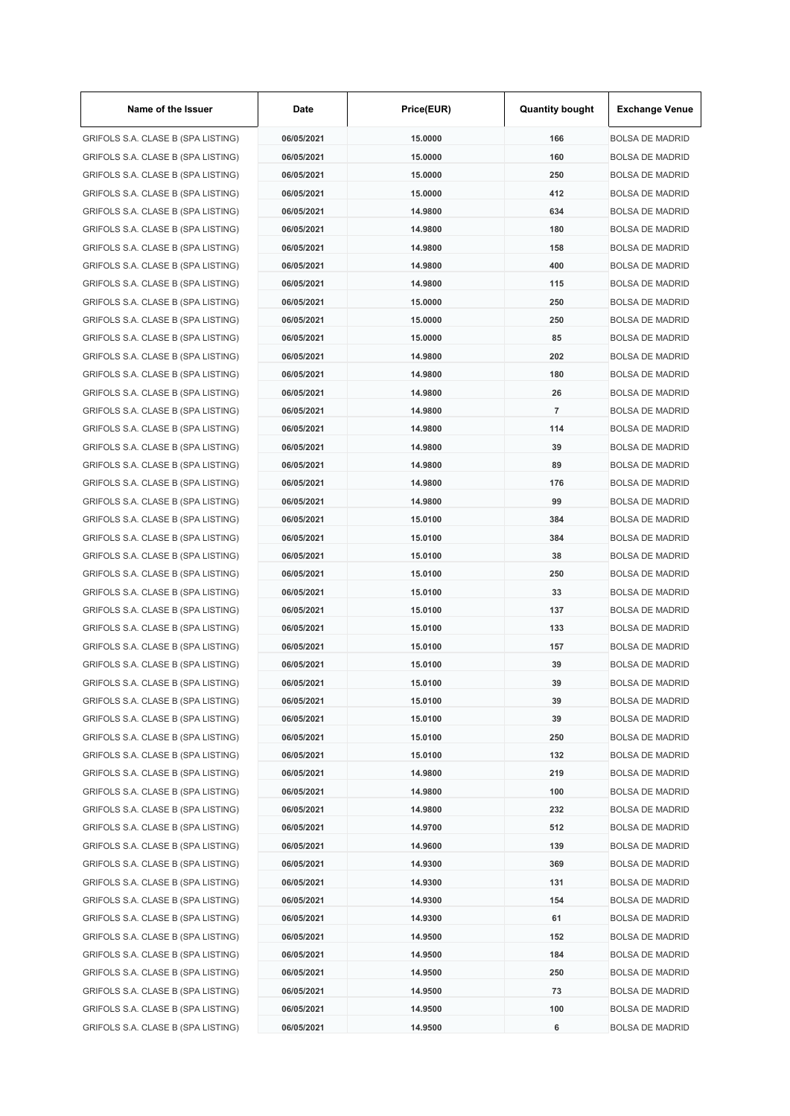| Name of the Issuer                 | Date       | Price(EUR) | <b>Quantity bought</b> | <b>Exchange Venue</b>  |
|------------------------------------|------------|------------|------------------------|------------------------|
| GRIFOLS S.A. CLASE B (SPA LISTING) | 06/05/2021 | 15.0000    | 166                    | <b>BOLSA DE MADRID</b> |
| GRIFOLS S.A. CLASE B (SPA LISTING) | 06/05/2021 | 15.0000    | 160                    | <b>BOLSA DE MADRID</b> |
| GRIFOLS S.A. CLASE B (SPA LISTING) | 06/05/2021 | 15.0000    | 250                    | <b>BOLSA DE MADRID</b> |
| GRIFOLS S.A. CLASE B (SPA LISTING) | 06/05/2021 | 15.0000    | 412                    | <b>BOLSA DE MADRID</b> |
| GRIFOLS S.A. CLASE B (SPA LISTING) | 06/05/2021 | 14.9800    | 634                    | <b>BOLSA DE MADRID</b> |
| GRIFOLS S.A. CLASE B (SPA LISTING) | 06/05/2021 | 14.9800    | 180                    | <b>BOLSA DE MADRID</b> |
| GRIFOLS S.A. CLASE B (SPA LISTING) | 06/05/2021 | 14.9800    | 158                    | <b>BOLSA DE MADRID</b> |
| GRIFOLS S.A. CLASE B (SPA LISTING) | 06/05/2021 | 14.9800    | 400                    | <b>BOLSA DE MADRID</b> |
| GRIFOLS S.A. CLASE B (SPA LISTING) | 06/05/2021 | 14.9800    | 115                    | <b>BOLSA DE MADRID</b> |
| GRIFOLS S.A. CLASE B (SPA LISTING) | 06/05/2021 | 15.0000    | 250                    | <b>BOLSA DE MADRID</b> |
| GRIFOLS S.A. CLASE B (SPA LISTING) | 06/05/2021 | 15.0000    | 250                    | <b>BOLSA DE MADRID</b> |
| GRIFOLS S.A. CLASE B (SPA LISTING) | 06/05/2021 | 15.0000    | 85                     | <b>BOLSA DE MADRID</b> |
| GRIFOLS S.A. CLASE B (SPA LISTING) | 06/05/2021 | 14.9800    | 202                    | <b>BOLSA DE MADRID</b> |
| GRIFOLS S.A. CLASE B (SPA LISTING) | 06/05/2021 | 14.9800    | 180                    | <b>BOLSA DE MADRID</b> |
| GRIFOLS S.A. CLASE B (SPA LISTING) | 06/05/2021 | 14.9800    | 26                     | <b>BOLSA DE MADRID</b> |
| GRIFOLS S.A. CLASE B (SPA LISTING) | 06/05/2021 | 14.9800    | $\overline{7}$         | <b>BOLSA DE MADRID</b> |
| GRIFOLS S.A. CLASE B (SPA LISTING) | 06/05/2021 | 14.9800    | 114                    | <b>BOLSA DE MADRID</b> |
| GRIFOLS S.A. CLASE B (SPA LISTING) | 06/05/2021 | 14.9800    | 39                     | <b>BOLSA DE MADRID</b> |
| GRIFOLS S.A. CLASE B (SPA LISTING) | 06/05/2021 | 14.9800    | 89                     | <b>BOLSA DE MADRID</b> |
| GRIFOLS S.A. CLASE B (SPA LISTING) | 06/05/2021 | 14.9800    | 176                    | <b>BOLSA DE MADRID</b> |
| GRIFOLS S.A. CLASE B (SPA LISTING) | 06/05/2021 | 14.9800    | 99                     | <b>BOLSA DE MADRID</b> |
| GRIFOLS S.A. CLASE B (SPA LISTING) | 06/05/2021 | 15.0100    | 384                    | <b>BOLSA DE MADRID</b> |
| GRIFOLS S.A. CLASE B (SPA LISTING) | 06/05/2021 | 15.0100    | 384                    | <b>BOLSA DE MADRID</b> |
| GRIFOLS S.A. CLASE B (SPA LISTING) | 06/05/2021 | 15.0100    | 38                     | <b>BOLSA DE MADRID</b> |
|                                    |            |            | 250                    |                        |
| GRIFOLS S.A. CLASE B (SPA LISTING) | 06/05/2021 | 15.0100    |                        | <b>BOLSA DE MADRID</b> |
| GRIFOLS S.A. CLASE B (SPA LISTING) | 06/05/2021 | 15.0100    | 33                     | <b>BOLSA DE MADRID</b> |
| GRIFOLS S.A. CLASE B (SPA LISTING) | 06/05/2021 | 15.0100    | 137                    | <b>BOLSA DE MADRID</b> |
| GRIFOLS S.A. CLASE B (SPA LISTING) | 06/05/2021 | 15.0100    | 133                    | <b>BOLSA DE MADRID</b> |
| GRIFOLS S.A. CLASE B (SPA LISTING) | 06/05/2021 | 15.0100    | 157                    | <b>BOLSA DE MADRID</b> |
| GRIFOLS S.A. CLASE B (SPA LISTING) | 06/05/2021 | 15.0100    | 39                     | <b>BOLSA DE MADRID</b> |
| GRIFOLS S.A. CLASE B (SPA LISTING) | 06/05/2021 | 15.0100    | 39                     | <b>BOLSA DE MADRID</b> |
| GRIFOLS S.A. CLASE B (SPA LISTING) | 06/05/2021 | 15.0100    | 39                     | <b>BOLSA DE MADRID</b> |
| GRIFOLS S.A. CLASE B (SPA LISTING) | 06/05/2021 | 15.0100    | 39                     | <b>BOLSA DE MADRID</b> |
| GRIFOLS S.A. CLASE B (SPA LISTING) | 06/05/2021 | 15.0100    | 250                    | <b>BOLSA DE MADRID</b> |
| GRIFOLS S.A. CLASE B (SPA LISTING) | 06/05/2021 | 15.0100    | 132                    | <b>BOLSA DE MADRID</b> |
| GRIFOLS S.A. CLASE B (SPA LISTING) | 06/05/2021 | 14.9800    | 219                    | <b>BOLSA DE MADRID</b> |
| GRIFOLS S.A. CLASE B (SPA LISTING) | 06/05/2021 | 14.9800    | 100                    | <b>BOLSA DE MADRID</b> |
| GRIFOLS S.A. CLASE B (SPA LISTING) | 06/05/2021 | 14.9800    | 232                    | <b>BOLSA DE MADRID</b> |
| GRIFOLS S.A. CLASE B (SPA LISTING) | 06/05/2021 | 14.9700    | 512                    | <b>BOLSA DE MADRID</b> |
| GRIFOLS S.A. CLASE B (SPA LISTING) | 06/05/2021 | 14.9600    | 139                    | <b>BOLSA DE MADRID</b> |
| GRIFOLS S.A. CLASE B (SPA LISTING) | 06/05/2021 | 14.9300    | 369                    | <b>BOLSA DE MADRID</b> |
| GRIFOLS S.A. CLASE B (SPA LISTING) | 06/05/2021 | 14.9300    | 131                    | <b>BOLSA DE MADRID</b> |
| GRIFOLS S.A. CLASE B (SPA LISTING) | 06/05/2021 | 14.9300    | 154                    | <b>BOLSA DE MADRID</b> |
| GRIFOLS S.A. CLASE B (SPA LISTING) | 06/05/2021 | 14.9300    | 61                     | <b>BOLSA DE MADRID</b> |
| GRIFOLS S.A. CLASE B (SPA LISTING) | 06/05/2021 | 14.9500    | 152                    | <b>BOLSA DE MADRID</b> |
| GRIFOLS S.A. CLASE B (SPA LISTING) | 06/05/2021 | 14.9500    | 184                    | <b>BOLSA DE MADRID</b> |
| GRIFOLS S.A. CLASE B (SPA LISTING) | 06/05/2021 | 14.9500    | 250                    | <b>BOLSA DE MADRID</b> |
| GRIFOLS S.A. CLASE B (SPA LISTING) | 06/05/2021 | 14.9500    | 73                     | <b>BOLSA DE MADRID</b> |
| GRIFOLS S.A. CLASE B (SPA LISTING) | 06/05/2021 | 14.9500    | 100                    | <b>BOLSA DE MADRID</b> |
| GRIFOLS S.A. CLASE B (SPA LISTING) | 06/05/2021 | 14.9500    | 6                      | <b>BOLSA DE MADRID</b> |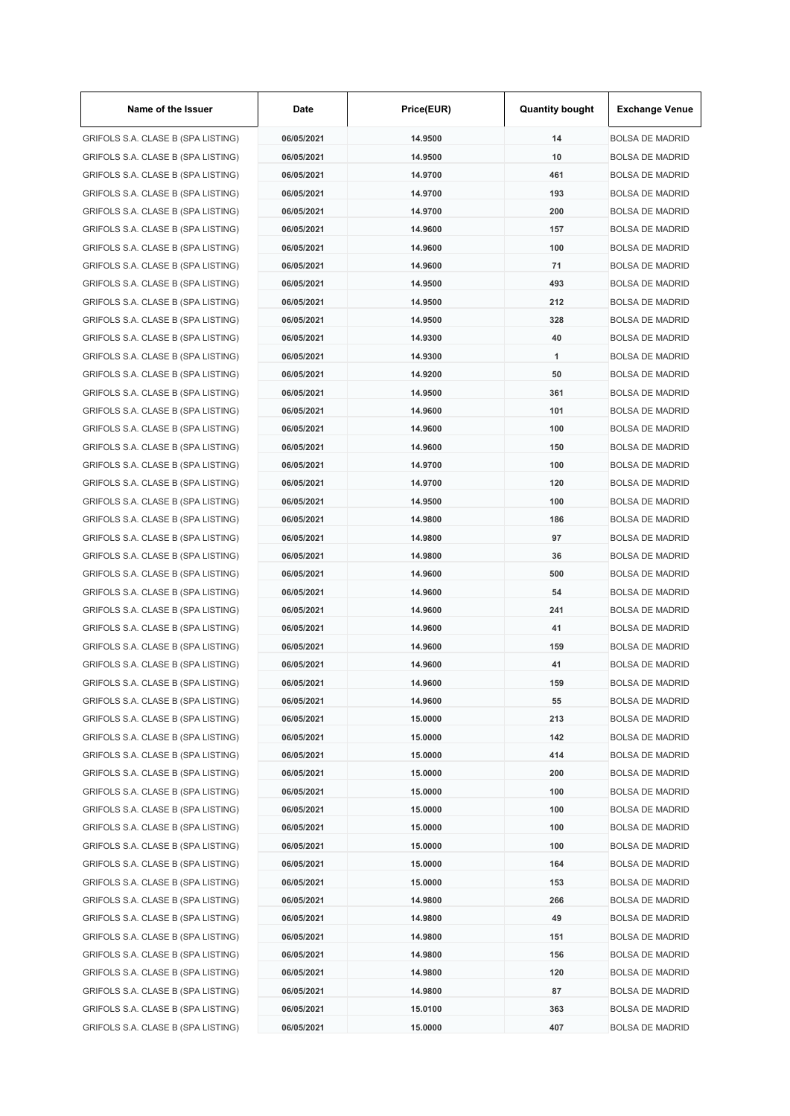| Name of the Issuer                 | Date       | Price(EUR) | <b>Quantity bought</b> | <b>Exchange Venue</b>  |
|------------------------------------|------------|------------|------------------------|------------------------|
| GRIFOLS S.A. CLASE B (SPA LISTING) | 06/05/2021 | 14.9500    | 14                     | <b>BOLSA DE MADRID</b> |
| GRIFOLS S.A. CLASE B (SPA LISTING) | 06/05/2021 | 14.9500    | 10                     | <b>BOLSA DE MADRID</b> |
| GRIFOLS S.A. CLASE B (SPA LISTING) | 06/05/2021 | 14.9700    | 461                    | <b>BOLSA DE MADRID</b> |
| GRIFOLS S.A. CLASE B (SPA LISTING) | 06/05/2021 | 14.9700    | 193                    | <b>BOLSA DE MADRID</b> |
| GRIFOLS S.A. CLASE B (SPA LISTING) | 06/05/2021 | 14.9700    | 200                    | <b>BOLSA DE MADRID</b> |
| GRIFOLS S.A. CLASE B (SPA LISTING) | 06/05/2021 | 14.9600    | 157                    | <b>BOLSA DE MADRID</b> |
| GRIFOLS S.A. CLASE B (SPA LISTING) | 06/05/2021 | 14.9600    | 100                    | <b>BOLSA DE MADRID</b> |
| GRIFOLS S.A. CLASE B (SPA LISTING) | 06/05/2021 | 14.9600    | 71                     | <b>BOLSA DE MADRID</b> |
| GRIFOLS S.A. CLASE B (SPA LISTING) | 06/05/2021 | 14.9500    | 493                    | <b>BOLSA DE MADRID</b> |
| GRIFOLS S.A. CLASE B (SPA LISTING) | 06/05/2021 | 14.9500    | 212                    | <b>BOLSA DE MADRID</b> |
| GRIFOLS S.A. CLASE B (SPA LISTING) | 06/05/2021 | 14.9500    | 328                    | <b>BOLSA DE MADRID</b> |
| GRIFOLS S.A. CLASE B (SPA LISTING) | 06/05/2021 | 14.9300    | 40                     | <b>BOLSA DE MADRID</b> |
| GRIFOLS S.A. CLASE B (SPA LISTING) | 06/05/2021 | 14.9300    | $\mathbf{1}$           | <b>BOLSA DE MADRID</b> |
| GRIFOLS S.A. CLASE B (SPA LISTING) | 06/05/2021 | 14.9200    | 50                     | <b>BOLSA DE MADRID</b> |
| GRIFOLS S.A. CLASE B (SPA LISTING) | 06/05/2021 | 14.9500    | 361                    | <b>BOLSA DE MADRID</b> |
| GRIFOLS S.A. CLASE B (SPA LISTING) | 06/05/2021 | 14.9600    | 101                    | <b>BOLSA DE MADRID</b> |
| GRIFOLS S.A. CLASE B (SPA LISTING) | 06/05/2021 | 14.9600    | 100                    | <b>BOLSA DE MADRID</b> |
| GRIFOLS S.A. CLASE B (SPA LISTING) | 06/05/2021 | 14.9600    | 150                    | <b>BOLSA DE MADRID</b> |
| GRIFOLS S.A. CLASE B (SPA LISTING) | 06/05/2021 | 14.9700    | 100                    | <b>BOLSA DE MADRID</b> |
| GRIFOLS S.A. CLASE B (SPA LISTING) | 06/05/2021 | 14.9700    | 120                    | <b>BOLSA DE MADRID</b> |
| GRIFOLS S.A. CLASE B (SPA LISTING) | 06/05/2021 | 14.9500    | 100                    | <b>BOLSA DE MADRID</b> |
| GRIFOLS S.A. CLASE B (SPA LISTING) | 06/05/2021 | 14.9800    | 186                    | <b>BOLSA DE MADRID</b> |
| GRIFOLS S.A. CLASE B (SPA LISTING) | 06/05/2021 | 14.9800    | 97                     | <b>BOLSA DE MADRID</b> |
| GRIFOLS S.A. CLASE B (SPA LISTING) | 06/05/2021 | 14.9800    | 36                     | <b>BOLSA DE MADRID</b> |
| GRIFOLS S.A. CLASE B (SPA LISTING) | 06/05/2021 | 14.9600    | 500                    | <b>BOLSA DE MADRID</b> |
| GRIFOLS S.A. CLASE B (SPA LISTING) | 06/05/2021 | 14.9600    | 54                     | <b>BOLSA DE MADRID</b> |
| GRIFOLS S.A. CLASE B (SPA LISTING) | 06/05/2021 | 14.9600    | 241                    | <b>BOLSA DE MADRID</b> |
| GRIFOLS S.A. CLASE B (SPA LISTING) | 06/05/2021 | 14.9600    | 41                     | <b>BOLSA DE MADRID</b> |
| GRIFOLS S.A. CLASE B (SPA LISTING) | 06/05/2021 | 14.9600    | 159                    | <b>BOLSA DE MADRID</b> |
|                                    | 06/05/2021 | 14.9600    | 41                     | <b>BOLSA DE MADRID</b> |
| GRIFOLS S.A. CLASE B (SPA LISTING) |            |            |                        | <b>BOLSA DE MADRID</b> |
| GRIFOLS S.A. CLASE B (SPA LISTING) | 06/05/2021 | 14.9600    | 159                    |                        |
| GRIFOLS S.A. CLASE B (SPA LISTING) | 06/05/2021 | 14.9600    | 55                     | <b>BOLSA DE MADRID</b> |
| GRIFOLS S.A. CLASE B (SPA LISTING) | 06/05/2021 | 15.0000    | 213                    | <b>BOLSA DE MADRID</b> |
| GRIFOLS S.A. CLASE B (SPA LISTING) | 06/05/2021 | 15.0000    | 142                    | <b>BOLSA DE MADRID</b> |
| GRIFOLS S.A. CLASE B (SPA LISTING) | 06/05/2021 | 15.0000    | 414                    | <b>BOLSA DE MADRID</b> |
| GRIFOLS S.A. CLASE B (SPA LISTING) | 06/05/2021 | 15.0000    | 200                    | <b>BOLSA DE MADRID</b> |
| GRIFOLS S.A. CLASE B (SPA LISTING) | 06/05/2021 | 15.0000    | 100                    | <b>BOLSA DE MADRID</b> |
| GRIFOLS S.A. CLASE B (SPA LISTING) | 06/05/2021 | 15.0000    | 100                    | <b>BOLSA DE MADRID</b> |
| GRIFOLS S.A. CLASE B (SPA LISTING) | 06/05/2021 | 15.0000    | 100                    | <b>BOLSA DE MADRID</b> |
| GRIFOLS S.A. CLASE B (SPA LISTING) | 06/05/2021 | 15.0000    | 100                    | <b>BOLSA DE MADRID</b> |
| GRIFOLS S.A. CLASE B (SPA LISTING) | 06/05/2021 | 15.0000    | 164                    | <b>BOLSA DE MADRID</b> |
| GRIFOLS S.A. CLASE B (SPA LISTING) | 06/05/2021 | 15.0000    | 153                    | <b>BOLSA DE MADRID</b> |
| GRIFOLS S.A. CLASE B (SPA LISTING) | 06/05/2021 | 14.9800    | 266                    | <b>BOLSA DE MADRID</b> |
| GRIFOLS S.A. CLASE B (SPA LISTING) | 06/05/2021 | 14.9800    | 49                     | <b>BOLSA DE MADRID</b> |
| GRIFOLS S.A. CLASE B (SPA LISTING) | 06/05/2021 | 14.9800    | 151                    | <b>BOLSA DE MADRID</b> |
| GRIFOLS S.A. CLASE B (SPA LISTING) | 06/05/2021 | 14.9800    | 156                    | <b>BOLSA DE MADRID</b> |
| GRIFOLS S.A. CLASE B (SPA LISTING) | 06/05/2021 | 14.9800    | 120                    | <b>BOLSA DE MADRID</b> |
| GRIFOLS S.A. CLASE B (SPA LISTING) | 06/05/2021 | 14.9800    | 87                     | <b>BOLSA DE MADRID</b> |
| GRIFOLS S.A. CLASE B (SPA LISTING) | 06/05/2021 | 15.0100    | 363                    | <b>BOLSA DE MADRID</b> |
| GRIFOLS S.A. CLASE B (SPA LISTING) | 06/05/2021 | 15.0000    | 407                    | <b>BOLSA DE MADRID</b> |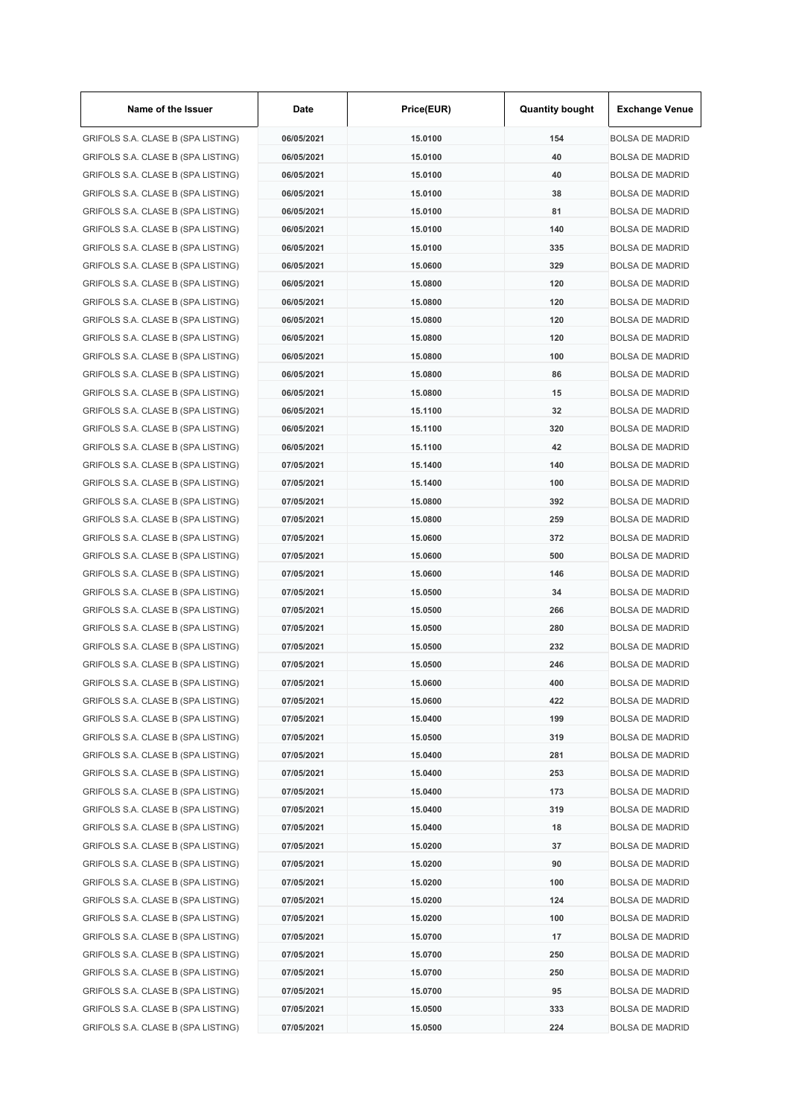| Name of the Issuer                 | Date       | Price(EUR) | <b>Quantity bought</b> | <b>Exchange Venue</b>  |
|------------------------------------|------------|------------|------------------------|------------------------|
| GRIFOLS S.A. CLASE B (SPA LISTING) | 06/05/2021 | 15.0100    | 154                    | <b>BOLSA DE MADRID</b> |
| GRIFOLS S.A. CLASE B (SPA LISTING) | 06/05/2021 | 15.0100    | 40                     | <b>BOLSA DE MADRID</b> |
| GRIFOLS S.A. CLASE B (SPA LISTING) | 06/05/2021 | 15.0100    | 40                     | <b>BOLSA DE MADRID</b> |
| GRIFOLS S.A. CLASE B (SPA LISTING) | 06/05/2021 | 15.0100    | 38                     | <b>BOLSA DE MADRID</b> |
| GRIFOLS S.A. CLASE B (SPA LISTING) | 06/05/2021 | 15.0100    | 81                     | <b>BOLSA DE MADRID</b> |
| GRIFOLS S.A. CLASE B (SPA LISTING) | 06/05/2021 | 15.0100    | 140                    | <b>BOLSA DE MADRID</b> |
| GRIFOLS S.A. CLASE B (SPA LISTING) | 06/05/2021 | 15.0100    | 335                    | <b>BOLSA DE MADRID</b> |
| GRIFOLS S.A. CLASE B (SPA LISTING) | 06/05/2021 | 15.0600    | 329                    | <b>BOLSA DE MADRID</b> |
| GRIFOLS S.A. CLASE B (SPA LISTING) | 06/05/2021 | 15.0800    | 120                    | <b>BOLSA DE MADRID</b> |
| GRIFOLS S.A. CLASE B (SPA LISTING) | 06/05/2021 | 15.0800    | 120                    | <b>BOLSA DE MADRID</b> |
| GRIFOLS S.A. CLASE B (SPA LISTING) | 06/05/2021 | 15.0800    | 120                    | <b>BOLSA DE MADRID</b> |
| GRIFOLS S.A. CLASE B (SPA LISTING) | 06/05/2021 | 15.0800    | 120                    | <b>BOLSA DE MADRID</b> |
| GRIFOLS S.A. CLASE B (SPA LISTING) | 06/05/2021 | 15.0800    | 100                    | <b>BOLSA DE MADRID</b> |
| GRIFOLS S.A. CLASE B (SPA LISTING) | 06/05/2021 | 15.0800    | 86                     | <b>BOLSA DE MADRID</b> |
| GRIFOLS S.A. CLASE B (SPA LISTING) | 06/05/2021 | 15.0800    | 15                     | <b>BOLSA DE MADRID</b> |
| GRIFOLS S.A. CLASE B (SPA LISTING) | 06/05/2021 | 15.1100    | 32                     | <b>BOLSA DE MADRID</b> |
| GRIFOLS S.A. CLASE B (SPA LISTING) | 06/05/2021 | 15.1100    | 320                    | <b>BOLSA DE MADRID</b> |
| GRIFOLS S.A. CLASE B (SPA LISTING) | 06/05/2021 | 15.1100    | 42                     | <b>BOLSA DE MADRID</b> |
| GRIFOLS S.A. CLASE B (SPA LISTING) | 07/05/2021 | 15.1400    | 140                    | <b>BOLSA DE MADRID</b> |
| GRIFOLS S.A. CLASE B (SPA LISTING) | 07/05/2021 | 15.1400    | 100                    | <b>BOLSA DE MADRID</b> |
| GRIFOLS S.A. CLASE B (SPA LISTING) | 07/05/2021 | 15.0800    | 392                    | <b>BOLSA DE MADRID</b> |
| GRIFOLS S.A. CLASE B (SPA LISTING) | 07/05/2021 | 15.0800    | 259                    | <b>BOLSA DE MADRID</b> |
| GRIFOLS S.A. CLASE B (SPA LISTING) | 07/05/2021 | 15.0600    | 372                    | <b>BOLSA DE MADRID</b> |
| GRIFOLS S.A. CLASE B (SPA LISTING) | 07/05/2021 | 15.0600    | 500                    | <b>BOLSA DE MADRID</b> |
| GRIFOLS S.A. CLASE B (SPA LISTING) |            | 15.0600    | 146                    | <b>BOLSA DE MADRID</b> |
|                                    | 07/05/2021 | 15.0500    | 34                     |                        |
| GRIFOLS S.A. CLASE B (SPA LISTING) | 07/05/2021 |            |                        | <b>BOLSA DE MADRID</b> |
| GRIFOLS S.A. CLASE B (SPA LISTING) | 07/05/2021 | 15.0500    | 266                    | <b>BOLSA DE MADRID</b> |
| GRIFOLS S.A. CLASE B (SPA LISTING) | 07/05/2021 | 15.0500    | 280                    | <b>BOLSA DE MADRID</b> |
| GRIFOLS S.A. CLASE B (SPA LISTING) | 07/05/2021 | 15.0500    | 232                    | <b>BOLSA DE MADRID</b> |
| GRIFOLS S.A. CLASE B (SPA LISTING) | 07/05/2021 | 15,0500    | 246                    | <b>BOLSA DE MADRID</b> |
| GRIFOLS S.A. CLASE B (SPA LISTING) | 07/05/2021 | 15.0600    | 400                    | <b>BOLSA DE MADRID</b> |
| GRIFOLS S.A. CLASE B (SPA LISTING) | 07/05/2021 | 15.0600    | 422                    | <b>BOLSA DE MADRID</b> |
| GRIFOLS S.A. CLASE B (SPA LISTING) | 07/05/2021 | 15.0400    | 199                    | <b>BOLSA DE MADRID</b> |
| GRIFOLS S.A. CLASE B (SPA LISTING) | 07/05/2021 | 15.0500    | 319                    | <b>BOLSA DE MADRID</b> |
| GRIFOLS S.A. CLASE B (SPA LISTING) | 07/05/2021 | 15.0400    | 281                    | <b>BOLSA DE MADRID</b> |
| GRIFOLS S.A. CLASE B (SPA LISTING) | 07/05/2021 | 15.0400    | 253                    | <b>BOLSA DE MADRID</b> |
| GRIFOLS S.A. CLASE B (SPA LISTING) | 07/05/2021 | 15.0400    | 173                    | <b>BOLSA DE MADRID</b> |
| GRIFOLS S.A. CLASE B (SPA LISTING) | 07/05/2021 | 15.0400    | 319                    | <b>BOLSA DE MADRID</b> |
| GRIFOLS S.A. CLASE B (SPA LISTING) | 07/05/2021 | 15.0400    | 18                     | <b>BOLSA DE MADRID</b> |
| GRIFOLS S.A. CLASE B (SPA LISTING) | 07/05/2021 | 15.0200    | 37                     | <b>BOLSA DE MADRID</b> |
| GRIFOLS S.A. CLASE B (SPA LISTING) | 07/05/2021 | 15.0200    | 90                     | <b>BOLSA DE MADRID</b> |
| GRIFOLS S.A. CLASE B (SPA LISTING) | 07/05/2021 | 15.0200    | 100                    | <b>BOLSA DE MADRID</b> |
| GRIFOLS S.A. CLASE B (SPA LISTING) | 07/05/2021 | 15.0200    | 124                    | <b>BOLSA DE MADRID</b> |
| GRIFOLS S.A. CLASE B (SPA LISTING) | 07/05/2021 | 15.0200    | 100                    | <b>BOLSA DE MADRID</b> |
| GRIFOLS S.A. CLASE B (SPA LISTING) | 07/05/2021 | 15.0700    | 17                     | <b>BOLSA DE MADRID</b> |
| GRIFOLS S.A. CLASE B (SPA LISTING) | 07/05/2021 | 15.0700    | 250                    | <b>BOLSA DE MADRID</b> |
| GRIFOLS S.A. CLASE B (SPA LISTING) | 07/05/2021 | 15.0700    | 250                    | <b>BOLSA DE MADRID</b> |
| GRIFOLS S.A. CLASE B (SPA LISTING) | 07/05/2021 | 15.0700    | 95                     | <b>BOLSA DE MADRID</b> |
| GRIFOLS S.A. CLASE B (SPA LISTING) | 07/05/2021 | 15.0500    | 333                    | <b>BOLSA DE MADRID</b> |
| GRIFOLS S.A. CLASE B (SPA LISTING) | 07/05/2021 | 15.0500    | 224                    | <b>BOLSA DE MADRID</b> |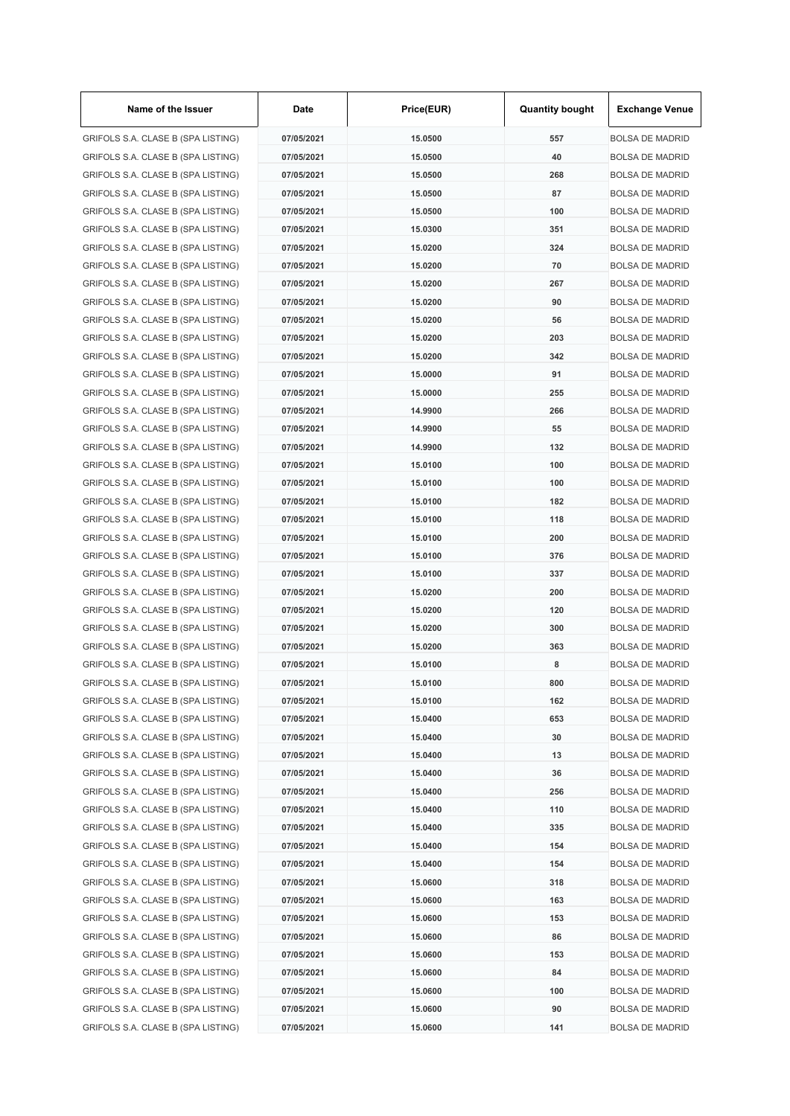| Name of the Issuer                 | Date       | Price(EUR) | <b>Quantity bought</b> | <b>Exchange Venue</b>  |
|------------------------------------|------------|------------|------------------------|------------------------|
| GRIFOLS S.A. CLASE B (SPA LISTING) | 07/05/2021 | 15.0500    | 557                    | <b>BOLSA DE MADRID</b> |
| GRIFOLS S.A. CLASE B (SPA LISTING) | 07/05/2021 | 15.0500    | 40                     | <b>BOLSA DE MADRID</b> |
| GRIFOLS S.A. CLASE B (SPA LISTING) | 07/05/2021 | 15.0500    | 268                    | <b>BOLSA DE MADRID</b> |
| GRIFOLS S.A. CLASE B (SPA LISTING) | 07/05/2021 | 15.0500    | 87                     | <b>BOLSA DE MADRID</b> |
| GRIFOLS S.A. CLASE B (SPA LISTING) | 07/05/2021 | 15.0500    | 100                    | <b>BOLSA DE MADRID</b> |
| GRIFOLS S.A. CLASE B (SPA LISTING) | 07/05/2021 | 15.0300    | 351                    | <b>BOLSA DE MADRID</b> |
| GRIFOLS S.A. CLASE B (SPA LISTING) | 07/05/2021 | 15.0200    | 324                    | <b>BOLSA DE MADRID</b> |
| GRIFOLS S.A. CLASE B (SPA LISTING) | 07/05/2021 | 15.0200    | 70                     | <b>BOLSA DE MADRID</b> |
| GRIFOLS S.A. CLASE B (SPA LISTING) | 07/05/2021 | 15.0200    | 267                    | <b>BOLSA DE MADRID</b> |
| GRIFOLS S.A. CLASE B (SPA LISTING) | 07/05/2021 | 15.0200    | 90                     | <b>BOLSA DE MADRID</b> |
| GRIFOLS S.A. CLASE B (SPA LISTING) | 07/05/2021 | 15.0200    | 56                     | <b>BOLSA DE MADRID</b> |
| GRIFOLS S.A. CLASE B (SPA LISTING) | 07/05/2021 | 15.0200    | 203                    | <b>BOLSA DE MADRID</b> |
| GRIFOLS S.A. CLASE B (SPA LISTING) | 07/05/2021 | 15.0200    | 342                    | <b>BOLSA DE MADRID</b> |
| GRIFOLS S.A. CLASE B (SPA LISTING) | 07/05/2021 | 15,0000    | 91                     | <b>BOLSA DE MADRID</b> |
| GRIFOLS S.A. CLASE B (SPA LISTING) | 07/05/2021 | 15.0000    | 255                    | <b>BOLSA DE MADRID</b> |
| GRIFOLS S.A. CLASE B (SPA LISTING) | 07/05/2021 | 14.9900    | 266                    | <b>BOLSA DE MADRID</b> |
| GRIFOLS S.A. CLASE B (SPA LISTING) | 07/05/2021 | 14.9900    | 55                     | <b>BOLSA DE MADRID</b> |
| GRIFOLS S.A. CLASE B (SPA LISTING) | 07/05/2021 | 14.9900    | 132                    | <b>BOLSA DE MADRID</b> |
| GRIFOLS S.A. CLASE B (SPA LISTING) | 07/05/2021 | 15.0100    | 100                    | <b>BOLSA DE MADRID</b> |
| GRIFOLS S.A. CLASE B (SPA LISTING) | 07/05/2021 | 15.0100    | 100                    | <b>BOLSA DE MADRID</b> |
| GRIFOLS S.A. CLASE B (SPA LISTING) | 07/05/2021 | 15.0100    | 182                    | <b>BOLSA DE MADRID</b> |
| GRIFOLS S.A. CLASE B (SPA LISTING) | 07/05/2021 | 15.0100    | 118                    | <b>BOLSA DE MADRID</b> |
| GRIFOLS S.A. CLASE B (SPA LISTING) | 07/05/2021 | 15.0100    | 200                    | <b>BOLSA DE MADRID</b> |
| GRIFOLS S.A. CLASE B (SPA LISTING) | 07/05/2021 | 15.0100    | 376                    | <b>BOLSA DE MADRID</b> |
| GRIFOLS S.A. CLASE B (SPA LISTING) | 07/05/2021 | 15.0100    | 337                    | <b>BOLSA DE MADRID</b> |
| GRIFOLS S.A. CLASE B (SPA LISTING) | 07/05/2021 | 15.0200    | 200                    | <b>BOLSA DE MADRID</b> |
|                                    |            |            | 120                    | <b>BOLSA DE MADRID</b> |
| GRIFOLS S.A. CLASE B (SPA LISTING) | 07/05/2021 | 15.0200    |                        |                        |
| GRIFOLS S.A. CLASE B (SPA LISTING) | 07/05/2021 | 15.0200    | 300                    | <b>BOLSA DE MADRID</b> |
| GRIFOLS S.A. CLASE B (SPA LISTING) | 07/05/2021 | 15.0200    | 363                    | <b>BOLSA DE MADRID</b> |
| GRIFOLS S.A. CLASE B (SPA LISTING) | 07/05/2021 | 15.0100    | 8                      | <b>BOLSA DE MADRID</b> |
| GRIFOLS S.A. CLASE B (SPA LISTING) | 07/05/2021 | 15.0100    | 800                    | <b>BOLSA DE MADRID</b> |
| GRIFOLS S.A. CLASE B (SPA LISTING) | 07/05/2021 | 15.0100    | 162                    | <b>BOLSA DE MADRID</b> |
| GRIFOLS S.A. CLASE B (SPA LISTING) | 07/05/2021 | 15.0400    | 653                    | <b>BOLSA DE MADRID</b> |
| GRIFOLS S.A. CLASE B (SPA LISTING) | 07/05/2021 | 15.0400    | 30                     | <b>BOLSA DE MADRID</b> |
| GRIFOLS S.A. CLASE B (SPA LISTING) | 07/05/2021 | 15.0400    | 13                     | <b>BOLSA DE MADRID</b> |
| GRIFOLS S.A. CLASE B (SPA LISTING) | 07/05/2021 | 15.0400    | 36                     | <b>BOLSA DE MADRID</b> |
| GRIFOLS S.A. CLASE B (SPA LISTING) | 07/05/2021 | 15.0400    | 256                    | <b>BOLSA DE MADRID</b> |
| GRIFOLS S.A. CLASE B (SPA LISTING) | 07/05/2021 | 15.0400    | 110                    | <b>BOLSA DE MADRID</b> |
| GRIFOLS S.A. CLASE B (SPA LISTING) | 07/05/2021 | 15.0400    | 335                    | <b>BOLSA DE MADRID</b> |
| GRIFOLS S.A. CLASE B (SPA LISTING) | 07/05/2021 | 15.0400    | 154                    | <b>BOLSA DE MADRID</b> |
| GRIFOLS S.A. CLASE B (SPA LISTING) | 07/05/2021 | 15.0400    | 154                    | <b>BOLSA DE MADRID</b> |
| GRIFOLS S.A. CLASE B (SPA LISTING) | 07/05/2021 | 15.0600    | 318                    | <b>BOLSA DE MADRID</b> |
| GRIFOLS S.A. CLASE B (SPA LISTING) | 07/05/2021 | 15.0600    | 163                    | <b>BOLSA DE MADRID</b> |
| GRIFOLS S.A. CLASE B (SPA LISTING) | 07/05/2021 | 15.0600    | 153                    | <b>BOLSA DE MADRID</b> |
| GRIFOLS S.A. CLASE B (SPA LISTING) | 07/05/2021 | 15.0600    | 86                     | <b>BOLSA DE MADRID</b> |
| GRIFOLS S.A. CLASE B (SPA LISTING) | 07/05/2021 | 15.0600    | 153                    | <b>BOLSA DE MADRID</b> |
| GRIFOLS S.A. CLASE B (SPA LISTING) | 07/05/2021 | 15.0600    | 84                     | <b>BOLSA DE MADRID</b> |
| GRIFOLS S.A. CLASE B (SPA LISTING) | 07/05/2021 | 15.0600    | 100                    | <b>BOLSA DE MADRID</b> |
| GRIFOLS S.A. CLASE B (SPA LISTING) | 07/05/2021 | 15.0600    | 90                     | <b>BOLSA DE MADRID</b> |
| GRIFOLS S.A. CLASE B (SPA LISTING) | 07/05/2021 | 15.0600    | 141                    | <b>BOLSA DE MADRID</b> |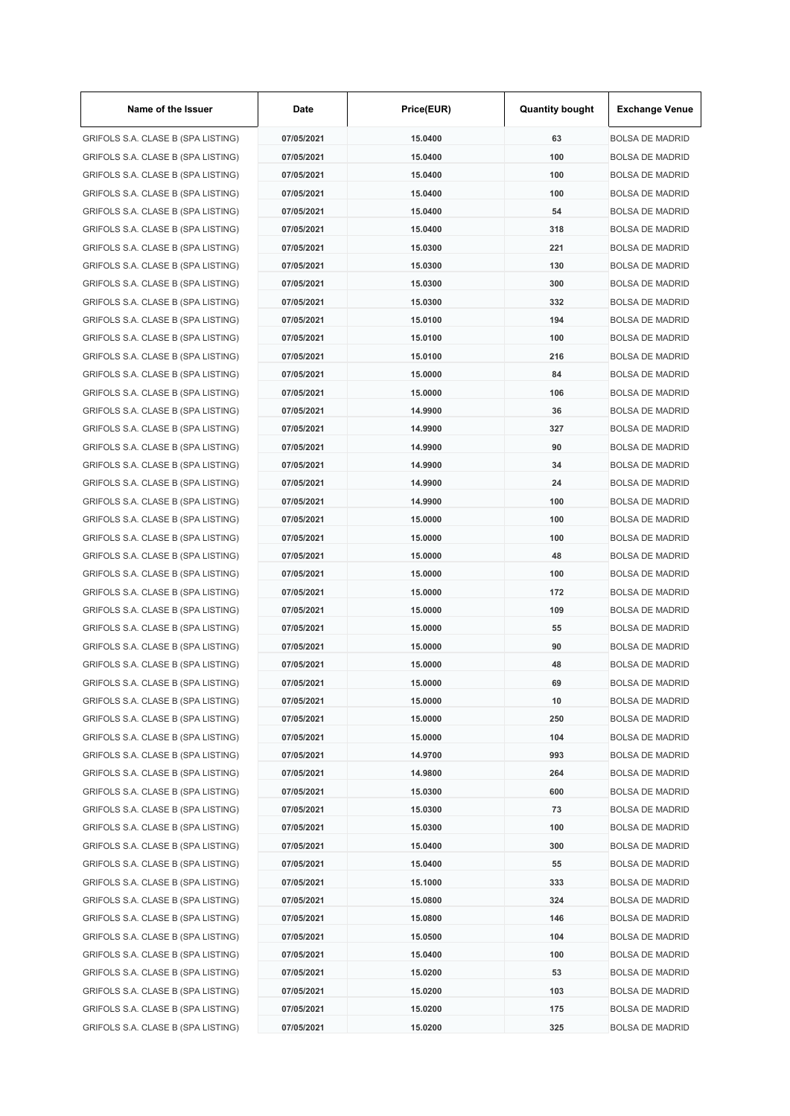| Name of the Issuer                 | Date       | Price(EUR) | <b>Quantity bought</b> | <b>Exchange Venue</b>  |
|------------------------------------|------------|------------|------------------------|------------------------|
| GRIFOLS S.A. CLASE B (SPA LISTING) | 07/05/2021 | 15.0400    | 63                     | <b>BOLSA DE MADRID</b> |
| GRIFOLS S.A. CLASE B (SPA LISTING) | 07/05/2021 | 15.0400    | 100                    | <b>BOLSA DE MADRID</b> |
| GRIFOLS S.A. CLASE B (SPA LISTING) | 07/05/2021 | 15.0400    | 100                    | <b>BOLSA DE MADRID</b> |
| GRIFOLS S.A. CLASE B (SPA LISTING) | 07/05/2021 | 15.0400    | 100                    | <b>BOLSA DE MADRID</b> |
| GRIFOLS S.A. CLASE B (SPA LISTING) | 07/05/2021 | 15.0400    | 54                     | <b>BOLSA DE MADRID</b> |
| GRIFOLS S.A. CLASE B (SPA LISTING) | 07/05/2021 | 15.0400    | 318                    | <b>BOLSA DE MADRID</b> |
| GRIFOLS S.A. CLASE B (SPA LISTING) | 07/05/2021 | 15.0300    | 221                    | <b>BOLSA DE MADRID</b> |
| GRIFOLS S.A. CLASE B (SPA LISTING) | 07/05/2021 | 15.0300    | 130                    | <b>BOLSA DE MADRID</b> |
| GRIFOLS S.A. CLASE B (SPA LISTING) | 07/05/2021 | 15.0300    | 300                    | <b>BOLSA DE MADRID</b> |
| GRIFOLS S.A. CLASE B (SPA LISTING) | 07/05/2021 | 15.0300    | 332                    | <b>BOLSA DE MADRID</b> |
| GRIFOLS S.A. CLASE B (SPA LISTING) | 07/05/2021 | 15.0100    | 194                    | <b>BOLSA DE MADRID</b> |
| GRIFOLS S.A. CLASE B (SPA LISTING) | 07/05/2021 | 15.0100    | 100                    | <b>BOLSA DE MADRID</b> |
| GRIFOLS S.A. CLASE B (SPA LISTING) | 07/05/2021 | 15.0100    | 216                    | <b>BOLSA DE MADRID</b> |
| GRIFOLS S.A. CLASE B (SPA LISTING) | 07/05/2021 | 15.0000    | 84                     | <b>BOLSA DE MADRID</b> |
| GRIFOLS S.A. CLASE B (SPA LISTING) | 07/05/2021 | 15.0000    | 106                    | <b>BOLSA DE MADRID</b> |
| GRIFOLS S.A. CLASE B (SPA LISTING) | 07/05/2021 | 14.9900    | 36                     | <b>BOLSA DE MADRID</b> |
| GRIFOLS S.A. CLASE B (SPA LISTING) | 07/05/2021 | 14.9900    | 327                    | <b>BOLSA DE MADRID</b> |
| GRIFOLS S.A. CLASE B (SPA LISTING) | 07/05/2021 | 14.9900    | 90                     | <b>BOLSA DE MADRID</b> |
| GRIFOLS S.A. CLASE B (SPA LISTING) | 07/05/2021 | 14.9900    | 34                     | <b>BOLSA DE MADRID</b> |
| GRIFOLS S.A. CLASE B (SPA LISTING) | 07/05/2021 | 14.9900    | 24                     | <b>BOLSA DE MADRID</b> |
| GRIFOLS S.A. CLASE B (SPA LISTING) | 07/05/2021 | 14.9900    | 100                    | <b>BOLSA DE MADRID</b> |
| GRIFOLS S.A. CLASE B (SPA LISTING) | 07/05/2021 | 15.0000    | 100                    | <b>BOLSA DE MADRID</b> |
| GRIFOLS S.A. CLASE B (SPA LISTING) | 07/05/2021 | 15.0000    | 100                    | <b>BOLSA DE MADRID</b> |
| GRIFOLS S.A. CLASE B (SPA LISTING) | 07/05/2021 | 15.0000    | 48                     | <b>BOLSA DE MADRID</b> |
| GRIFOLS S.A. CLASE B (SPA LISTING) | 07/05/2021 | 15.0000    | 100                    | <b>BOLSA DE MADRID</b> |
|                                    | 07/05/2021 | 15.0000    | 172                    |                        |
| GRIFOLS S.A. CLASE B (SPA LISTING) |            |            |                        | <b>BOLSA DE MADRID</b> |
| GRIFOLS S.A. CLASE B (SPA LISTING) | 07/05/2021 | 15.0000    | 109                    | <b>BOLSA DE MADRID</b> |
| GRIFOLS S.A. CLASE B (SPA LISTING) | 07/05/2021 | 15.0000    | 55                     | <b>BOLSA DE MADRID</b> |
| GRIFOLS S.A. CLASE B (SPA LISTING) | 07/05/2021 | 15.0000    | 90                     | <b>BOLSA DE MADRID</b> |
| GRIFOLS S.A. CLASE B (SPA LISTING) | 07/05/2021 | 15.0000    | 48                     | <b>BOLSA DE MADRID</b> |
| GRIFOLS S.A. CLASE B (SPA LISTING) | 07/05/2021 | 15.0000    | 69                     | <b>BOLSA DE MADRID</b> |
| GRIFOLS S.A. CLASE B (SPA LISTING) | 07/05/2021 | 15.0000    | 10                     | <b>BOLSA DE MADRID</b> |
| GRIFOLS S.A. CLASE B (SPA LISTING) | 07/05/2021 | 15.0000    | 250                    | <b>BOLSA DE MADRID</b> |
| GRIFOLS S.A. CLASE B (SPA LISTING) | 07/05/2021 | 15.0000    | 104                    | <b>BOLSA DE MADRID</b> |
| GRIFOLS S.A. CLASE B (SPA LISTING) | 07/05/2021 | 14.9700    | 993                    | <b>BOLSA DE MADRID</b> |
| GRIFOLS S.A. CLASE B (SPA LISTING) | 07/05/2021 | 14.9800    | 264                    | <b>BOLSA DE MADRID</b> |
| GRIFOLS S.A. CLASE B (SPA LISTING) | 07/05/2021 | 15.0300    | 600                    | <b>BOLSA DE MADRID</b> |
| GRIFOLS S.A. CLASE B (SPA LISTING) | 07/05/2021 | 15.0300    | 73                     | <b>BOLSA DE MADRID</b> |
| GRIFOLS S.A. CLASE B (SPA LISTING) | 07/05/2021 | 15.0300    | 100                    | <b>BOLSA DE MADRID</b> |
| GRIFOLS S.A. CLASE B (SPA LISTING) | 07/05/2021 | 15.0400    | 300                    | <b>BOLSA DE MADRID</b> |
| GRIFOLS S.A. CLASE B (SPA LISTING) | 07/05/2021 | 15.0400    | 55                     | <b>BOLSA DE MADRID</b> |
| GRIFOLS S.A. CLASE B (SPA LISTING) | 07/05/2021 | 15.1000    | 333                    | <b>BOLSA DE MADRID</b> |
| GRIFOLS S.A. CLASE B (SPA LISTING) | 07/05/2021 | 15.0800    | 324                    | <b>BOLSA DE MADRID</b> |
| GRIFOLS S.A. CLASE B (SPA LISTING) | 07/05/2021 | 15.0800    | 146                    | <b>BOLSA DE MADRID</b> |
| GRIFOLS S.A. CLASE B (SPA LISTING) | 07/05/2021 | 15.0500    | 104                    | <b>BOLSA DE MADRID</b> |
| GRIFOLS S.A. CLASE B (SPA LISTING) | 07/05/2021 | 15.0400    | 100                    | <b>BOLSA DE MADRID</b> |
| GRIFOLS S.A. CLASE B (SPA LISTING) | 07/05/2021 | 15.0200    | 53                     | <b>BOLSA DE MADRID</b> |
| GRIFOLS S.A. CLASE B (SPA LISTING) | 07/05/2021 | 15.0200    | 103                    | <b>BOLSA DE MADRID</b> |
| GRIFOLS S.A. CLASE B (SPA LISTING) | 07/05/2021 | 15.0200    | 175                    | <b>BOLSA DE MADRID</b> |
| GRIFOLS S.A. CLASE B (SPA LISTING) | 07/05/2021 | 15.0200    | 325                    | <b>BOLSA DE MADRID</b> |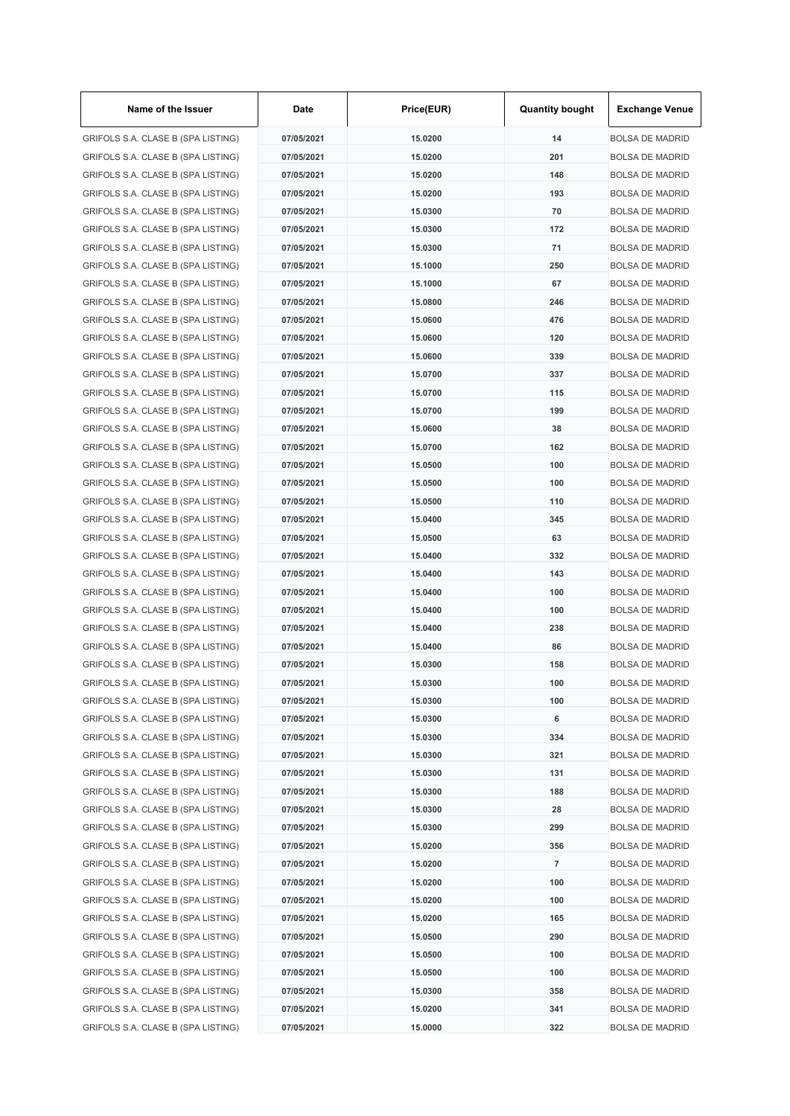| Name of the Issuer                 | Date       | Price(EUR) | <b>Quantity bought</b> | <b>Exchange Venue</b>  |
|------------------------------------|------------|------------|------------------------|------------------------|
| GRIFOLS S.A. CLASE B (SPA LISTING) | 07/05/2021 | 15.0200    | 14                     | <b>BOLSA DE MADRID</b> |
| GRIFOLS S.A. CLASE B (SPA LISTING) | 07/05/2021 | 15.0200    | 201                    | <b>BOLSA DE MADRID</b> |
| GRIFOLS S.A. CLASE B (SPA LISTING) | 07/05/2021 | 15.0200    | 148                    | <b>BOLSA DE MADRID</b> |
| GRIFOLS S.A. CLASE B (SPA LISTING) | 07/05/2021 | 15.0200    | 193                    | <b>BOLSA DE MADRID</b> |
| GRIFOLS S.A. CLASE B (SPA LISTING) | 07/05/2021 | 15.0300    | 70                     | <b>BOLSA DE MADRID</b> |
| GRIFOLS S.A. CLASE B (SPA LISTING) | 07/05/2021 | 15.0300    | 172                    | <b>BOLSA DE MADRID</b> |
| GRIFOLS S.A. CLASE B (SPA LISTING) | 07/05/2021 | 15.0300    | 71                     | <b>BOLSA DE MADRID</b> |
| GRIFOLS S.A. CLASE B (SPA LISTING) | 07/05/2021 | 15.1000    | 250                    | <b>BOLSA DE MADRID</b> |
| GRIFOLS S.A. CLASE B (SPA LISTING) | 07/05/2021 | 15.1000    | 67                     | <b>BOLSA DE MADRID</b> |
| GRIFOLS S.A. CLASE B (SPA LISTING) | 07/05/2021 | 15.0800    | 246                    | <b>BOLSA DE MADRID</b> |
| GRIFOLS S.A. CLASE B (SPA LISTING) | 07/05/2021 | 15.0600    | 476                    | <b>BOLSA DE MADRID</b> |
| GRIFOLS S.A. CLASE B (SPA LISTING) | 07/05/2021 | 15.0600    | 120                    | <b>BOLSA DE MADRID</b> |
| GRIFOLS S.A. CLASE B (SPA LISTING) | 07/05/2021 | 15.0600    | 339                    | <b>BOLSA DE MADRID</b> |
| GRIFOLS S.A. CLASE B (SPA LISTING) | 07/05/2021 | 15.0700    | 337                    | <b>BOLSA DE MADRID</b> |
| GRIFOLS S.A. CLASE B (SPA LISTING) | 07/05/2021 | 15.0700    | 115                    | <b>BOLSA DE MADRID</b> |
| GRIFOLS S.A. CLASE B (SPA LISTING) | 07/05/2021 | 15.0700    | 199                    | <b>BOLSA DE MADRID</b> |
| GRIFOLS S.A. CLASE B (SPA LISTING) | 07/05/2021 | 15.0600    | 38                     | <b>BOLSA DE MADRID</b> |
| GRIFOLS S.A. CLASE B (SPA LISTING) | 07/05/2021 | 15.0700    | 162                    | <b>BOLSA DE MADRID</b> |
|                                    | 07/05/2021 |            | 100                    |                        |
| GRIFOLS S.A. CLASE B (SPA LISTING) |            | 15.0500    |                        | <b>BOLSA DE MADRID</b> |
| GRIFOLS S.A. CLASE B (SPA LISTING) | 07/05/2021 | 15.0500    | 100                    | <b>BOLSA DE MADRID</b> |
| GRIFOLS S.A. CLASE B (SPA LISTING) | 07/05/2021 | 15.0500    | 110                    | <b>BOLSA DE MADRID</b> |
| GRIFOLS S.A. CLASE B (SPA LISTING) | 07/05/2021 | 15.0400    | 345                    | <b>BOLSA DE MADRID</b> |
| GRIFOLS S.A. CLASE B (SPA LISTING) | 07/05/2021 | 15.0500    | 63                     | <b>BOLSA DE MADRID</b> |
| GRIFOLS S.A. CLASE B (SPA LISTING) | 07/05/2021 | 15.0400    | 332                    | <b>BOLSA DE MADRID</b> |
| GRIFOLS S.A. CLASE B (SPA LISTING) | 07/05/2021 | 15.0400    | 143                    | <b>BOLSA DE MADRID</b> |
| GRIFOLS S.A. CLASE B (SPA LISTING) | 07/05/2021 | 15.0400    | 100                    | <b>BOLSA DE MADRID</b> |
| GRIFOLS S.A. CLASE B (SPA LISTING) | 07/05/2021 | 15.0400    | 100                    | <b>BOLSA DE MADRID</b> |
| GRIFOLS S.A. CLASE B (SPA LISTING) | 07/05/2021 | 15.0400    | 238                    | <b>BOLSA DE MADRID</b> |
| GRIFOLS S.A. CLASE B (SPA LISTING) | 07/05/2021 | 15.0400    | 86                     | <b>BOLSA DE MADRID</b> |
| GRIFOLS S.A. CLASE B (SPA LISTING) | 07/05/2021 | 15.0300    | 158                    | <b>BOLSA DE MADRID</b> |
| GRIFOLS S.A. CLASE B (SPA LISTING) | 07/05/2021 | 15.0300    | 100                    | <b>BOLSA DE MADRID</b> |
| GRIFOLS S.A. CLASE B (SPA LISTING) | 07/05/2021 | 15.0300    | 100                    | <b>BOLSA DE MADRID</b> |
| GRIFOLS S.A. CLASE B (SPA LISTING) | 07/05/2021 | 15.0300    | 6                      | <b>BOLSA DE MADRID</b> |
| GRIFOLS S.A. CLASE B (SPA LISTING) | 07/05/2021 | 15.0300    | 334                    | <b>BOLSA DE MADRID</b> |
| GRIFOLS S.A. CLASE B (SPA LISTING) | 07/05/2021 | 15.0300    | 321                    | <b>BOLSA DE MADRID</b> |
| GRIFOLS S.A. CLASE B (SPA LISTING) | 07/05/2021 | 15.0300    | 131                    | <b>BOLSA DE MADRID</b> |
| GRIFOLS S.A. CLASE B (SPA LISTING) | 07/05/2021 | 15.0300    | 188                    | <b>BOLSA DE MADRID</b> |
| GRIFOLS S.A. CLASE B (SPA LISTING) | 07/05/2021 | 15.0300    | 28                     | <b>BOLSA DE MADRID</b> |
| GRIFOLS S.A. CLASE B (SPA LISTING) | 07/05/2021 | 15.0300    | 299                    | <b>BOLSA DE MADRID</b> |
| GRIFOLS S.A. CLASE B (SPA LISTING) | 07/05/2021 | 15.0200    | 356                    | <b>BOLSA DE MADRID</b> |
| GRIFOLS S.A. CLASE B (SPA LISTING) | 07/05/2021 | 15.0200    | $\overline{7}$         | <b>BOLSA DE MADRID</b> |
| GRIFOLS S.A. CLASE B (SPA LISTING) | 07/05/2021 | 15.0200    | 100                    | <b>BOLSA DE MADRID</b> |
| GRIFOLS S.A. CLASE B (SPA LISTING) | 07/05/2021 | 15.0200    | 100                    | <b>BOLSA DE MADRID</b> |
| GRIFOLS S.A. CLASE B (SPA LISTING) | 07/05/2021 | 15.0200    | 165                    | <b>BOLSA DE MADRID</b> |
| GRIFOLS S.A. CLASE B (SPA LISTING) | 07/05/2021 | 15.0500    | 290                    | <b>BOLSA DE MADRID</b> |
| GRIFOLS S.A. CLASE B (SPA LISTING) | 07/05/2021 | 15.0500    | 100                    | <b>BOLSA DE MADRID</b> |
| GRIFOLS S.A. CLASE B (SPA LISTING) | 07/05/2021 | 15.0500    | 100                    | <b>BOLSA DE MADRID</b> |
| GRIFOLS S.A. CLASE B (SPA LISTING) | 07/05/2021 | 15.0300    | 358                    | <b>BOLSA DE MADRID</b> |
| GRIFOLS S.A. CLASE B (SPA LISTING) | 07/05/2021 | 15.0200    | 341                    | <b>BOLSA DE MADRID</b> |
| GRIFOLS S.A. CLASE B (SPA LISTING) | 07/05/2021 | 15.0000    | 322                    | <b>BOLSA DE MADRID</b> |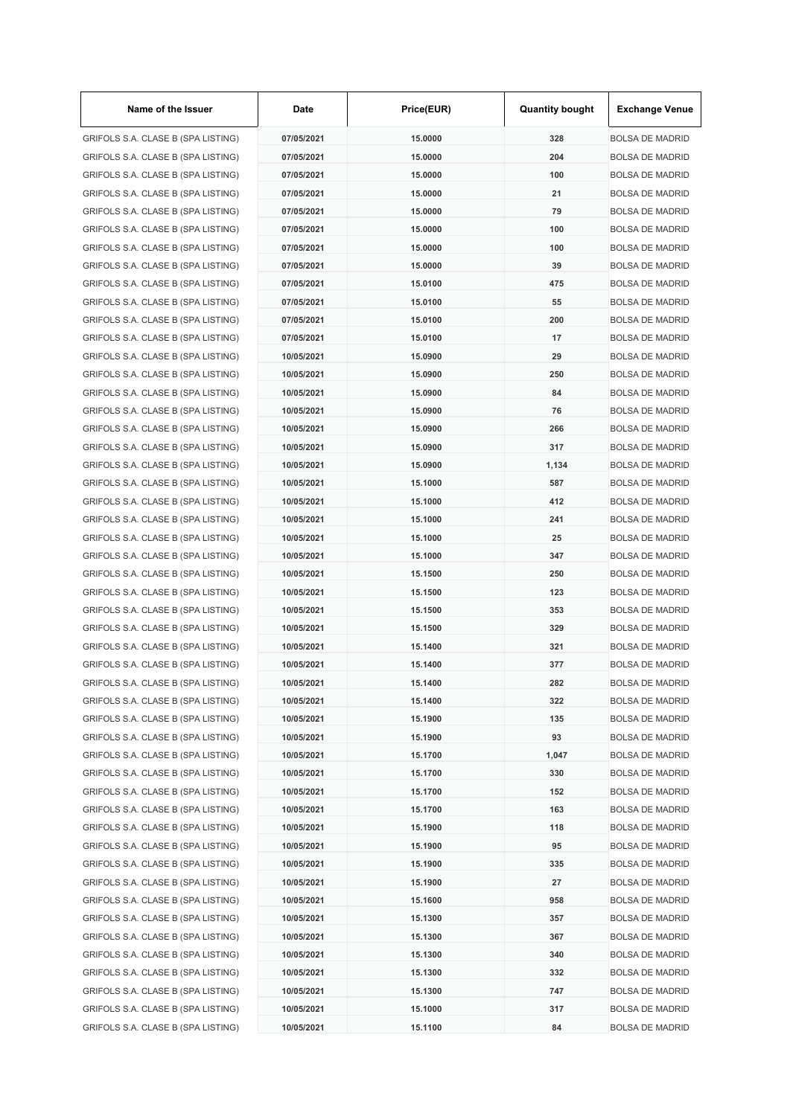| Name of the Issuer                 | Date       | Price(EUR) | <b>Quantity bought</b> | <b>Exchange Venue</b>  |
|------------------------------------|------------|------------|------------------------|------------------------|
| GRIFOLS S.A. CLASE B (SPA LISTING) | 07/05/2021 | 15.0000    | 328                    | <b>BOLSA DE MADRID</b> |
| GRIFOLS S.A. CLASE B (SPA LISTING) | 07/05/2021 | 15.0000    | 204                    | <b>BOLSA DE MADRID</b> |
| GRIFOLS S.A. CLASE B (SPA LISTING) | 07/05/2021 | 15,0000    | 100                    | <b>BOLSA DE MADRID</b> |
| GRIFOLS S.A. CLASE B (SPA LISTING) | 07/05/2021 | 15.0000    | 21                     | <b>BOLSA DE MADRID</b> |
| GRIFOLS S.A. CLASE B (SPA LISTING) | 07/05/2021 | 15.0000    | 79                     | <b>BOLSA DE MADRID</b> |
| GRIFOLS S.A. CLASE B (SPA LISTING) | 07/05/2021 | 15.0000    | 100                    | <b>BOLSA DE MADRID</b> |
| GRIFOLS S.A. CLASE B (SPA LISTING) | 07/05/2021 | 15.0000    | 100                    | <b>BOLSA DE MADRID</b> |
| GRIFOLS S.A. CLASE B (SPA LISTING) | 07/05/2021 | 15.0000    | 39                     | <b>BOLSA DE MADRID</b> |
| GRIFOLS S.A. CLASE B (SPA LISTING) | 07/05/2021 | 15.0100    | 475                    | <b>BOLSA DE MADRID</b> |
| GRIFOLS S.A. CLASE B (SPA LISTING) | 07/05/2021 | 15.0100    | 55                     | <b>BOLSA DE MADRID</b> |
| GRIFOLS S.A. CLASE B (SPA LISTING) | 07/05/2021 | 15.0100    | 200                    | <b>BOLSA DE MADRID</b> |
| GRIFOLS S.A. CLASE B (SPA LISTING) | 07/05/2021 | 15.0100    | 17                     | <b>BOLSA DE MADRID</b> |
| GRIFOLS S.A. CLASE B (SPA LISTING) | 10/05/2021 | 15.0900    | 29                     | <b>BOLSA DE MADRID</b> |
| GRIFOLS S.A. CLASE B (SPA LISTING) | 10/05/2021 | 15.0900    | 250                    | <b>BOLSA DE MADRID</b> |
| GRIFOLS S.A. CLASE B (SPA LISTING) | 10/05/2021 | 15.0900    | 84                     | <b>BOLSA DE MADRID</b> |
| GRIFOLS S.A. CLASE B (SPA LISTING) | 10/05/2021 | 15.0900    | 76                     | <b>BOLSA DE MADRID</b> |
| GRIFOLS S.A. CLASE B (SPA LISTING) | 10/05/2021 | 15.0900    | 266                    | <b>BOLSA DE MADRID</b> |
| GRIFOLS S.A. CLASE B (SPA LISTING) | 10/05/2021 | 15.0900    | 317                    | <b>BOLSA DE MADRID</b> |
| GRIFOLS S.A. CLASE B (SPA LISTING) | 10/05/2021 | 15.0900    |                        |                        |
|                                    |            |            | 1,134                  | <b>BOLSA DE MADRID</b> |
| GRIFOLS S.A. CLASE B (SPA LISTING) | 10/05/2021 | 15.1000    | 587                    | <b>BOLSA DE MADRID</b> |
| GRIFOLS S.A. CLASE B (SPA LISTING) | 10/05/2021 | 15.1000    | 412                    | <b>BOLSA DE MADRID</b> |
| GRIFOLS S.A. CLASE B (SPA LISTING) | 10/05/2021 | 15.1000    | 241                    | <b>BOLSA DE MADRID</b> |
| GRIFOLS S.A. CLASE B (SPA LISTING) | 10/05/2021 | 15.1000    | 25                     | <b>BOLSA DE MADRID</b> |
| GRIFOLS S.A. CLASE B (SPA LISTING) | 10/05/2021 | 15.1000    | 347                    | <b>BOLSA DE MADRID</b> |
| GRIFOLS S.A. CLASE B (SPA LISTING) | 10/05/2021 | 15.1500    | 250                    | <b>BOLSA DE MADRID</b> |
| GRIFOLS S.A. CLASE B (SPA LISTING) | 10/05/2021 | 15.1500    | 123                    | <b>BOLSA DE MADRID</b> |
| GRIFOLS S.A. CLASE B (SPA LISTING) | 10/05/2021 | 15.1500    | 353                    | <b>BOLSA DE MADRID</b> |
| GRIFOLS S.A. CLASE B (SPA LISTING) | 10/05/2021 | 15.1500    | 329                    | <b>BOLSA DE MADRID</b> |
| GRIFOLS S.A. CLASE B (SPA LISTING) | 10/05/2021 | 15.1400    | 321                    | <b>BOLSA DE MADRID</b> |
| GRIFOLS S.A. CLASE B (SPA LISTING) | 10/05/2021 | 15.1400    | 377                    | <b>BOLSA DE MADRID</b> |
| GRIFOLS S.A. CLASE B (SPA LISTING) | 10/05/2021 | 15.1400    | 282                    | <b>BOLSA DE MADRID</b> |
| GRIFOLS S.A. CLASE B (SPA LISTING) | 10/05/2021 | 15.1400    | 322                    | <b>BOLSA DE MADRID</b> |
| GRIFOLS S.A. CLASE B (SPA LISTING) | 10/05/2021 | 15.1900    | 135                    | <b>BOLSA DE MADRID</b> |
| GRIFOLS S.A. CLASE B (SPA LISTING) | 10/05/2021 | 15.1900    | 93                     | <b>BOLSA DE MADRID</b> |
| GRIFOLS S.A. CLASE B (SPA LISTING) | 10/05/2021 | 15.1700    | 1,047                  | <b>BOLSA DE MADRID</b> |
| GRIFOLS S.A. CLASE B (SPA LISTING) | 10/05/2021 | 15.1700    | 330                    | <b>BOLSA DE MADRID</b> |
| GRIFOLS S.A. CLASE B (SPA LISTING) | 10/05/2021 | 15.1700    | 152                    | <b>BOLSA DE MADRID</b> |
| GRIFOLS S.A. CLASE B (SPA LISTING) | 10/05/2021 | 15.1700    | 163                    | <b>BOLSA DE MADRID</b> |
| GRIFOLS S.A. CLASE B (SPA LISTING) | 10/05/2021 | 15.1900    | 118                    | <b>BOLSA DE MADRID</b> |
| GRIFOLS S.A. CLASE B (SPA LISTING) | 10/05/2021 | 15.1900    | 95                     | <b>BOLSA DE MADRID</b> |
| GRIFOLS S.A. CLASE B (SPA LISTING) | 10/05/2021 | 15.1900    | 335                    | <b>BOLSA DE MADRID</b> |
| GRIFOLS S.A. CLASE B (SPA LISTING) | 10/05/2021 | 15.1900    | 27                     | <b>BOLSA DE MADRID</b> |
| GRIFOLS S.A. CLASE B (SPA LISTING) | 10/05/2021 | 15.1600    | 958                    | <b>BOLSA DE MADRID</b> |
| GRIFOLS S.A. CLASE B (SPA LISTING) | 10/05/2021 | 15.1300    | 357                    | <b>BOLSA DE MADRID</b> |
| GRIFOLS S.A. CLASE B (SPA LISTING) | 10/05/2021 | 15.1300    | 367                    | <b>BOLSA DE MADRID</b> |
| GRIFOLS S.A. CLASE B (SPA LISTING) | 10/05/2021 | 15.1300    | 340                    | <b>BOLSA DE MADRID</b> |
| GRIFOLS S.A. CLASE B (SPA LISTING) | 10/05/2021 | 15.1300    | 332                    | <b>BOLSA DE MADRID</b> |
| GRIFOLS S.A. CLASE B (SPA LISTING) | 10/05/2021 | 15.1300    | 747                    | <b>BOLSA DE MADRID</b> |
| GRIFOLS S.A. CLASE B (SPA LISTING) | 10/05/2021 | 15.1000    | 317                    | <b>BOLSA DE MADRID</b> |
| GRIFOLS S.A. CLASE B (SPA LISTING) | 10/05/2021 | 15.1100    | 84                     | <b>BOLSA DE MADRID</b> |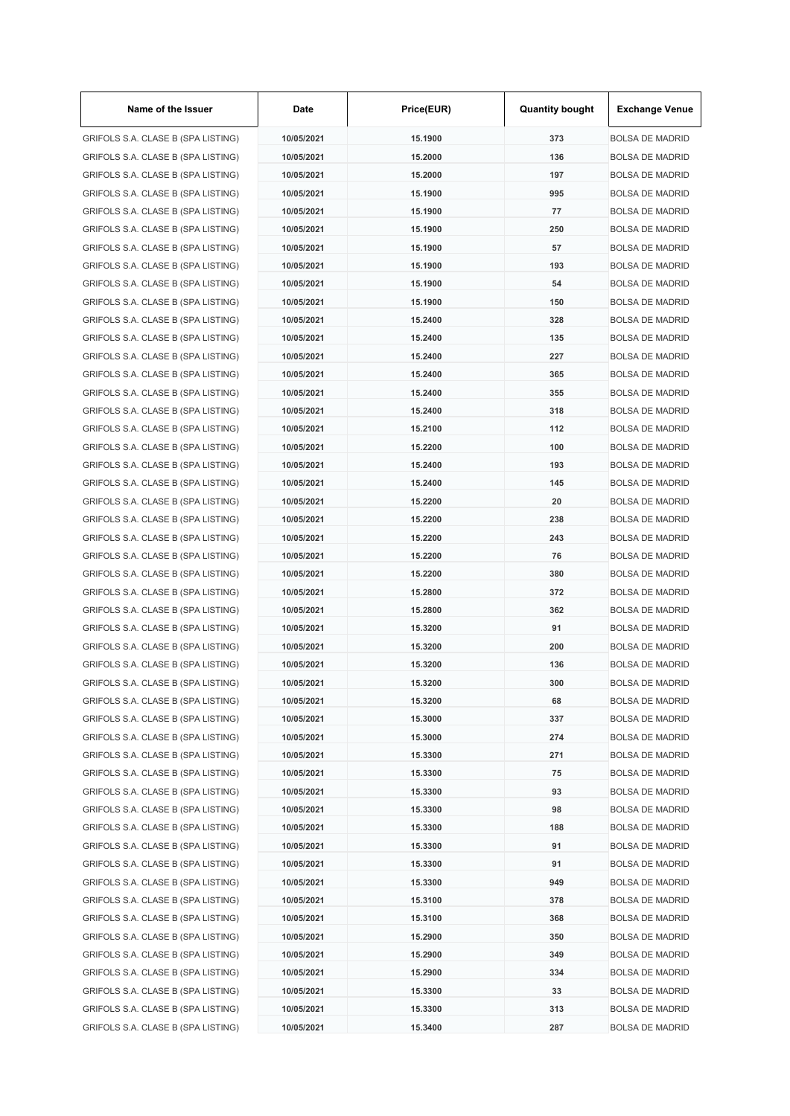| Name of the Issuer                 | Date       | Price(EUR) | <b>Quantity bought</b> | <b>Exchange Venue</b>  |
|------------------------------------|------------|------------|------------------------|------------------------|
| GRIFOLS S.A. CLASE B (SPA LISTING) | 10/05/2021 | 15.1900    | 373                    | <b>BOLSA DE MADRID</b> |
| GRIFOLS S.A. CLASE B (SPA LISTING) | 10/05/2021 | 15.2000    | 136                    | <b>BOLSA DE MADRID</b> |
| GRIFOLS S.A. CLASE B (SPA LISTING) | 10/05/2021 | 15.2000    | 197                    | <b>BOLSA DE MADRID</b> |
| GRIFOLS S.A. CLASE B (SPA LISTING) | 10/05/2021 | 15.1900    | 995                    | <b>BOLSA DE MADRID</b> |
| GRIFOLS S.A. CLASE B (SPA LISTING) | 10/05/2021 | 15.1900    | 77                     | <b>BOLSA DE MADRID</b> |
| GRIFOLS S.A. CLASE B (SPA LISTING) | 10/05/2021 | 15.1900    | 250                    | <b>BOLSA DE MADRID</b> |
| GRIFOLS S.A. CLASE B (SPA LISTING) | 10/05/2021 | 15.1900    | 57                     | <b>BOLSA DE MADRID</b> |
| GRIFOLS S.A. CLASE B (SPA LISTING) | 10/05/2021 | 15.1900    | 193                    | <b>BOLSA DE MADRID</b> |
| GRIFOLS S.A. CLASE B (SPA LISTING) | 10/05/2021 | 15.1900    | 54                     | <b>BOLSA DE MADRID</b> |
| GRIFOLS S.A. CLASE B (SPA LISTING) | 10/05/2021 | 15.1900    | 150                    | <b>BOLSA DE MADRID</b> |
| GRIFOLS S.A. CLASE B (SPA LISTING) | 10/05/2021 | 15.2400    | 328                    | <b>BOLSA DE MADRID</b> |
| GRIFOLS S.A. CLASE B (SPA LISTING) | 10/05/2021 | 15.2400    | 135                    | <b>BOLSA DE MADRID</b> |
| GRIFOLS S.A. CLASE B (SPA LISTING) | 10/05/2021 | 15.2400    | 227                    | <b>BOLSA DE MADRID</b> |
| GRIFOLS S.A. CLASE B (SPA LISTING) | 10/05/2021 | 15.2400    | 365                    | <b>BOLSA DE MADRID</b> |
| GRIFOLS S.A. CLASE B (SPA LISTING) | 10/05/2021 | 15.2400    | 355                    | <b>BOLSA DE MADRID</b> |
| GRIFOLS S.A. CLASE B (SPA LISTING) | 10/05/2021 | 15.2400    | 318                    | <b>BOLSA DE MADRID</b> |
| GRIFOLS S.A. CLASE B (SPA LISTING) | 10/05/2021 | 15.2100    | 112                    | <b>BOLSA DE MADRID</b> |
| GRIFOLS S.A. CLASE B (SPA LISTING) | 10/05/2021 | 15.2200    | 100                    | <b>BOLSA DE MADRID</b> |
| GRIFOLS S.A. CLASE B (SPA LISTING) | 10/05/2021 | 15.2400    | 193                    | <b>BOLSA DE MADRID</b> |
| GRIFOLS S.A. CLASE B (SPA LISTING) | 10/05/2021 | 15.2400    | 145                    | <b>BOLSA DE MADRID</b> |
| GRIFOLS S.A. CLASE B (SPA LISTING) | 10/05/2021 | 15.2200    | 20                     | <b>BOLSA DE MADRID</b> |
| GRIFOLS S.A. CLASE B (SPA LISTING) | 10/05/2021 | 15.2200    | 238                    | <b>BOLSA DE MADRID</b> |
| GRIFOLS S.A. CLASE B (SPA LISTING) | 10/05/2021 | 15.2200    | 243                    | <b>BOLSA DE MADRID</b> |
| GRIFOLS S.A. CLASE B (SPA LISTING) | 10/05/2021 | 15.2200    | 76                     | <b>BOLSA DE MADRID</b> |
|                                    |            |            | 380                    |                        |
| GRIFOLS S.A. CLASE B (SPA LISTING) | 10/05/2021 | 15.2200    |                        | <b>BOLSA DE MADRID</b> |
| GRIFOLS S.A. CLASE B (SPA LISTING) | 10/05/2021 | 15.2800    | 372                    | <b>BOLSA DE MADRID</b> |
| GRIFOLS S.A. CLASE B (SPA LISTING) | 10/05/2021 | 15.2800    | 362                    | <b>BOLSA DE MADRID</b> |
| GRIFOLS S.A. CLASE B (SPA LISTING) | 10/05/2021 | 15.3200    | 91                     | <b>BOLSA DE MADRID</b> |
| GRIFOLS S.A. CLASE B (SPA LISTING) | 10/05/2021 | 15.3200    | 200                    | <b>BOLSA DE MADRID</b> |
| GRIFOLS S.A. CLASE B (SPA LISTING) | 10/05/2021 | 15.3200    | 136                    | <b>BOLSA DE MADRID</b> |
| GRIFOLS S.A. CLASE B (SPA LISTING) | 10/05/2021 | 15.3200    | 300                    | <b>BOLSA DE MADRID</b> |
| GRIFOLS S.A. CLASE B (SPA LISTING) | 10/05/2021 | 15.3200    | 68                     | <b>BOLSA DE MADRID</b> |
| GRIFOLS S.A. CLASE B (SPA LISTING) | 10/05/2021 | 15.3000    | 337                    | <b>BOLSA DE MADRID</b> |
| GRIFOLS S.A. CLASE B (SPA LISTING) | 10/05/2021 | 15.3000    | 274                    | <b>BOLSA DE MADRID</b> |
| GRIFOLS S.A. CLASE B (SPA LISTING) | 10/05/2021 | 15.3300    | 271                    | <b>BOLSA DE MADRID</b> |
| GRIFOLS S.A. CLASE B (SPA LISTING) | 10/05/2021 | 15.3300    | 75                     | <b>BOLSA DE MADRID</b> |
| GRIFOLS S.A. CLASE B (SPA LISTING) | 10/05/2021 | 15.3300    | 93                     | <b>BOLSA DE MADRID</b> |
| GRIFOLS S.A. CLASE B (SPA LISTING) | 10/05/2021 | 15.3300    | 98                     | <b>BOLSA DE MADRID</b> |
| GRIFOLS S.A. CLASE B (SPA LISTING) | 10/05/2021 | 15.3300    | 188                    | <b>BOLSA DE MADRID</b> |
| GRIFOLS S.A. CLASE B (SPA LISTING) | 10/05/2021 | 15.3300    | 91                     | <b>BOLSA DE MADRID</b> |
| GRIFOLS S.A. CLASE B (SPA LISTING) | 10/05/2021 | 15.3300    | 91                     | <b>BOLSA DE MADRID</b> |
| GRIFOLS S.A. CLASE B (SPA LISTING) | 10/05/2021 | 15.3300    | 949                    | <b>BOLSA DE MADRID</b> |
| GRIFOLS S.A. CLASE B (SPA LISTING) | 10/05/2021 | 15.3100    | 378                    | <b>BOLSA DE MADRID</b> |
| GRIFOLS S.A. CLASE B (SPA LISTING) | 10/05/2021 | 15.3100    | 368                    | <b>BOLSA DE MADRID</b> |
| GRIFOLS S.A. CLASE B (SPA LISTING) | 10/05/2021 | 15.2900    | 350                    | <b>BOLSA DE MADRID</b> |
| GRIFOLS S.A. CLASE B (SPA LISTING) | 10/05/2021 | 15.2900    | 349                    | <b>BOLSA DE MADRID</b> |
| GRIFOLS S.A. CLASE B (SPA LISTING) | 10/05/2021 | 15.2900    | 334                    | <b>BOLSA DE MADRID</b> |
| GRIFOLS S.A. CLASE B (SPA LISTING) | 10/05/2021 | 15.3300    | 33                     | <b>BOLSA DE MADRID</b> |
| GRIFOLS S.A. CLASE B (SPA LISTING) | 10/05/2021 | 15.3300    | 313                    | <b>BOLSA DE MADRID</b> |
| GRIFOLS S.A. CLASE B (SPA LISTING) | 10/05/2021 | 15.3400    | 287                    | <b>BOLSA DE MADRID</b> |